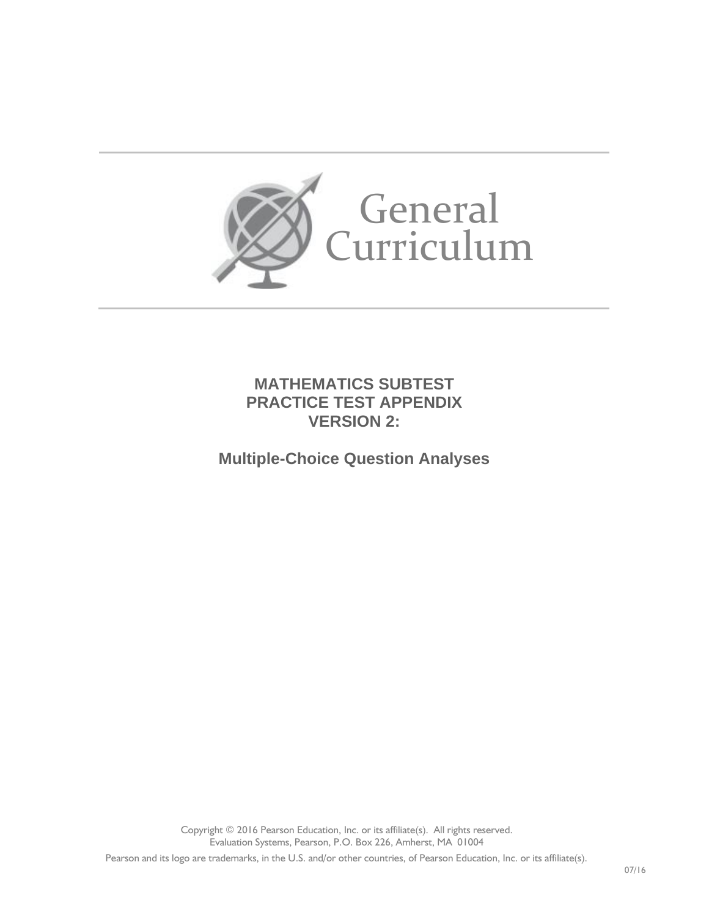

**MATHEMATICS SUBTEST PRACTICE TEST APPENDIX VERSION 2:** 

**Multiple-Choice Question Analyses**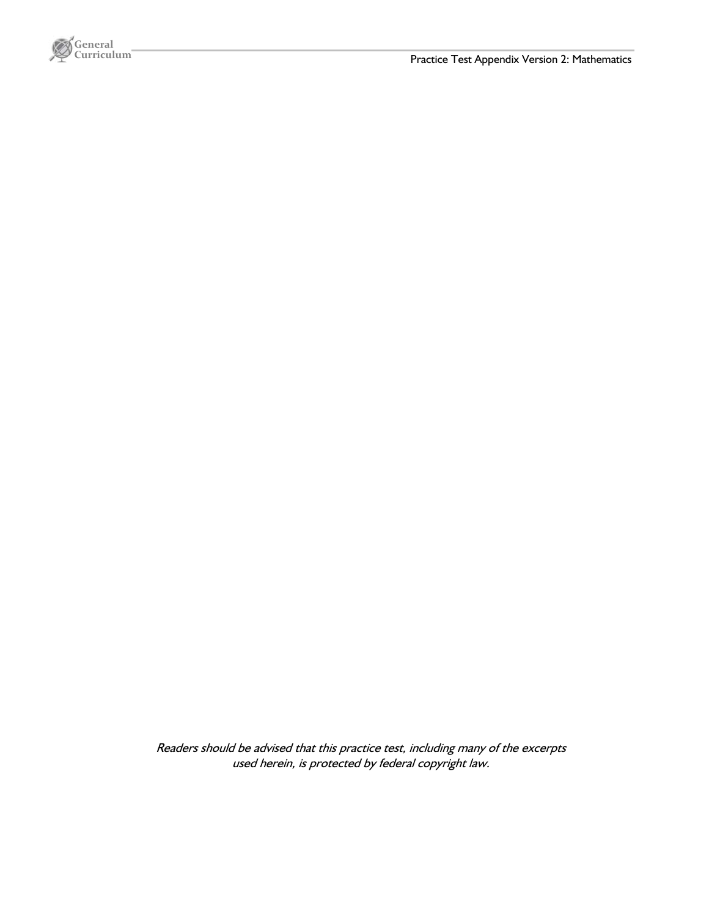

Readers should be advised that this practice test, including many of the excerpts used herein, is protected by federal copyright law.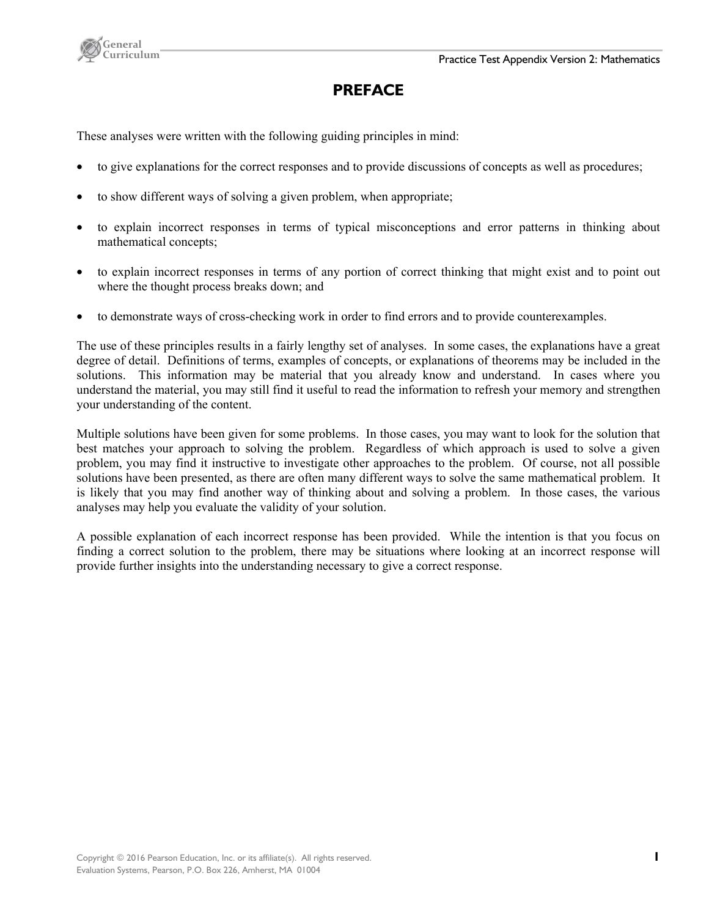



# **PREFACE**

These analyses were written with the following guiding principles in mind:

- to give explanations for the correct responses and to provide discussions of concepts as well as procedures;
- to show different ways of solving a given problem, when appropriate;
- to explain incorrect responses in terms of typical misconceptions and error patterns in thinking about mathematical concepts;
- to explain incorrect responses in terms of any portion of correct thinking that might exist and to point out where the thought process breaks down; and
- to demonstrate ways of cross-checking work in order to find errors and to provide counterexamples.

The use of these principles results in a fairly lengthy set of analyses. In some cases, the explanations have a great degree of detail. Definitions of terms, examples of concepts, or explanations of theorems may be included in the solutions. This information may be material that you already know and understand. In cases where you understand the material, you may still find it useful to read the information to refresh your memory and strengthen your understanding of the content.

Multiple solutions have been given for some problems. In those cases, you may want to look for the solution that best matches your approach to solving the problem. Regardless of which approach is used to solve a given problem, you may find it instructive to investigate other approaches to the problem. Of course, not all possible solutions have been presented, as there are often many different ways to solve the same mathematical problem. It is likely that you may find another way of thinking about and solving a problem. In those cases, the various analyses may help you evaluate the validity of your solution.

A possible explanation of each incorrect response has been provided. While the intention is that you focus on finding a correct solution to the problem, there may be situations where looking at an incorrect response will provide further insights into the understanding necessary to give a correct response.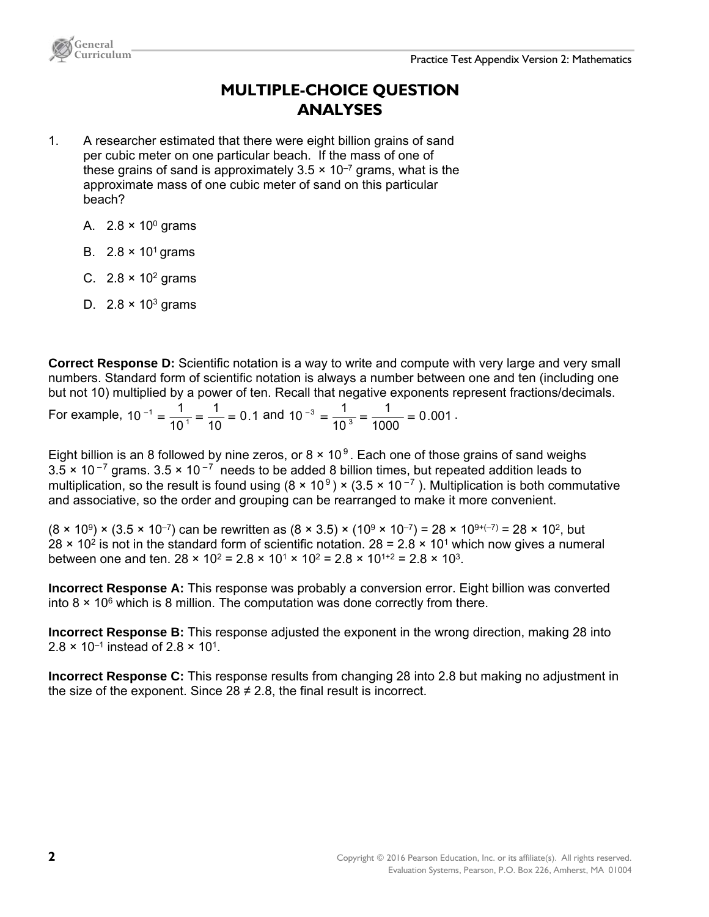

## **MULTIPLE-CHOICE QUESTION ANALYSES**

- 1. A researcher estimated that there were eight billion grains of sand per cubic meter on one particular beach. If the mass of one of these grains of sand is approximately  $3.5 \times 10^{-7}$  grams, what is the approximate mass of one cubic meter of sand on this particular beach?
	- A.  $2.8 \times 10^0$  grams
	- B.  $2.8 \times 10^1$  grams
	- C.  $2.8 \times 10^2$  grams
	- D.  $2.8 \times 10^3$  grams

**Correct Response D:** Scientific notation is a way to write and compute with very large and very small numbers. Standard form of scientific notation is always a number between one and ten (including one but not 10) multiplied by a power of ten. Recall that negative exponents represent fractions/decimals.

For example,  $10^{-1} = \frac{1}{10^{1}} = \frac{1}{10} = 0.1$ 10 1  $10^{-1} = \frac{1}{10^{-1}} = \frac{1}{10} = 0.1$  and  $10^{-3} = \frac{1}{10^{3}} = \frac{1}{1000} = 0.001$ 1  $10^{-3} = \frac{1}{10^3} = \frac{1}{1000} = 0.001$ .

Eight billion is an 8 followed by nine zeros, or  $8 \times 10^9$ . Each one of those grains of sand weighs  $3.5 \times 10^{-7}$  grams.  $3.5 \times 10^{-7}$  needs to be added 8 billion times, but repeated addition leads to multiplication, so the result is found using  $(8 \times 10^9) \times (3.5 \times 10^{-7})$ . Multiplication is both commutative and associative, so the order and grouping can be rearranged to make it more convenient.

 $(8 \times 10^9) \times (3.5 \times 10^{-7})$  can be rewritten as  $(8 \times 3.5) \times (10^9 \times 10^{-7}) = 28 \times 10^{9+(-7)} = 28 \times 10^{2}$ , but  $28 \times 10^2$  is not in the standard form of scientific notation.  $28 = 2.8 \times 10^1$  which now gives a numeral between one and ten.  $28 \times 10^2 = 2.8 \times 10^1 \times 10^2 = 2.8 \times 10^{1+2} = 2.8 \times 10^3$ .

**Incorrect Response A:** This response was probably a conversion error. Eight billion was converted into  $8 \times 10^6$  which is 8 million. The computation was done correctly from there.

**Incorrect Response B:** This response adjusted the exponent in the wrong direction, making 28 into  $2.8 \times 10^{-1}$  instead of 2.8  $\times$  10<sup>1</sup>.

**Incorrect Response C:** This response results from changing 28 into 2.8 but making no adjustment in the size of the exponent. Since  $28 \neq 2.8$ , the final result is incorrect.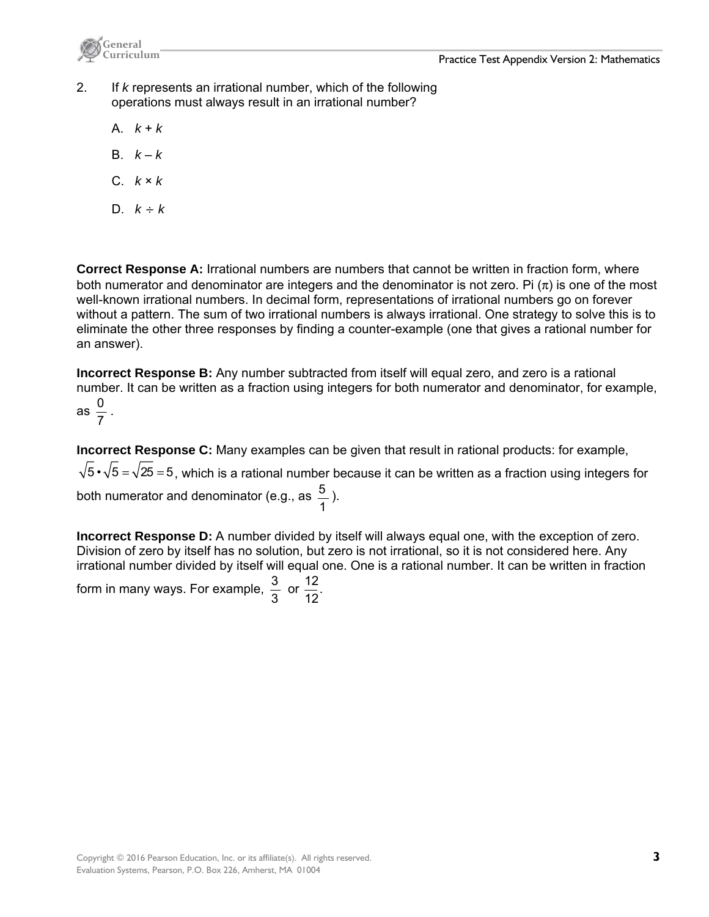

2. If *k* represents an irrational number, which of the following operations must always result in an irrational number?

- A. *k* + *k*
- B.  $k k$
- C. *k* × *k*
- D.  $k \div k$

**Correct Response A:** Irrational numbers are numbers that cannot be written in fraction form, where both numerator and denominator are integers and the denominator is not zero. Pi  $(\pi)$  is one of the most well-known irrational numbers. In decimal form, representations of irrational numbers go on forever without a pattern. The sum of two irrational numbers is always irrational. One strategy to solve this is to eliminate the other three responses by finding a counter-example (one that gives a rational number for an answer).

**Incorrect Response B:** Any number subtracted from itself will equal zero, and zero is a rational number. It can be written as a fraction using integers for both numerator and denominator, for example,

as 
$$
\frac{0}{7}
$$
.

**Incorrect Response C:** Many examples can be given that result in rational products: for example,  $\sqrt{5} \cdot \sqrt{5} = \sqrt{25} = 5$ , which is a rational number because it can be written as a fraction using integers for

both numerator and denominator (e.g., as  $\frac{5}{1}$ ).

**Incorrect Response D:** A number divided by itself will always equal one, with the exception of zero. Division of zero by itself has no solution, but zero is not irrational, so it is not considered here. Any irrational number divided by itself will equal one. One is a rational number. It can be written in fraction

form in many ways. For example,  $\frac{3}{3}$  or 12  $\frac{12}{12}$ .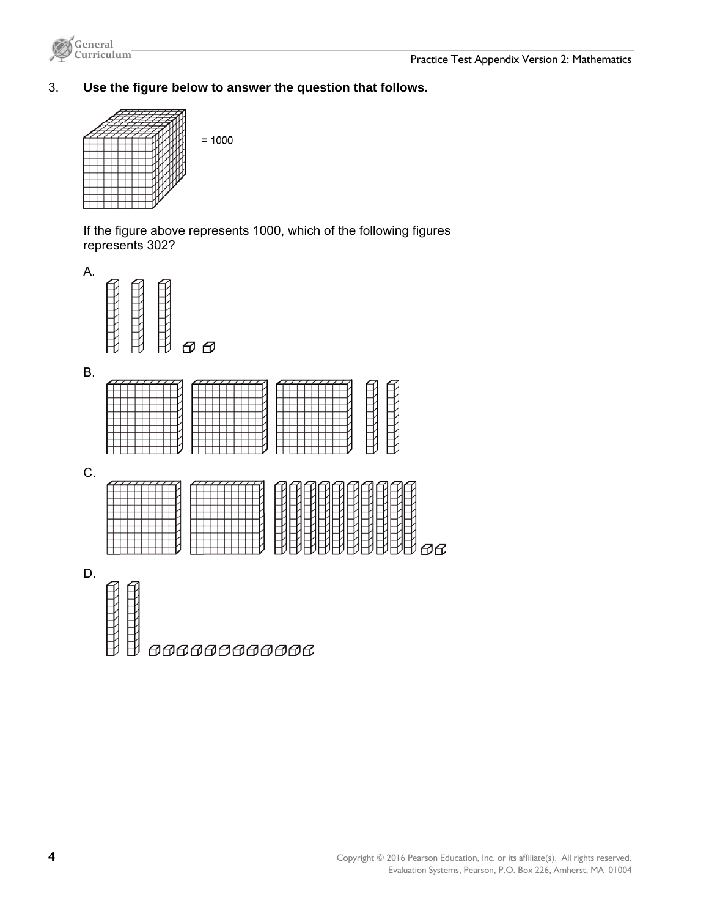

## 3. **Use the figure below to answer the question that follows.**



If the figure above represents 1000, which of the following figures represents 302?





B.



C.



D.

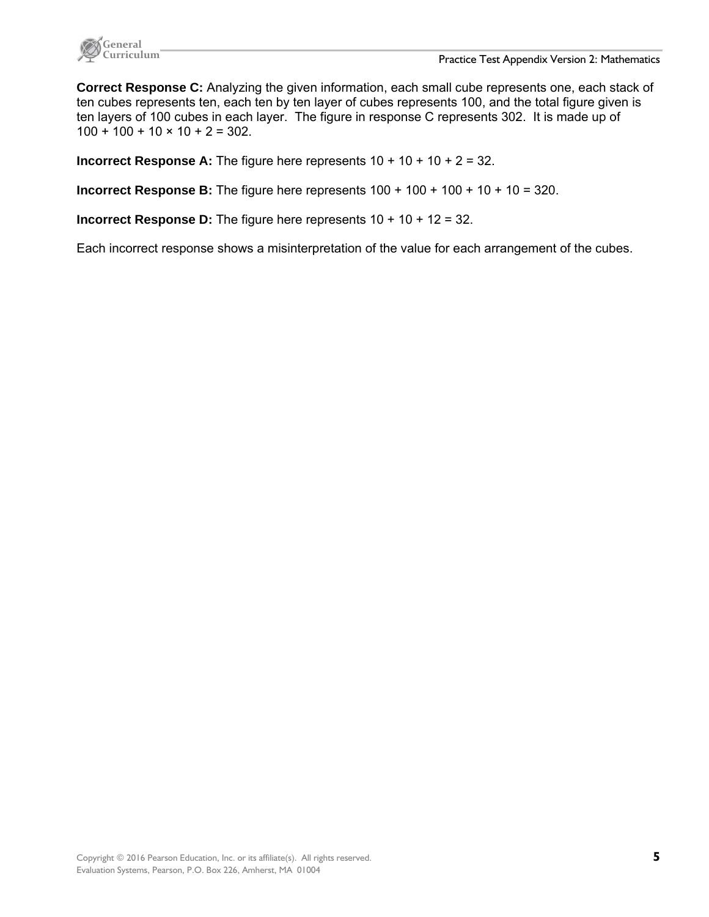

**Correct Response C:** Analyzing the given information, each small cube represents one, each stack of ten cubes represents ten, each ten by ten layer of cubes represents 100, and the total figure given is ten layers of 100 cubes in each layer. The figure in response C represents 302. It is made up of  $100 + 100 + 10 \times 10 + 2 = 302$ .

**Incorrect Response A:** The figure here represents 10 + 10 + 10 + 2 = 32.

**Incorrect Response B:** The figure here represents  $100 + 100 + 100 + 10 + 10 = 320$ .

**Incorrect Response D:** The figure here represents 10 + 10 + 12 = 32.

Each incorrect response shows a misinterpretation of the value for each arrangement of the cubes.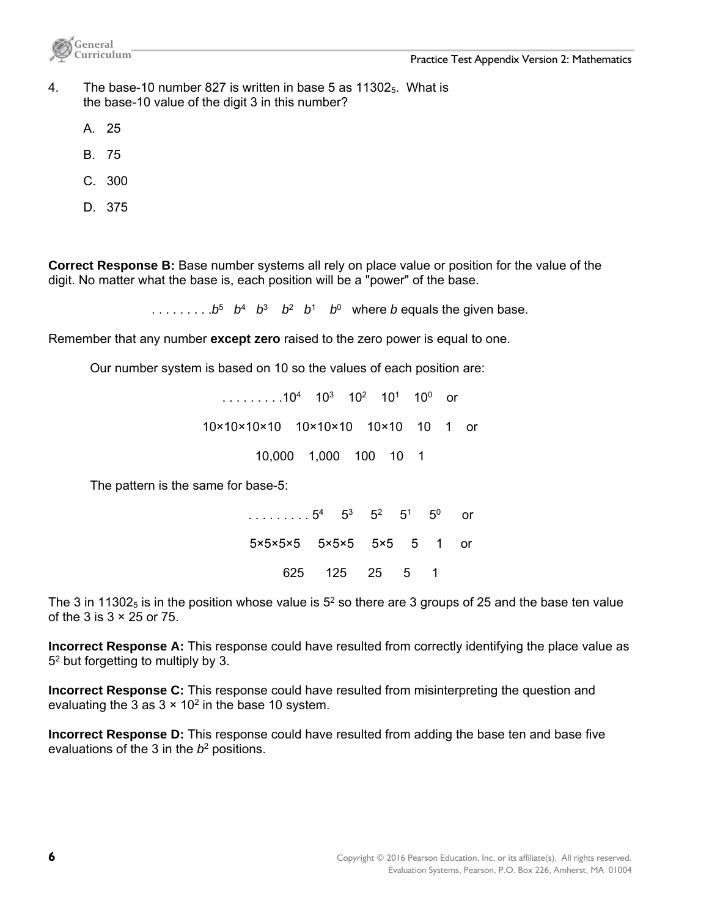

- 4. The base-10 number 827 is written in base 5 as  $11302<sub>5</sub>$ . What is the base-10 value of the digit 3 in this number?
	- A. 25
	- B. 75
	- C. 300
	- D. 375

**Correct Response B:** Base number systems all rely on place value or position for the value of the digit. No matter what the base is, each position will be a "power" of the base.

 $\therefore$  . . . . . . . . *b*<sup>5</sup> *b*<sup>4</sup> *b*<sup>3</sup> *b*<sup>2</sup> *b*<sup>1</sup> *b*<sup>0</sup> where *b* equals the given base.

Remember that any number **except zero** raised to the zero power is equal to one.

Our number system is based on 10 so the values of each position are:

 $\ldots$  . . . . . . . 10<sup>4</sup> 10<sup>3</sup> 10<sup>2</sup> 10<sup>1</sup> 10<sup>0</sup> or 10×10×10×10 10×10×10 10×10 10 1 or 10,000 1,000 100 10 1

The pattern is the same for base-5:

. . . . . . . . . 5<sup>4</sup> 5<sup>3</sup> 5<sup>2</sup> 5<sup>1</sup> 5<sup>0</sup> or 5×5×5×5 5×5×5 5×5 5 1 or 625 125 25 5 1

The 3 in 11302 $_5$  is in the position whose value is  $5^2$  so there are 3 groups of 25 and the base ten value of the 3 is  $3 \times 25$  or 75.

**Incorrect Response A:** This response could have resulted from correctly identifying the place value as 52 but forgetting to multiply by 3.

**Incorrect Response C:** This response could have resulted from misinterpreting the question and evaluating the 3 as  $3 \times 10^2$  in the base 10 system.

**Incorrect Response D:** This response could have resulted from adding the base ten and base five evaluations of the 3 in the *b*2 positions.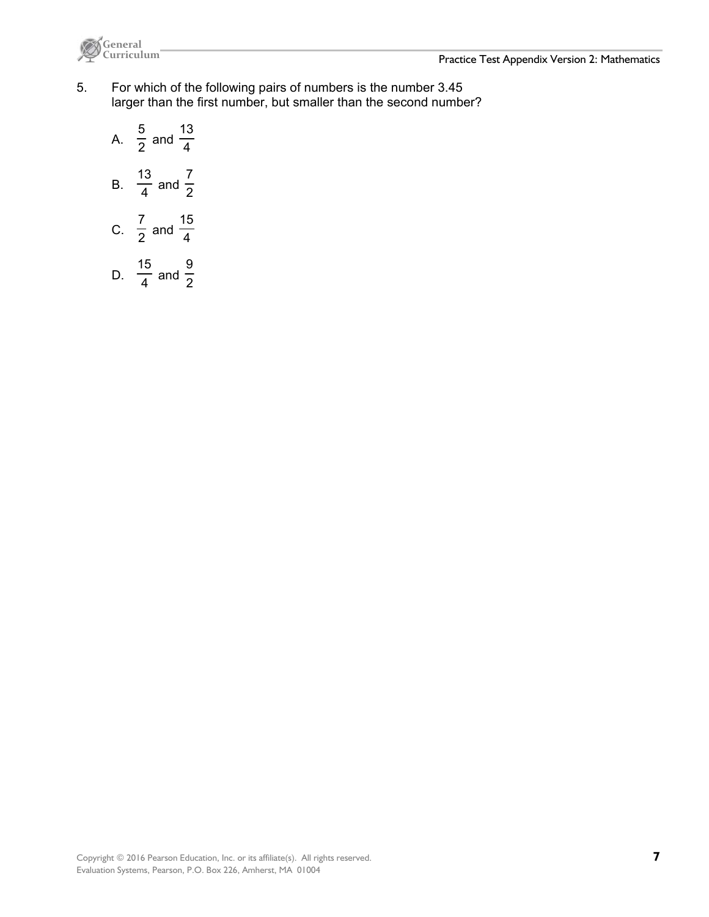



- 5. For which of the following pairs of numbers is the number 3.45 larger than the first number, but smaller than the second number?
	- A.  $\frac{1}{2}$ 5 and  $\frac{1}{4}$ 13 B.  $\frac{1}{4}$ 13 and  $\frac{1}{2}$ 7 C.  $\overline{2}$ 7 and  $\frac{1}{4}$ 15 15 9

and  $\frac{1}{2}$ 

D.  $\frac{1}{4}$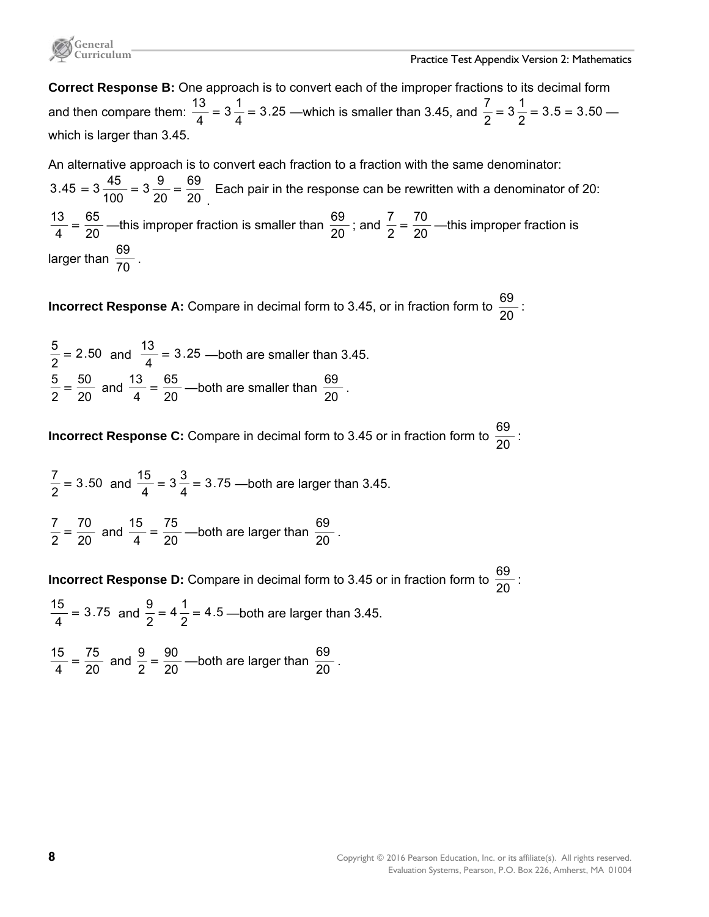

**Correct Response B:** One approach is to convert each of the improper fractions to its decimal form and then compare them:  $\frac{18}{4} = 3\frac{1}{4} = 3.25$  $3\frac{1}{4}$  $\frac{13}{4}$  = 3  $\frac{1}{4}$  = 3.25 —which is smaller than 3.45, and  $\frac{7}{2}$  = 3  $\frac{1}{2}$  = 3.5 = 3.50  $3\frac{1}{2}$  $\frac{7}{2}$  = 3 $\frac{1}{2}$  = 3.5 = 3.50 which is larger than 3.45.

An alternative approach is to convert each fraction to a fraction with the same denominator: 20 69 20  $3\frac{9}{25}$  $3.45 = 3\frac{45}{100} = 3\frac{9}{20} =$ . Each pair in the response can be rewritten with a denominator of 20: 20 65  $\frac{13}{4}$  =  $\frac{65}{20}$  —this improper fraction is smaller than  $\frac{69}{20}$ ; and  $\frac{7}{2}$  =  $\frac{70}{20}$  $\frac{7}{2} = \frac{70}{20}$  —this improper fraction is larger than  $\frac{69}{70}$ .

**Incorrect Response A:** Compare in decimal form to 3.45, or in fraction form to  $\frac{69}{20}$ :

2.50  $\frac{5}{2}$  = 2.50 and  $\frac{13}{4}$  = 3.25 —both are smaller than 3.45. 20 50  $\frac{5}{2} = \frac{50}{20}$  and  $\frac{13}{4} = \frac{65}{20}$  $\frac{13}{4}$  =  $\frac{65}{20}$  —both are smaller than  $\frac{69}{20}$ .

**Incorrect Response C:** Compare in decimal form to 3.45 or in fraction form to  $\frac{69}{20}$  :

3.50  $\frac{7}{2}$  = 3.50 and  $\frac{15}{4}$  = 3 $\frac{3}{4}$  = 3.75  $3\frac{3}{7}$  $\frac{15}{4}$  = 3  $\frac{3}{4}$  = 3.75 —both are larger than 3.45.

20 70  $\frac{7}{2} = \frac{70}{20}$  and  $\frac{15}{4} = \frac{75}{20}$  $\frac{15}{4}$  =  $\frac{75}{20}$  —both are larger than  $\frac{69}{20}$ .

**Incorrect Response D:** Compare in decimal form to 3.45 or in fraction form to  $\frac{69}{20}$  :

3.75  $\frac{15}{4}$  = 3.75 and  $\frac{9}{2}$  = 4 $\frac{1}{2}$  = 4.5  $4\frac{1}{2}$  $\frac{9}{2}$  = 4  $\frac{1}{2}$  = 4.5 —both are larger than 3.45.

20 75  $\frac{15}{4} = \frac{75}{20}$  and  $\frac{9}{2} = \frac{90}{20}$  $\frac{9}{2}$  =  $\frac{90}{20}$  —both are larger than  $\frac{69}{20}$  .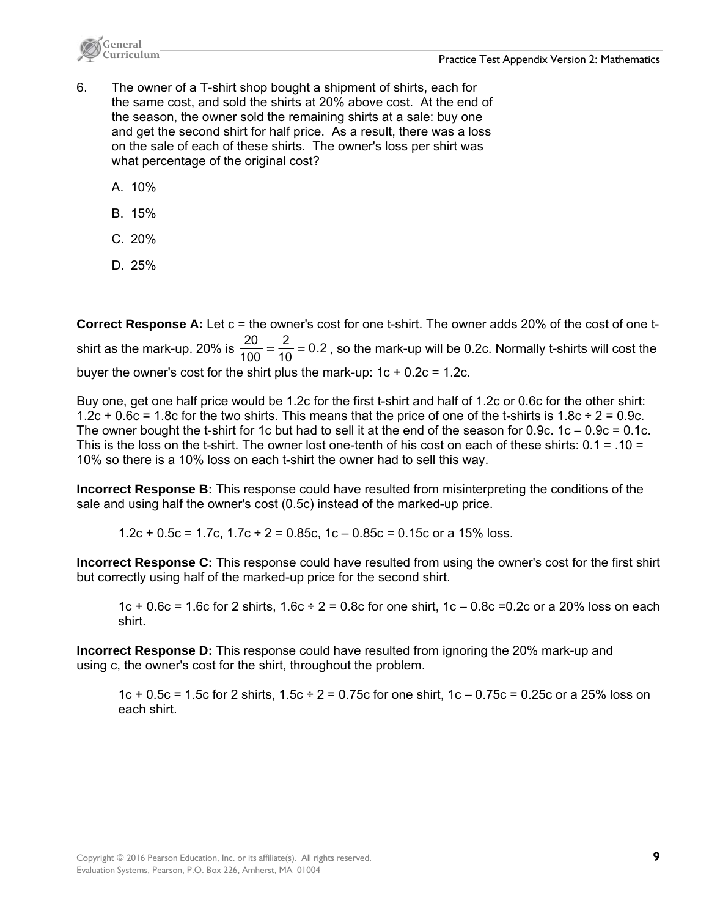



- 6. The owner of a T-shirt shop bought a shipment of shirts, each for the same cost, and sold the shirts at 20% above cost. At the end of the season, the owner sold the remaining shirts at a sale: buy one and get the second shirt for half price. As a result, there was a loss on the sale of each of these shirts. The owner's loss per shirt was what percentage of the original cost?
	- A. 10%
	- B. 15%
	- C. 20%
	- D. 25%

**Correct Response A:** Let c = the owner's cost for one t-shirt. The owner adds 20% of the cost of one tshirt as the mark-up. 20% is  $\frac{20}{100} = \frac{2}{10} = 0.2$ 2  $\frac{20}{100} = \frac{2}{10} = 0.2$ , so the mark-up will be 0.2c. Normally t-shirts will cost the buyer the owner's cost for the shirt plus the mark-up:  $1c + 0.2c = 1.2c$ .

Buy one, get one half price would be 1.2c for the first t-shirt and half of 1.2c or 0.6c for the other shirt: 1.2c + 0.6c = 1.8c for the two shirts. This means that the price of one of the t-shirts is 1.8c  $\div$  2 = 0.9c. The owner bought the t-shirt for 1c but had to sell it at the end of the season for 0.9c.  $1c - 0.9c = 0.1c$ . This is the loss on the t-shirt. The owner lost one-tenth of his cost on each of these shirts: 0.1 = .10 = 10% so there is a 10% loss on each t-shirt the owner had to sell this way.

**Incorrect Response B:** This response could have resulted from misinterpreting the conditions of the sale and using half the owner's cost (0.5c) instead of the marked-up price.

1.2c + 0.5c = 1.7c,  $1.7c \div 2 = 0.85c$ ,  $1c - 0.85c = 0.15c$  or a 15% loss.

**Incorrect Response C:** This response could have resulted from using the owner's cost for the first shirt but correctly using half of the marked-up price for the second shirt.

1c + 0.6c = 1.6c for 2 shirts,  $1.6c \div 2 = 0.8c$  for one shirt,  $1c - 0.8c = 0.2c$  or a 20% loss on each shirt.

**Incorrect Response D:** This response could have resulted from ignoring the 20% mark-up and using c, the owner's cost for the shirt, throughout the problem.

1c + 0.5c = 1.5c for 2 shirts, 1.5c  $\div$  2 = 0.75c for one shirt, 1c – 0.75c = 0.25c or a 25% loss on each shirt.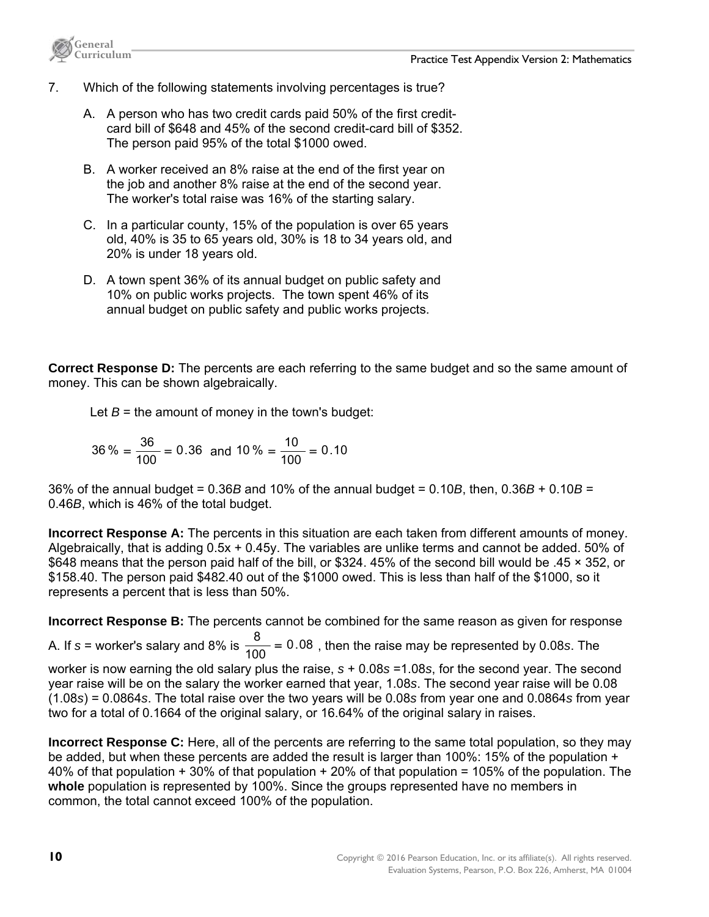

- 7. Which of the following statements involving percentages is true?
	- A. A person who has two credit cards paid 50% of the first creditcard bill of \$648 and 45% of the second credit-card bill of \$352. The person paid 95% of the total \$1000 owed.
	- B. A worker received an 8% raise at the end of the first year on the job and another 8% raise at the end of the second year. The worker's total raise was 16% of the starting salary.
	- C. In a particular county, 15% of the population is over 65 years old, 40% is 35 to 65 years old, 30% is 18 to 34 years old, and 20% is under 18 years old.
	- D. A town spent 36% of its annual budget on public safety and 10% on public works projects. The town spent 46% of its annual budget on public safety and public works projects.

**Correct Response D:** The percents are each referring to the same budget and so the same amount of money. This can be shown algebraically.

Let  $B =$  the amount of money in the town's budget:

$$
36\% = \frac{36}{100} = 0.36 \text{ and } 10\% = \frac{10}{100} = 0.10
$$

36% of the annual budget = 0.36*B* and 10% of the annual budget = 0.10*B*, then, 0.36*B* + 0.10*B* = 0.46*B*, which is 46% of the total budget.

**Incorrect Response A:** The percents in this situation are each taken from different amounts of money. Algebraically, that is adding 0.5x + 0.45y. The variables are unlike terms and cannot be added. 50% of \$648 means that the person paid half of the bill, or \$324. 45% of the second bill would be .45 × 352, or \$158.40. The person paid \$482.40 out of the \$1000 owed. This is less than half of the \$1000, so it represents a percent that is less than 50%.

**Incorrect Response B:** The percents cannot be combined for the same reason as given for response

A. If  $s$  = worker's salary and 8% is  $\frac{8}{100}$  = 0.08, then the raise may be represented by 0.08*s*. The

worker is now earning the old salary plus the raise, *s* + 0.08*s* =1.08*s*, for the second year. The second year raise will be on the salary the worker earned that year, 1.08*s*. The second year raise will be 0.08 (1.08*s*) = 0.0864*s*. The total raise over the two years will be 0.08*s* from year one and 0.0864*s* from year two for a total of 0.1664 of the original salary, or 16.64% of the original salary in raises.

**Incorrect Response C:** Here, all of the percents are referring to the same total population, so they may be added, but when these percents are added the result is larger than 100%: 15% of the population + 40% of that population + 30% of that population + 20% of that population = 105% of the population. The **whole** population is represented by 100%. Since the groups represented have no members in common, the total cannot exceed 100% of the population.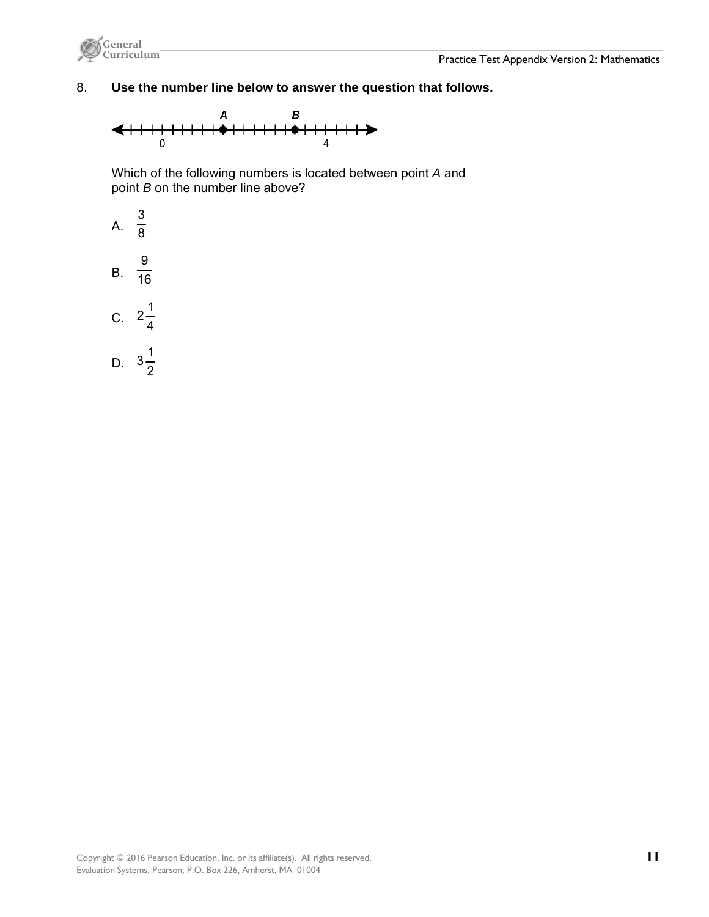

## 8. **Use the number line below to answer the question that follows.**



Which of the following numbers is located between point *A* and point *B* on the number line above?

- A.  $\overline{8}$ 3 B.  $\frac{1}{16}$ 9
- C.  $2\frac{1}{4}$  $2\frac{1}{7}$
- D.  $3\frac{1}{2}$  $3\frac{1}{2}$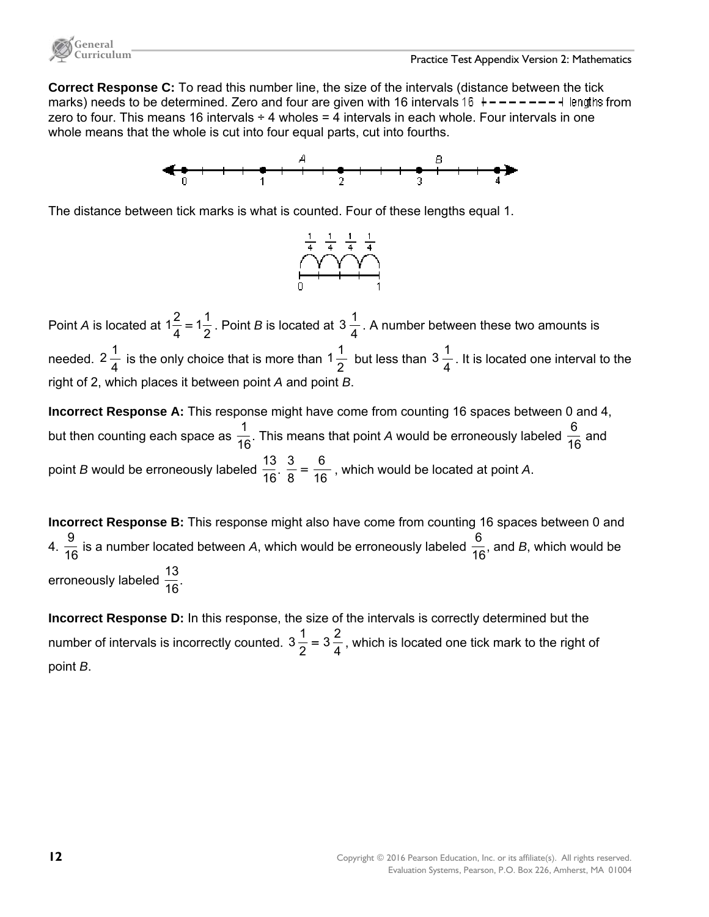

**Correct Response C:** To read this number line, the size of the intervals (distance between the tick marks) needs to be determined. Zero and four are given with 16 intervals 16  $+ - - - - - - +$  lengths from zero to four. This means 16 intervals  $\div$  4 wholes = 4 intervals in each whole. Four intervals in one whole means that the whole is cut into four equal parts, cut into fourths.



The distance between tick marks is what is counted. Four of these lengths equal 1.



Point *A* is located at  $1\frac{2}{4} = 1\frac{1}{2}$  $1\frac{2}{4} = 1\frac{1}{2}$ . Point *B* is located at  $3\frac{1}{4}$ . A number between these two amounts is needed. 2 $\frac{1}{4}$  is the only choice that is more than 1 $\frac{1}{2}$  but less than 3 $\frac{1}{4}$ . It is located one interval to the right of 2, which places it between point *A* and point *B*.

**Incorrect Response A:** This response might have come from counting 16 spaces between 0 and 4, but then counting each space as  $\frac{1}{16}$ . This means that point *A* would be erroneously labeled  $\frac{6}{16}$  and point *B* would be erroneously labeled  $\frac{13}{16}$ .  $\frac{3}{8} = \frac{6}{16}$  $\frac{3}{8} = \frac{6}{16}$ , which would be located at point *A*.

**Incorrect Response B:** This response might also have come from counting 16 spaces between 0 and 4.  $\frac{9}{16}$  is a number located between A, which would be erroneously labeled  $\frac{6}{16}$ , and B, which would be erroneously labeled  $\frac{13}{16}$ .

**Incorrect Response D:** In this response, the size of the intervals is correctly determined but the number of intervals is incorrectly counted.  $3\frac{1}{2}$  =  $3\frac{2}{4}$  $3\frac{1}{2}$  =  $3\frac{2}{4}$ , which is located one tick mark to the right of point *B*.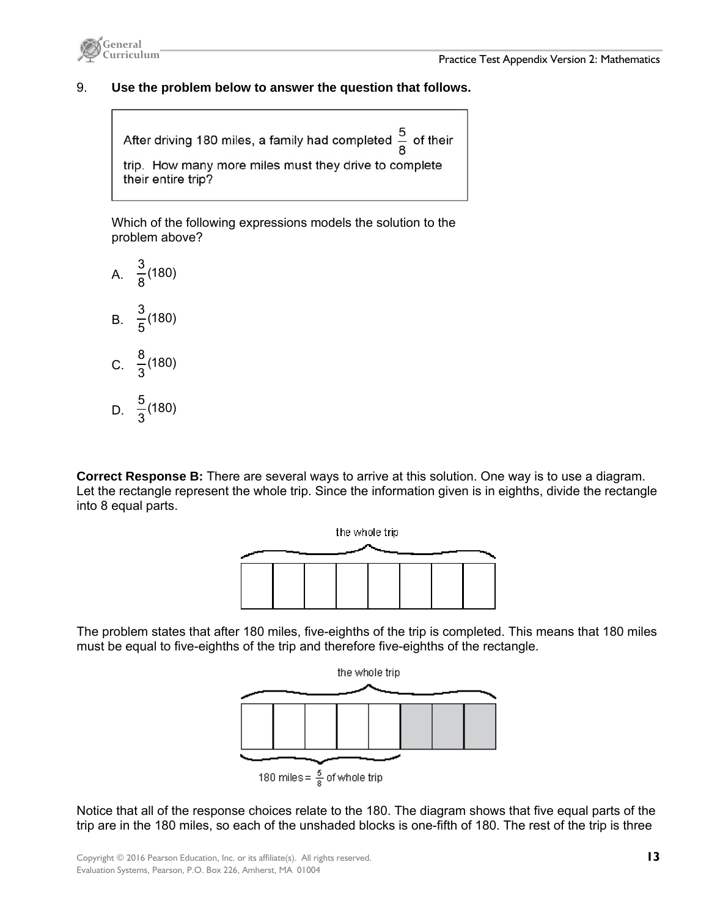

## 9. **Use the problem below to answer the question that follows.**

After driving 180 miles, a family had completed  $\frac{5}{8}$  of their trip. How many more miles must they drive to complete their entire trip?

Which of the following expressions models the solution to the problem above?



**Correct Response B:** There are several ways to arrive at this solution. One way is to use a diagram. Let the rectangle represent the whole trip. Since the information given is in eighths, divide the rectangle into 8 equal parts.



The problem states that after 180 miles, five-eighths of the trip is completed. This means that 180 miles must be equal to five-eighths of the trip and therefore five-eighths of the rectangle.



Notice that all of the response choices relate to the 180. The diagram shows that five equal parts of the trip are in the 180 miles, so each of the unshaded blocks is one-fifth of 180. The rest of the trip is three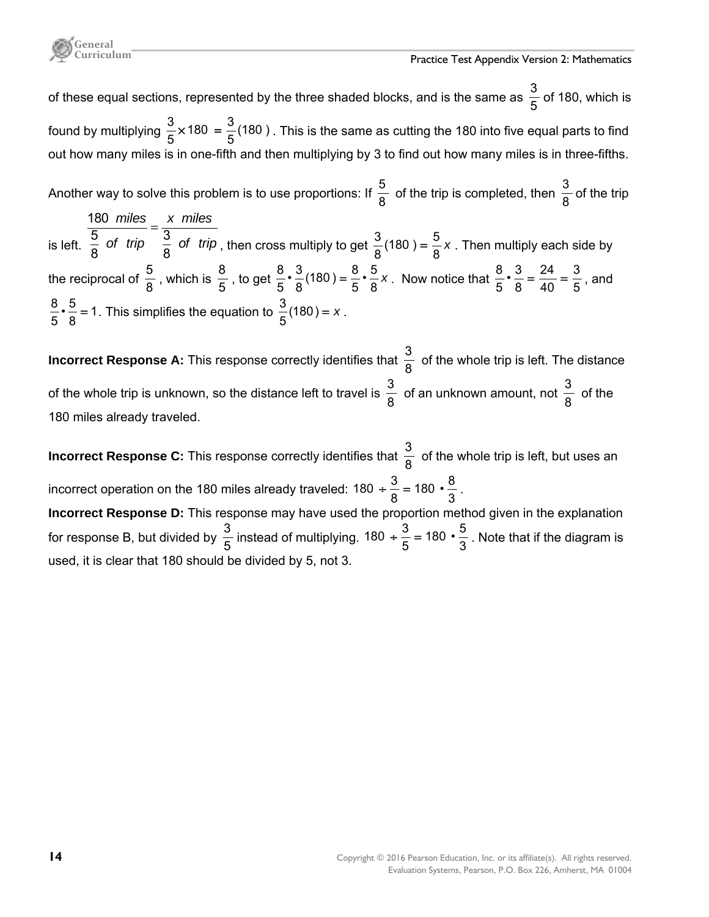of these equal sections, represented by the three shaded blocks, and is the same as  $\frac{3}{5}$  of 180, which is found by multiplying  $\frac{3}{5} \times 180 = \frac{3}{5} (180)$ 5  $\frac{3}{5}$  × 180 =  $\frac{3}{5}$ (180 ) . This is the same as cutting the 180 into five equal parts to find out how many miles is in one-fifth and then multiplying by 3 to find out how many miles is in three-fifths.

Another way to solve this problem is to use proportions: If  $\frac{5}{8}$  of the trip is completed, then  $\frac{3}{8}$  of the trip 180 *miles x miles*

is left. 5  $\frac{1}{2}$   $\frac{1}{2}$   $\frac{1}{2}$   $\frac{3}{2}$ 8 8 *of trip*  $\frac{6}{6}$  *of trip* = , then cross multiply to get  $\frac{3}{8}(180) = \frac{5}{8}x$ . Then multiply each side by the reciprocal of  $\frac{5}{8}$ , which is  $\frac{8}{5}$ , to get  $\frac{8}{5} \cdot \frac{3}{8} (180) = \frac{8}{5} \cdot \frac{5}{8} x$  $\frac{8}{5} \cdot \frac{3}{8}$ (180) =  $\frac{8}{5} \cdot \frac{5}{8}$  x . Now notice that  $\frac{8}{5} \cdot \frac{3}{8}$  =  $\frac{24}{40}$  =  $\frac{3}{5}$ 40 24  $\frac{8}{5} \cdot \frac{3}{8} = \frac{24}{40} = \frac{3}{5}$ , and 1 8  $\frac{8}{5} \cdot \frac{5}{8} = 1$ . This simplifies the equation to  $\frac{3}{5}(180) = x$ .

**Incorrect Response A:** This response correctly identifies that  $\frac{3}{8}$  of the whole trip is left. The distance of the whole trip is unknown, so the distance left to travel is  $\frac{3}{8}$  of an unknown amount, not  $\frac{3}{8}$  of the 180 miles already traveled.

**Incorrect Response C:** This response correctly identifies that  $\frac{3}{8}$  of the whole trip is left, but uses an incorrect operation on the 180 miles already traveled: 180  $\div \frac{3}{8}$  = 180  $\cdot \frac{8}{3}$ .

**Incorrect Response D:** This response may have used the proportion method given in the explanation for response B, but divided by  $\frac{3}{5}$  instead of multiplying. 180 +  $\frac{3}{5}$  = 180  $\cdot \frac{5}{3}$  . Note that if the diagram is used, it is clear that 180 should be divided by 5, not 3.

**General**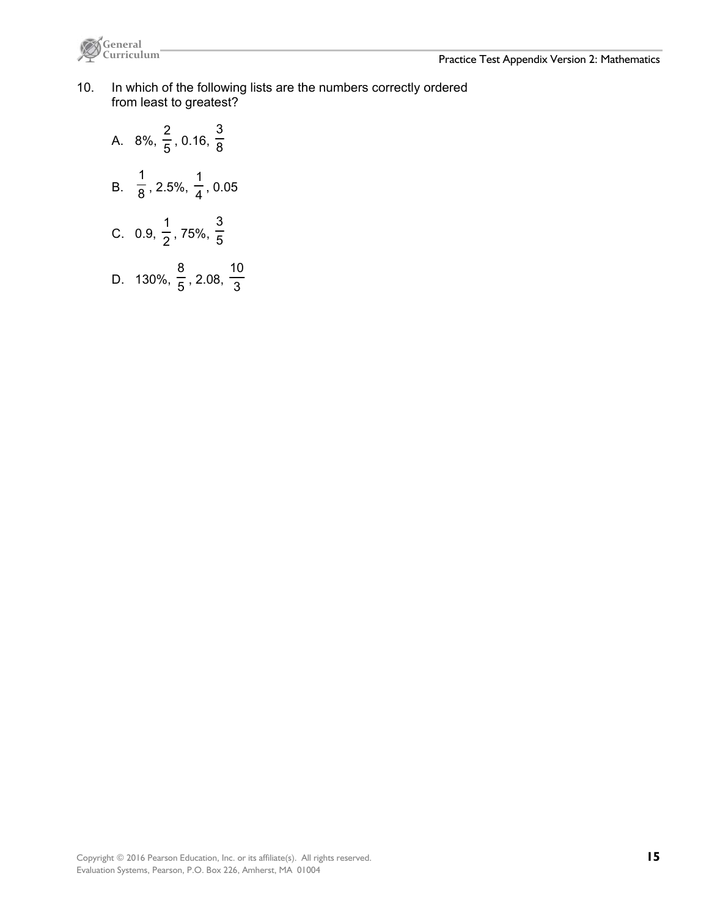

- 10. In which of the following lists are the numbers correctly ordered from least to greatest?
	- A. 8%, 5 2 , 0.16,  $\frac{1}{8}$ 3 B.  $\overline{8}$ 1 , 2.5%,  $\frac{1}{4}$ 1 , 0.05 C.  $0.9, \frac{1}{2}$ 1 , 75%, 5 3 D. 130%,  $\frac{1}{5}$ 8 , 2.08,  $\frac{1}{3}$ 10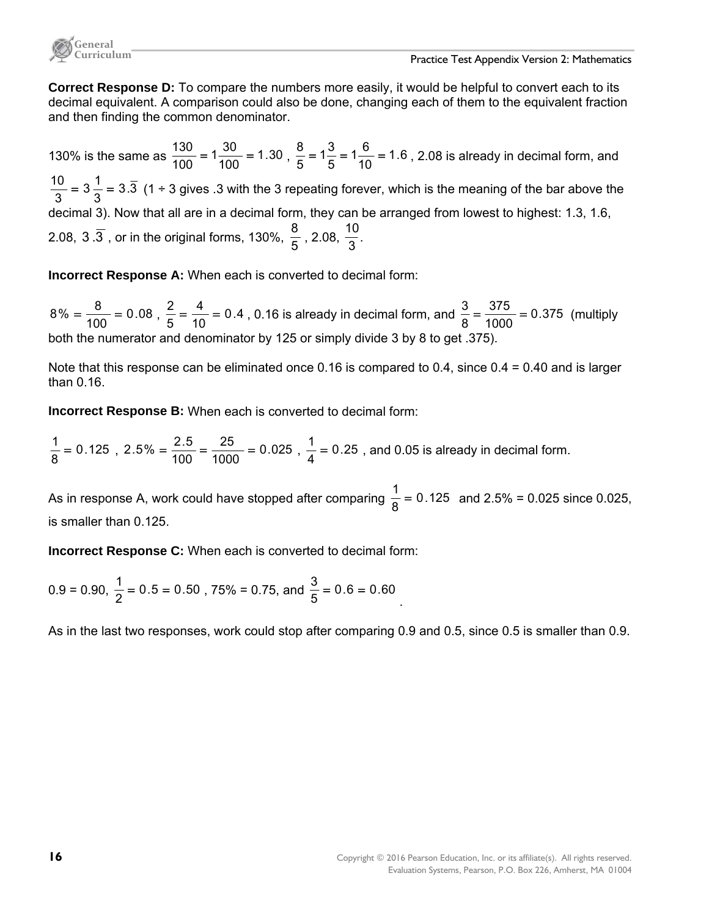

**Correct Response D:** To compare the numbers more easily, it would be helpful to convert each to its decimal equivalent. A comparison could also be done, changing each of them to the equivalent fraction and then finding the common denominator.

130% is the same as  $\frac{188}{100} = 1\frac{80}{100} = 1.30$  $1\frac{30}{100}$  $\frac{130}{100} = 1\frac{30}{100} = 1.30$ ,  $\frac{8}{5} = 1\frac{3}{5} = 1\frac{6}{10} = 1.6$  $1\frac{6}{15}$ 5  $1\frac{3}{5}$  $\frac{8}{5}$  = 1 $\frac{3}{5}$  = 1 $\frac{6}{10}$  = 1.6, 2.08 is already in decimal form, and 3.3 3  $3\frac{1}{2}$  $\frac{10}{3}$  = 3 $\frac{1}{3}$  = 3. $\overline{3}$  (1 ÷ 3 gives .3 with the 3 repeating forever, which is the meaning of the bar above the decimal 3). Now that all are in a decimal form, they can be arranged from lowest to highest: 1.3, 1.6, 2.08,  $3.\overline{3}$  , or in the original forms, 130%,  $\frac{8}{5}$  , 2.08,  $\frac{10}{3}$ .

**Incorrect Response A:** When each is converted to decimal form:

0.08  $8\% = \frac{8}{100} = 0.08$ ,  $\frac{2}{5} = \frac{4}{10} = 0.4$ 4  $\frac{2}{5} = \frac{4}{10} = 0.4$  , 0.16 is already in decimal form, and  $\frac{3}{8} = \frac{375}{1000} = 0.375$ 375  $\frac{3}{8} = \frac{375}{1000} = 0.375$  (multiply both the numerator and denominator by 125 or simply divide 3 by 8 to get .375).

Note that this response can be eliminated once 0.16 is compared to 0.4, since 0.4 = 0.40 and is larger than 0.16.

**Incorrect Response B:** When each is converted to decimal form:

0.125  $\frac{1}{8}$  = 0.125, 2.5% =  $\frac{2.5}{100}$  =  $\frac{25}{1000}$  = 0.025 25  $2.5\% = \frac{2.5}{100} = \frac{25}{1000} = 0.025$ ,  $\frac{1}{4} = 0.25$ , and 0.05 is already in decimal form.

As in response A, work could have stopped after comparing  $\frac{1}{8}$  = 0.125 and 2.5% = 0.025 since 0.025, is smaller than 0.125.

**Incorrect Response C:** When each is converted to decimal form:

 $0.9 = 0.90, \frac{1}{2} = 0.5 = 0.50$  , 75% = 0.75, and  $\frac{3}{5} = 0.6 = 0.60$ .

As in the last two responses, work could stop after comparing 0.9 and 0.5, since 0.5 is smaller than 0.9.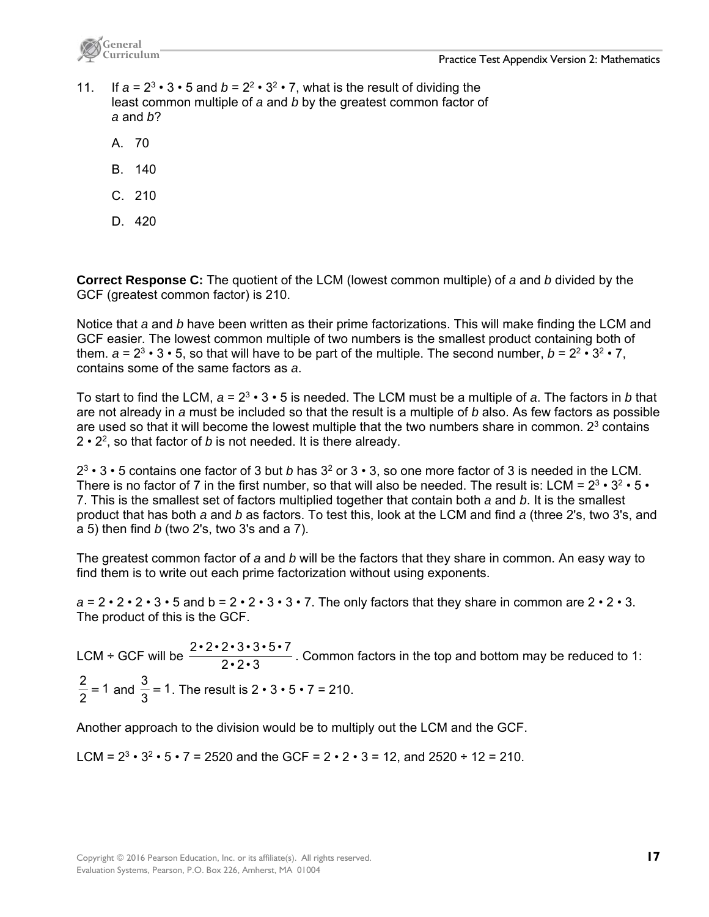

- 11. If  $a = 2^3 \cdot 3 \cdot 5$  and  $b = 2^2 \cdot 3^2 \cdot 7$ , what is the result of dividing the least common multiple of *a* and *b* by the greatest common factor of *a* and *b*?
	- A. 70
	- B. 140
	- C. 210
	- D. 420

**Correct Response C:** The quotient of the LCM (lowest common multiple) of *a* and *b* divided by the GCF (greatest common factor) is 210.

Notice that *a* and *b* have been written as their prime factorizations. This will make finding the LCM and GCF easier. The lowest common multiple of two numbers is the smallest product containing both of them.  $a = 2^3 \cdot 3 \cdot 5$ , so that will have to be part of the multiple. The second number,  $b = 2^2 \cdot 3^2 \cdot 7$ , contains some of the same factors as *a*.

To start to find the LCM, *a* = 23 • 3 • 5 is needed. The LCM must be a multiple of *a*. The factors in *b* that are not already in *a* must be included so that the result is a multiple of *b* also. As few factors as possible are used so that it will become the lowest multiple that the two numbers share in common. 2<sup>3</sup> contains 2 • 22, so that factor of *b* is not needed. It is there already.

23 • 3 • 5 contains one factor of 3 but *b* has 32 or 3 • 3, so one more factor of 3 is needed in the LCM. There is no factor of 7 in the first number, so that will also be needed. The result is: LCM =  $2^3 \cdot 3^2 \cdot 5 \cdot$ 7. This is the smallest set of factors multiplied together that contain both *a* and *b*. It is the smallest product that has both *a* and *b* as factors. To test this, look at the LCM and find *a* (three 2's, two 3's, and a 5) then find *b* (two 2's, two 3's and a 7).

The greatest common factor of *a* and *b* will be the factors that they share in common. An easy way to find them is to write out each prime factorization without using exponents.

 $a = 2 \cdot 2 \cdot 2 \cdot 3 \cdot 5$  and  $b = 2 \cdot 2 \cdot 3 \cdot 3 \cdot 7$ . The only factors that they share in common are  $2 \cdot 2 \cdot 3$ . The product of this is the GCF.

LCM ÷ GCF will be  $\frac{2\cdot 2\cdot 2\cdot 3\cdot 3\cdot 5\cdot 7}{2\cdot 2\cdot 3}$ . Common factors in the top and bottom may be reduced to 1: 1  $\frac{2}{2}$  = 1 and  $\frac{3}{3}$  = 1. The result is 2 • 3 • 5 • 7 = 210.

Another approach to the division would be to multiply out the LCM and the GCF.

LCM =  $2^3 \cdot 3^2 \cdot 5 \cdot 7 = 2520$  and the GCF =  $2 \cdot 2 \cdot 3 = 12$ , and  $2520 \div 12 = 210$ .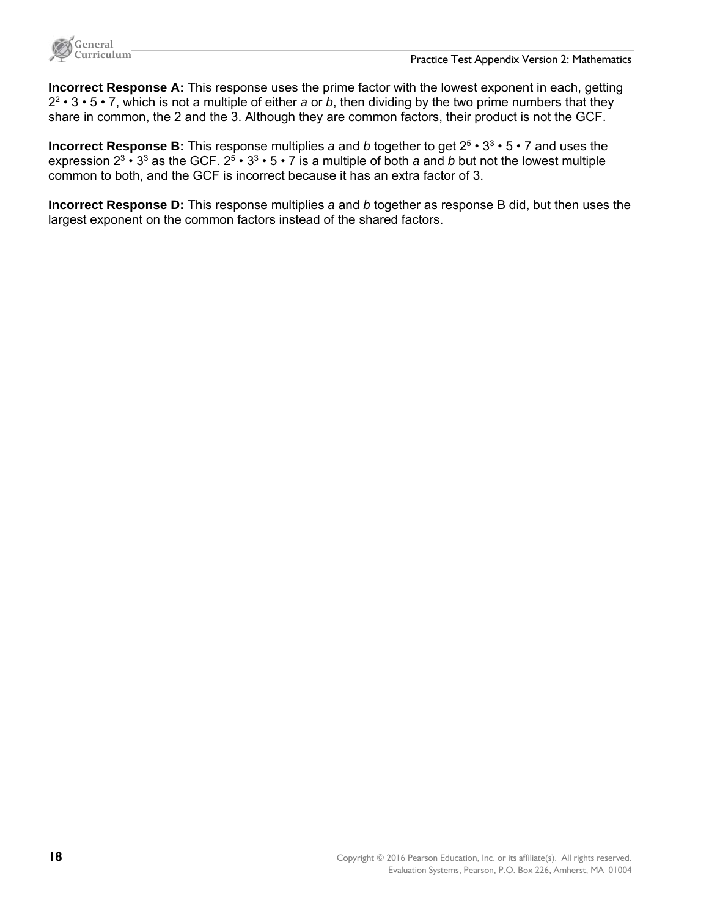

**Incorrect Response A:** This response uses the prime factor with the lowest exponent in each, getting 22 • 3 • 5 • 7, which is not a multiple of either *a* or *b*, then dividing by the two prime numbers that they share in common, the 2 and the 3. Although they are common factors, their product is not the GCF.

**Incorrect Response B:** This response multiplies *a* and *b* together to get 25 • 33 • 5 • 7 and uses the expression  $2^3 \cdot 3^3$  as the GCF.  $2^5 \cdot 3^3 \cdot 5 \cdot 7$  is a multiple of both *a* and *b* but not the lowest multiple common to both, and the GCF is incorrect because it has an extra factor of 3.

**Incorrect Response D:** This response multiplies *a* and *b* together as response B did, but then uses the largest exponent on the common factors instead of the shared factors.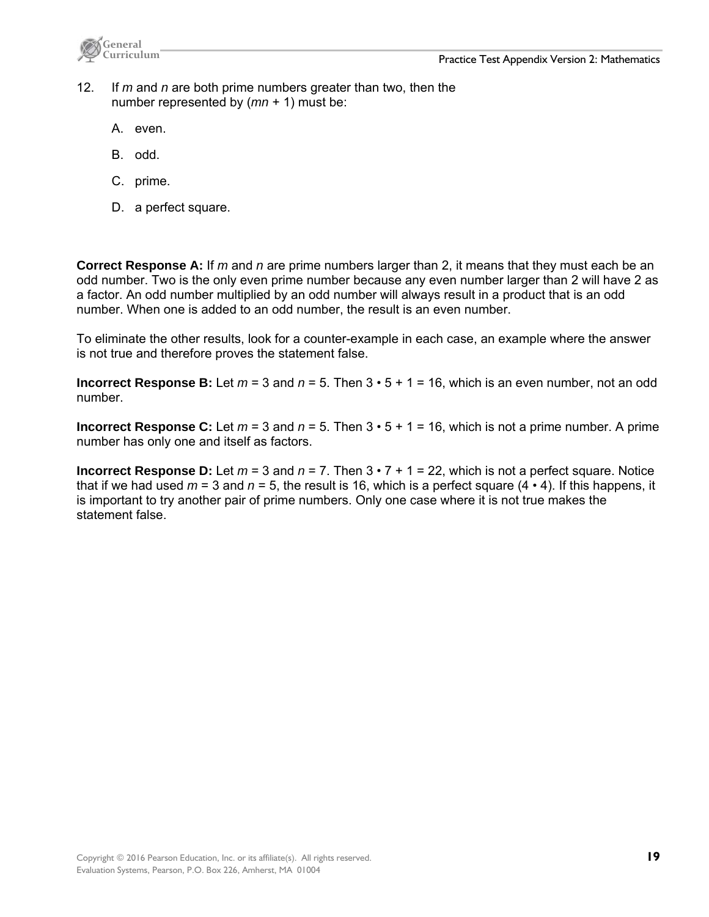

- 12. If *m* and *n* are both prime numbers greater than two, then the number represented by (*mn* + 1) must be:
	- A. even.
	- B. odd.
	- C. prime.
	- D. a perfect square.

**Correct Response A:** If *m* and *n* are prime numbers larger than 2, it means that they must each be an odd number. Two is the only even prime number because any even number larger than 2 will have 2 as a factor. An odd number multiplied by an odd number will always result in a product that is an odd number. When one is added to an odd number, the result is an even number.

To eliminate the other results, look for a counter-example in each case, an example where the answer is not true and therefore proves the statement false.

**Incorrect Response B:** Let  $m = 3$  and  $n = 5$ . Then  $3 \cdot 5 + 1 = 16$ , which is an even number, not an odd number.

**Incorrect Response C:** Let  $m = 3$  and  $n = 5$ . Then  $3 \cdot 5 + 1 = 16$ , which is not a prime number. A prime number has only one and itself as factors.

**Incorrect Response D:** Let  $m = 3$  and  $n = 7$ . Then  $3 \cdot 7 + 1 = 22$ , which is not a perfect square. Notice that if we had used *m* = 3 and *n* = 5, the result is 16, which is a perfect square (4 • 4). If this happens, it is important to try another pair of prime numbers. Only one case where it is not true makes the statement false.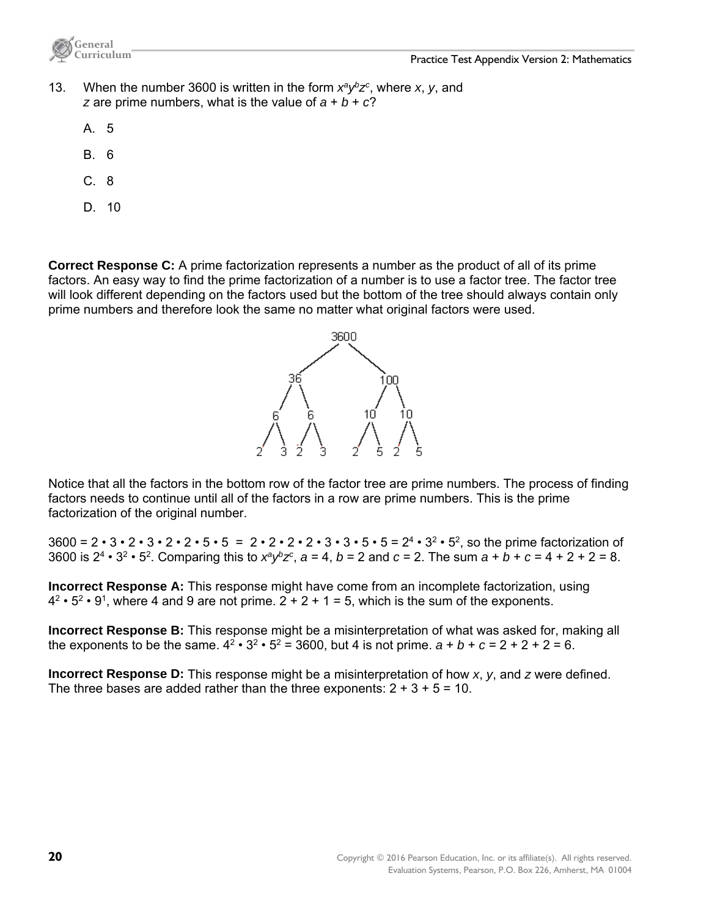

- 13. When the number 3600 is written in the form  $x^a y^b z^c$ , where *x*, *y*, and *z* are prime numbers, what is the value of  $a + b + c$ ?
	- A. 5
	- B. 6
	- $C.8$
	- D. 10

**Correct Response C:** A prime factorization represents a number as the product of all of its prime factors. An easy way to find the prime factorization of a number is to use a factor tree. The factor tree will look different depending on the factors used but the bottom of the tree should always contain only prime numbers and therefore look the same no matter what original factors were used.



Notice that all the factors in the bottom row of the factor tree are prime numbers. The process of finding factors needs to continue until all of the factors in a row are prime numbers. This is the prime factorization of the original number.

 $3600 = 2 \cdot 3 \cdot 2 \cdot 3 \cdot 2 \cdot 5 \cdot 5 = 2 \cdot 2 \cdot 2 \cdot 2 \cdot 3 \cdot 3 \cdot 5 \cdot 5 = 2^4 \cdot 3^2 \cdot 5^2$ , so the prime factorization of 3600 is  $2^4 \cdot 3^2 \cdot 5^2$ . Comparing this to  $x^a y^b z^c$ ,  $a = 4$ ,  $b = 2$  and  $c = 2$ . The sum  $a + b + c = 4 + 2 + 2 = 8$ .

**Incorrect Response A:** This response might have come from an incomplete factorization, using  $4^2 \cdot 5^2 \cdot 9^1$ , where 4 and 9 are not prime.  $2 + 2 + 1 = 5$ , which is the sum of the exponents.

**Incorrect Response B:** This response might be a misinterpretation of what was asked for, making all the exponents to be the same.  $4^2 \cdot 3^2 \cdot 5^2 = 3600$ , but 4 is not prime.  $a + b + c = 2 + 2 + 2 = 6$ .

**Incorrect Response D:** This response might be a misinterpretation of how *x*, *y*, and *z* were defined. The three bases are added rather than the three exponents:  $2 + 3 + 5 = 10$ .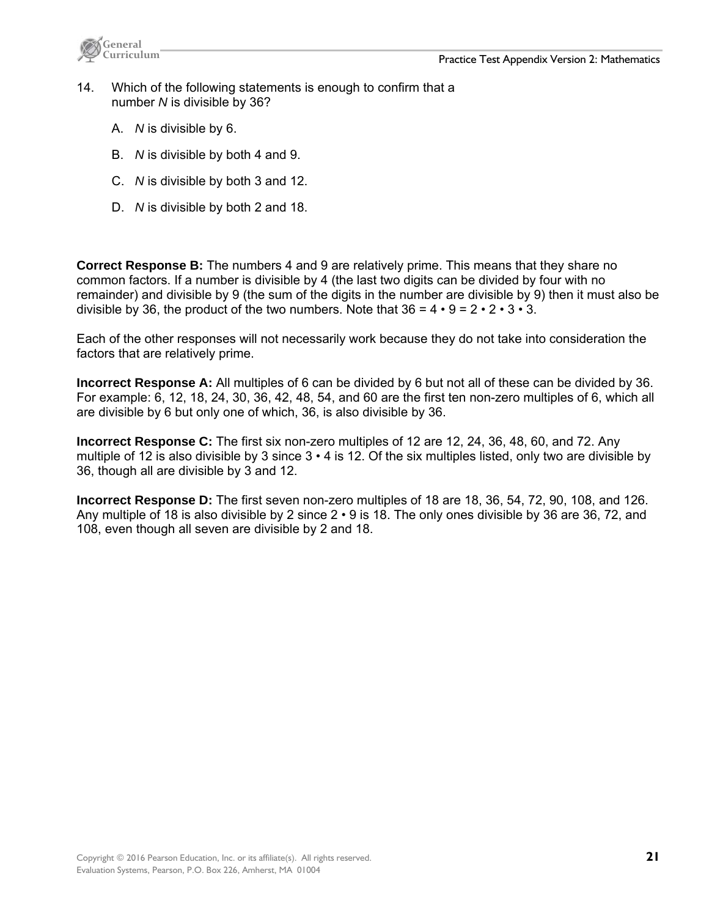



- 14. Which of the following statements is enough to confirm that a number *N* is divisible by 36?
	- A. *N* is divisible by 6.
	- B. *N* is divisible by both 4 and 9.
	- C. *N* is divisible by both 3 and 12.
	- D. *N* is divisible by both 2 and 18.

**Correct Response B:** The numbers 4 and 9 are relatively prime. This means that they share no common factors. If a number is divisible by 4 (the last two digits can be divided by four with no remainder) and divisible by 9 (the sum of the digits in the number are divisible by 9) then it must also be divisible by 36, the product of the two numbers. Note that  $36 = 4 \cdot 9 = 2 \cdot 2 \cdot 3 \cdot 3$ .

Each of the other responses will not necessarily work because they do not take into consideration the factors that are relatively prime.

**Incorrect Response A:** All multiples of 6 can be divided by 6 but not all of these can be divided by 36. For example: 6, 12, 18, 24, 30, 36, 42, 48, 54, and 60 are the first ten non-zero multiples of 6, which all are divisible by 6 but only one of which, 36, is also divisible by 36.

**Incorrect Response C:** The first six non-zero multiples of 12 are 12, 24, 36, 48, 60, and 72. Any multiple of 12 is also divisible by 3 since 3 • 4 is 12. Of the six multiples listed, only two are divisible by 36, though all are divisible by 3 and 12.

**Incorrect Response D:** The first seven non-zero multiples of 18 are 18, 36, 54, 72, 90, 108, and 126. Any multiple of 18 is also divisible by 2 since 2 • 9 is 18. The only ones divisible by 36 are 36, 72, and 108, even though all seven are divisible by 2 and 18.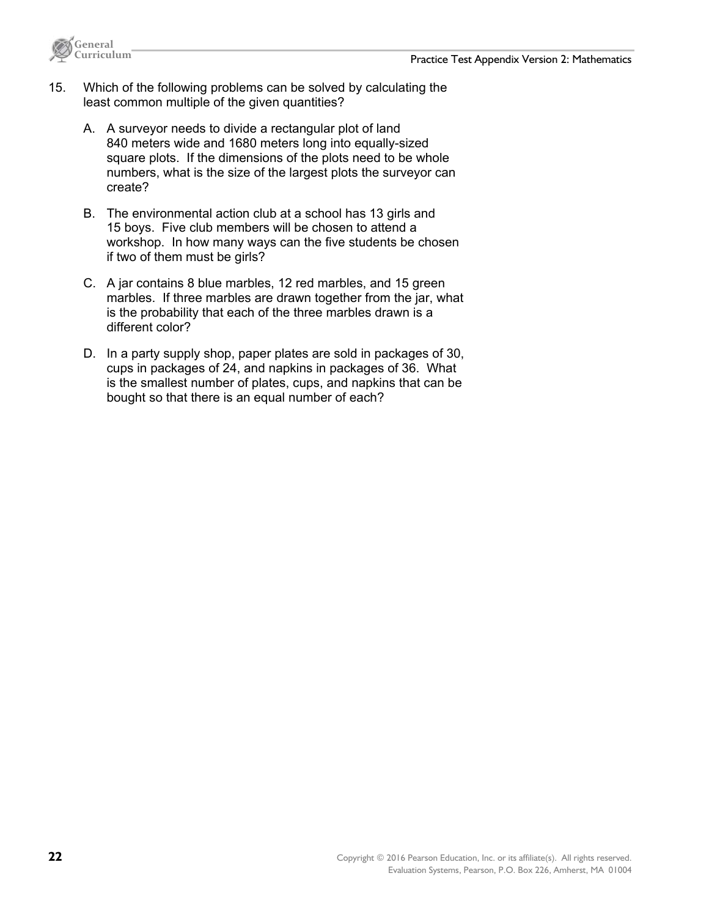

- 15. Which of the following problems can be solved by calculating the least common multiple of the given quantities?
	- A. A surveyor needs to divide a rectangular plot of land 840 meters wide and 1680 meters long into equally-sized square plots. If the dimensions of the plots need to be whole numbers, what is the size of the largest plots the surveyor can create?
	- B. The environmental action club at a school has 13 girls and 15 boys. Five club members will be chosen to attend a workshop. In how many ways can the five students be chosen if two of them must be girls?
	- C. A jar contains 8 blue marbles, 12 red marbles, and 15 green marbles. If three marbles are drawn together from the jar, what is the probability that each of the three marbles drawn is a different color?
	- D. In a party supply shop, paper plates are sold in packages of 30, cups in packages of 24, and napkins in packages of 36. What is the smallest number of plates, cups, and napkins that can be bought so that there is an equal number of each?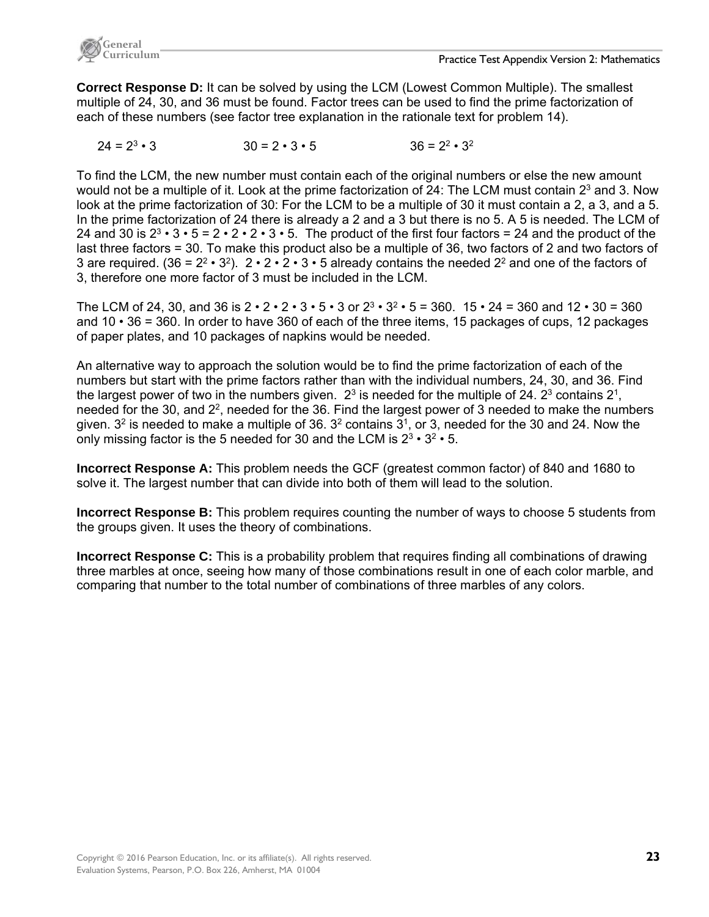

**Correct Response D:** It can be solved by using the LCM (Lowest Common Multiple). The smallest multiple of 24, 30, and 36 must be found. Factor trees can be used to find the prime factorization of each of these numbers (see factor tree explanation in the rationale text for problem 14).

 $24 = 2^3 \cdot 3$   $30 = 2 \cdot 3 \cdot 5$   $36 = 2^2 \cdot 3^2$ 

To find the LCM, the new number must contain each of the original numbers or else the new amount would not be a multiple of it. Look at the prime factorization of 24: The LCM must contain 2<sup>3</sup> and 3. Now look at the prime factorization of 30: For the LCM to be a multiple of 30 it must contain a 2, a 3, and a 5. In the prime factorization of 24 there is already a 2 and a 3 but there is no 5. A 5 is needed. The LCM of 24 and 30 is  $2^3 \cdot 3 \cdot 5 = 2 \cdot 2 \cdot 2 \cdot 3 \cdot 5$ . The product of the first four factors = 24 and the product of the last three factors = 30. To make this product also be a multiple of 36, two factors of 2 and two factors of 3 are required. (36 =  $2^2 \cdot 3^2$ ).  $2 \cdot 2 \cdot 2 \cdot 3 \cdot 5$  already contains the needed  $2^2$  and one of the factors of 3, therefore one more factor of 3 must be included in the LCM.

The LCM of 24, 30, and 36 is  $2 \cdot 2 \cdot 2 \cdot 3 \cdot 5 \cdot 3$  or  $2^3 \cdot 3^2 \cdot 5 = 360$ .  $15 \cdot 24 = 360$  and  $12 \cdot 30 = 360$ and  $10 \cdot 36 = 360$ . In order to have 360 of each of the three items, 15 packages of cups, 12 packages of paper plates, and 10 packages of napkins would be needed.

An alternative way to approach the solution would be to find the prime factorization of each of the numbers but start with the prime factors rather than with the individual numbers, 24, 30, and 36. Find the largest power of two in the numbers given.  $2<sup>3</sup>$  is needed for the multiple of 24.  $2<sup>3</sup>$  contains  $2<sup>1</sup>$ , needed for the 30, and 2<sup>2</sup>, needed for the 36. Find the largest power of 3 needed to make the numbers given.  $3^2$  is needed to make a multiple of 36.  $3^2$  contains  $3^1$ , or 3, needed for the 30 and 24. Now the only missing factor is the 5 needed for 30 and the LCM is  $2^3 \cdot 3^2 \cdot 5$ .

**Incorrect Response A:** This problem needs the GCF (greatest common factor) of 840 and 1680 to solve it. The largest number that can divide into both of them will lead to the solution.

**Incorrect Response B:** This problem requires counting the number of ways to choose 5 students from the groups given. It uses the theory of combinations.

**Incorrect Response C:** This is a probability problem that requires finding all combinations of drawing three marbles at once, seeing how many of those combinations result in one of each color marble, and comparing that number to the total number of combinations of three marbles of any colors.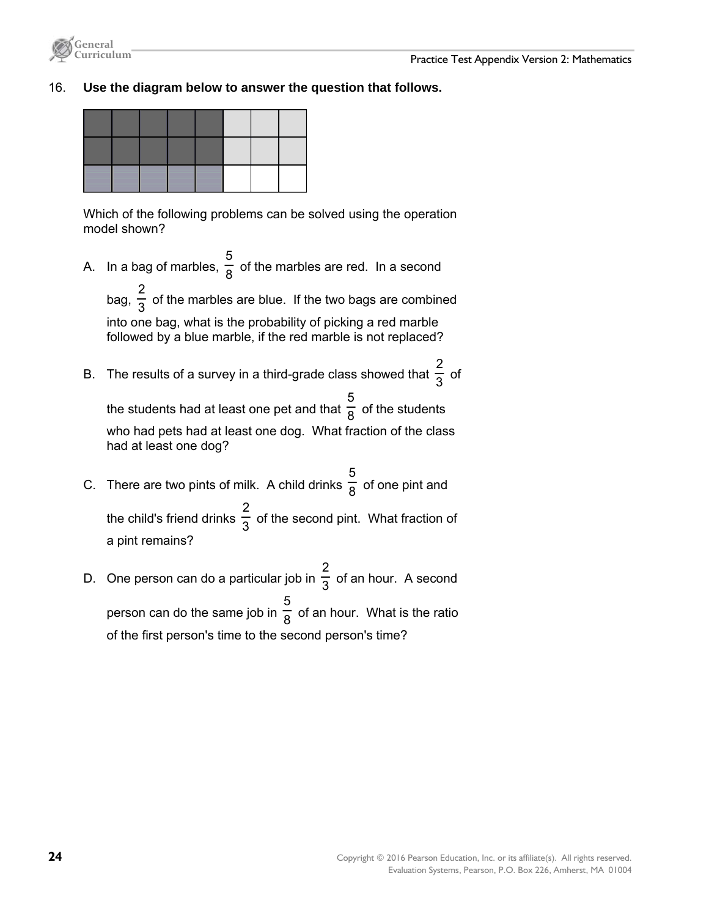

#### 16. **Use the diagram below to answer the question that follows.**

Which of the following problems can be solved using the operation model shown?

A. In a bag of marbles,  $\frac{1}{8}$ 5 of the marbles are red. In a second 2

bag,  $\frac{1}{3}$  of the marbles are blue. If the two bags are combined into one bag, what is the probability of picking a red marble followed by a blue marble, if the red marble is not replaced?

B. The results of a survey in a third-grade class showed that  $\frac{1}{3}$ 2 of

the students had at least one pet and that  $\frac{\overline{6}}{8}$ 5 of the students who had pets had at least one dog. What fraction of the class had at least one dog?

- C. There are two pints of milk. A child drinks  $\frac{1}{8}$ 5 of one pint and the child's friend drinks  $\frac{1}{3}$ 2 of the second pint. What fraction of a pint remains?
- D. One person can do a particular job in  $\frac{1}{3}$ 2 of an hour. A second person can do the same job in  $\frac{1}{8}$ 5 of an hour. What is the ratio of the first person's time to the second person's time?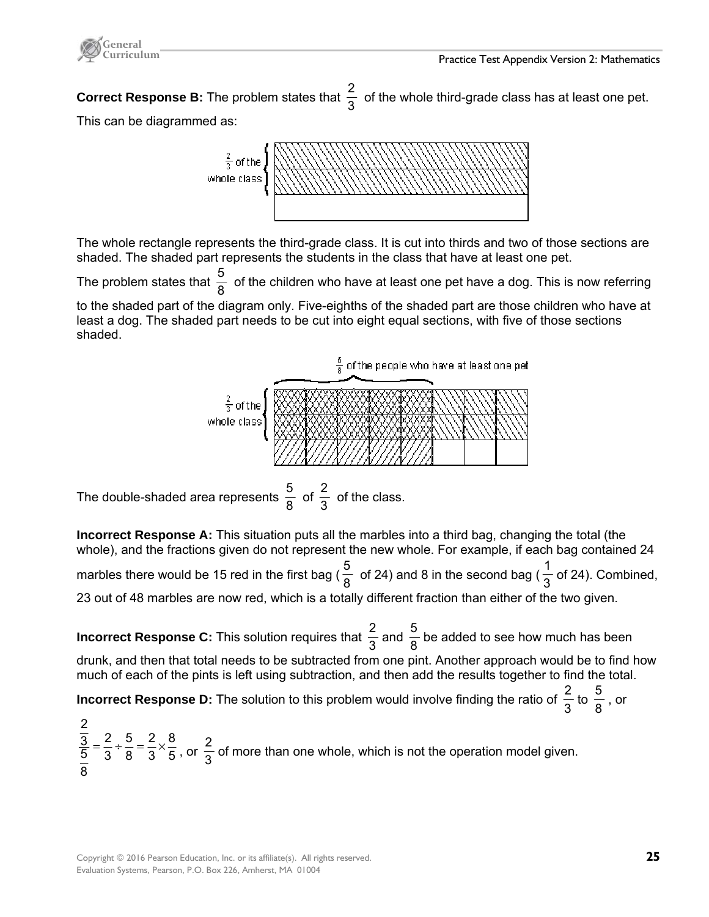



**Correct Response B:** The problem states that  $\frac{2}{3}$  of the whole third-grade class has at least one pet.

This can be diagrammed as:



The whole rectangle represents the third-grade class. It is cut into thirds and two of those sections are shaded. The shaded part represents the students in the class that have at least one pet.

The problem states that  $\frac{5}{8}\,$  of the children who have at least one pet have a dog. This is now referring to the shaded part of the diagram only. Five-eighths of the shaded part are those children who have at least a dog. The shaded part needs to be cut into eight equal sections, with five of those sections shaded.



The double-shaded area represents  $\frac{5}{8}$  of  $\frac{2}{3}$  of the class.

**Incorrect Response A:** This situation puts all the marbles into a third bag, changing the total (the whole), and the fractions given do not represent the new whole. For example, if each bag contained 24 marbles there would be 15 red in the first bag ( $\frac{5}{8}$  of 24) and 8 in the second bag ( $\frac{1}{3}$  of 24). Combined, 23 out of 48 marbles are now red, which is a totally different fraction than either of the two given.

**Incorrect Response C:** This solution requires that  $\frac{2}{3}$  and  $\frac{5}{8}$  be added to see how much has been drunk, and then that total needs to be subtracted from one pint. Another approach would be to find how much of each of the pints is left using subtraction, and then add the results together to find the total.

**Incorrect Response D:** The solution to this problem would involve finding the ratio of  $\frac{2}{3}$  to  $\frac{5}{8}$  , or

2  $\overline{3}$   $\overline{2}$   $\overline{2}$   $\overline{5}$   $\overline{2}$   $\overline{2}$   $\overline{8}$  $5^{\degree}$   $3^{\degree}$   $8^{\degree}$   $3^{\degree}$   $5$ 8  $=\frac{2}{3} \div \frac{5}{8} = \frac{2}{3} \times \frac{8}{5}$ , or  $\frac{2}{3}$  of more than one whole, which is not the operation model given.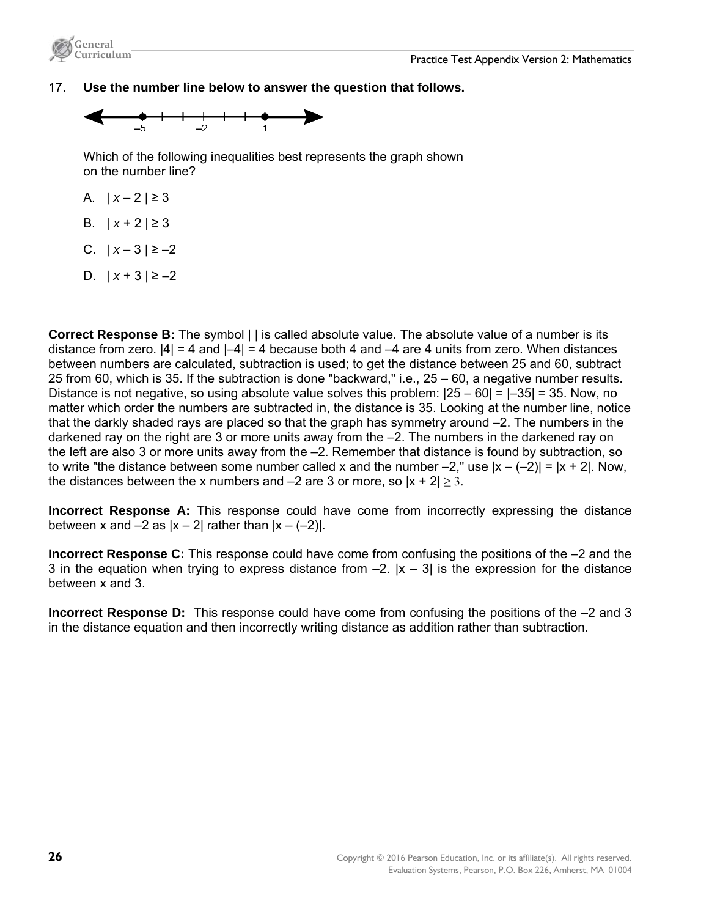

### 17. **Use the number line below to answer the question that follows.**



Which of the following inequalities best represents the graph shown on the number line?

- A.  $|x-2| \ge 3$
- B.  $|x+2|≥3$
- C.  $|x-3| \ge -2$
- D.  $|x+3| \ge -2$

**Correct Response B:** The symbol | | is called absolute value. The absolute value of a number is its distance from zero.  $|4| = 4$  and  $|-4| = 4$  because both 4 and  $-4$  are 4 units from zero. When distances between numbers are calculated, subtraction is used; to get the distance between 25 and 60, subtract 25 from 60, which is 35. If the subtraction is done "backward," i.e., 25 – 60, a negative number results. Distance is not negative, so using absolute value solves this problem: |25 – 60| = |–35| = 35. Now, no matter which order the numbers are subtracted in, the distance is 35. Looking at the number line, notice that the darkly shaded rays are placed so that the graph has symmetry around –2. The numbers in the darkened ray on the right are 3 or more units away from the –2. The numbers in the darkened ray on the left are also 3 or more units away from the –2. Remember that distance is found by subtraction, so to write "the distance between some number called x and the number  $-2$ ," use  $|x - (-2)| = |x + 2|$ . Now, the distances between the x numbers and  $-2$  are 3 or more, so  $|x + 2| \ge 3$ .

**Incorrect Response A:** This response could have come from incorrectly expressing the distance between x and  $-2$  as  $|x - 2|$  rather than  $|x - (-2)|$ .

**Incorrect Response C:** This response could have come from confusing the positions of the –2 and the 3 in the equation when trying to express distance from  $-2$ .  $|x - 3|$  is the expression for the distance between x and 3.

**Incorrect Response D:** This response could have come from confusing the positions of the –2 and 3 in the distance equation and then incorrectly writing distance as addition rather than subtraction.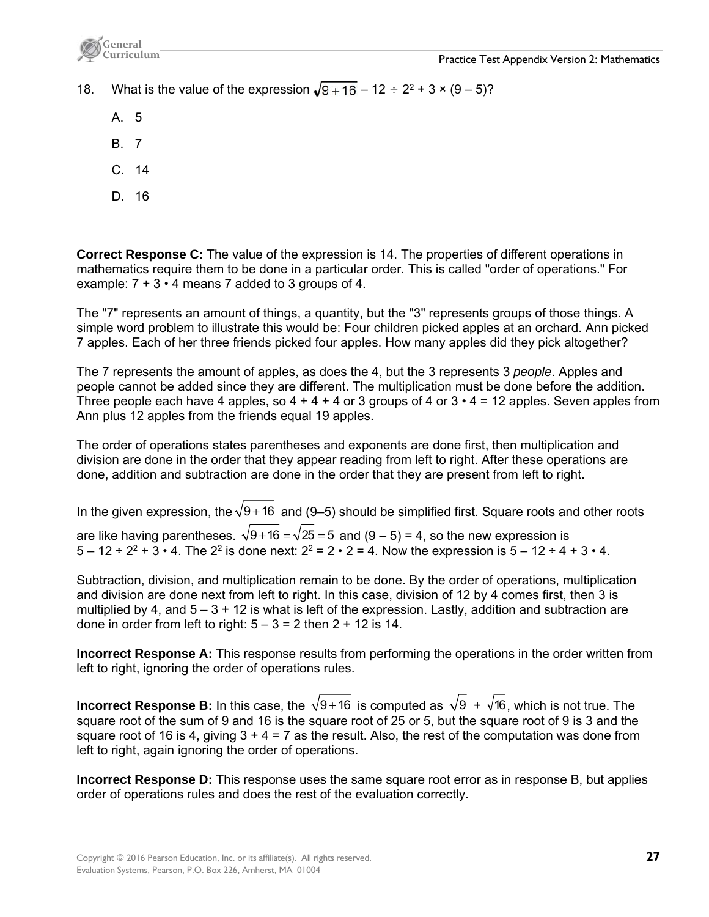

- 18. What is the value of the expression  $\sqrt{9+16} 12 \div 2^2 + 3 \times (9-5)$ ?
	- A. 5
	- B. 7
	- C. 14
	- D. 16

**Correct Response C:** The value of the expression is 14. The properties of different operations in mathematics require them to be done in a particular order. This is called "order of operations." For example:  $7 + 3 \cdot 4$  means 7 added to 3 groups of 4.

The "7" represents an amount of things, a quantity, but the "3" represents groups of those things. A simple word problem to illustrate this would be: Four children picked apples at an orchard. Ann picked 7 apples. Each of her three friends picked four apples. How many apples did they pick altogether?

The 7 represents the amount of apples, as does the 4, but the 3 represents 3 *people*. Apples and people cannot be added since they are different. The multiplication must be done before the addition. Three people each have 4 apples, so  $4 + 4 + 4$  or 3 groups of 4 or  $3 \cdot 4 = 12$  apples. Seven apples from Ann plus 12 apples from the friends equal 19 apples.

The order of operations states parentheses and exponents are done first, then multiplication and division are done in the order that they appear reading from left to right. After these operations are done, addition and subtraction are done in the order that they are present from left to right.

In the given expression, the  $\sqrt{9} + 16$  and (9–5) should be simplified first. Square roots and other roots are like having parentheses.  $\sqrt{9 + 16} = \sqrt{25} = 5$  and (9 – 5) = 4, so the new expression is  $5 - 12 \div 2^2 + 3 \cdot 4$ . The 2<sup>2</sup> is done next:  $2^2 = 2 \cdot 2 = 4$ . Now the expression is  $5 - 12 \div 4 + 3 \cdot 4$ .

Subtraction, division, and multiplication remain to be done. By the order of operations, multiplication and division are done next from left to right. In this case, division of 12 by 4 comes first, then 3 is multiplied by 4, and  $5 - 3 + 12$  is what is left of the expression. Lastly, addition and subtraction are done in order from left to right:  $5 - 3 = 2$  then  $2 + 12$  is 14.

**Incorrect Response A:** This response results from performing the operations in the order written from left to right, ignoring the order of operations rules.

**Incorrect Response B:** In this case, the  $\sqrt{9 + 16}$  is computed as  $\sqrt{9} + \sqrt{16}$ , which is not true. The square root of the sum of 9 and 16 is the square root of 25 or 5, but the square root of 9 is 3 and the square root of 16 is 4, giving  $3 + 4 = 7$  as the result. Also, the rest of the computation was done from left to right, again ignoring the order of operations.

**Incorrect Response D:** This response uses the same square root error as in response B, but applies order of operations rules and does the rest of the evaluation correctly.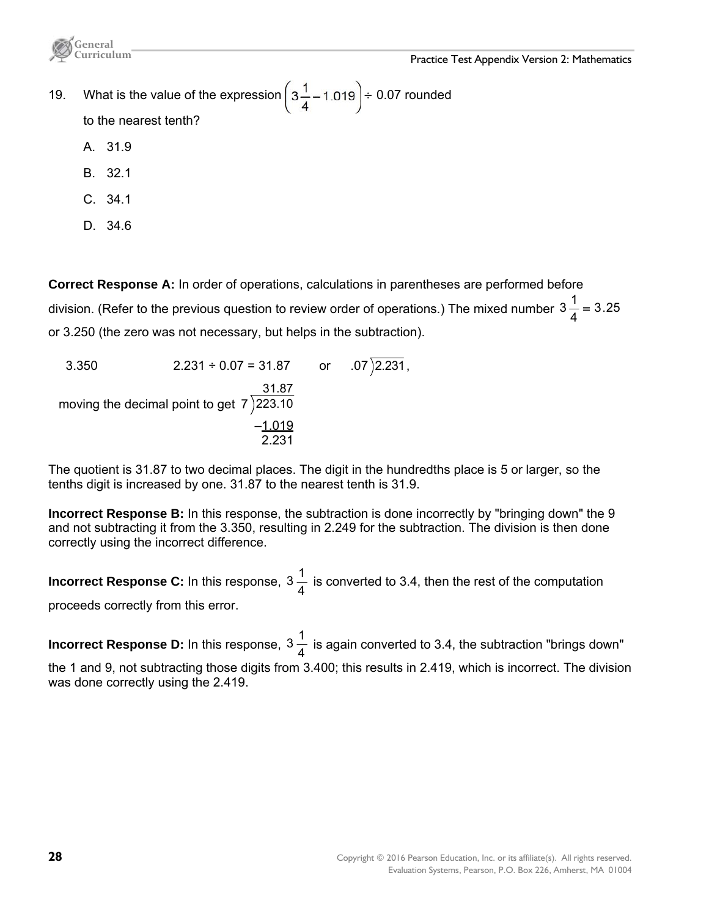

- 19. What is the value of the expression  $\left(3\frac{1}{4}-1.019\right)\div 0.07$  rounded to the nearest tenth?
	- A. 31.9
	- B. 32.1
	- C. 34.1
	- D. 34.6

**Correct Response A:** In order of operations, calculations in parentheses are performed before division. (Refer to the previous question to review order of operations.) The mixed number 3  $\frac{1}{4}$  = 3.25 or 3.250 (the zero was not necessary, but helps in the subtraction).

3.350 2.231 ÷ 0.07 = 31.87 or .07  $\sqrt{2.231}$ , moving the decimal point to get 7 31.87 223.10  $-1.019$  $-1.019$ <br>2.231

The quotient is 31.87 to two decimal places. The digit in the hundredths place is 5 or larger, so the tenths digit is increased by one. 31.87 to the nearest tenth is 31.9.

**Incorrect Response B:** In this response, the subtraction is done incorrectly by "bringing down" the 9 and not subtracting it from the 3.350, resulting in 2.249 for the subtraction. The division is then done correctly using the incorrect difference.

**Incorrect Response C:** In this response,  $3\frac{1}{4}$  is converted to 3.4, then the rest of the computation proceeds correctly from this error.

**Incorrect Response D:** In this response,  $3\frac{1}{4}$  is again converted to 3.4, the subtraction "brings down" the 1 and 9, not subtracting those digits from 3.400; this results in 2.419, which is incorrect. The division was done correctly using the 2.419.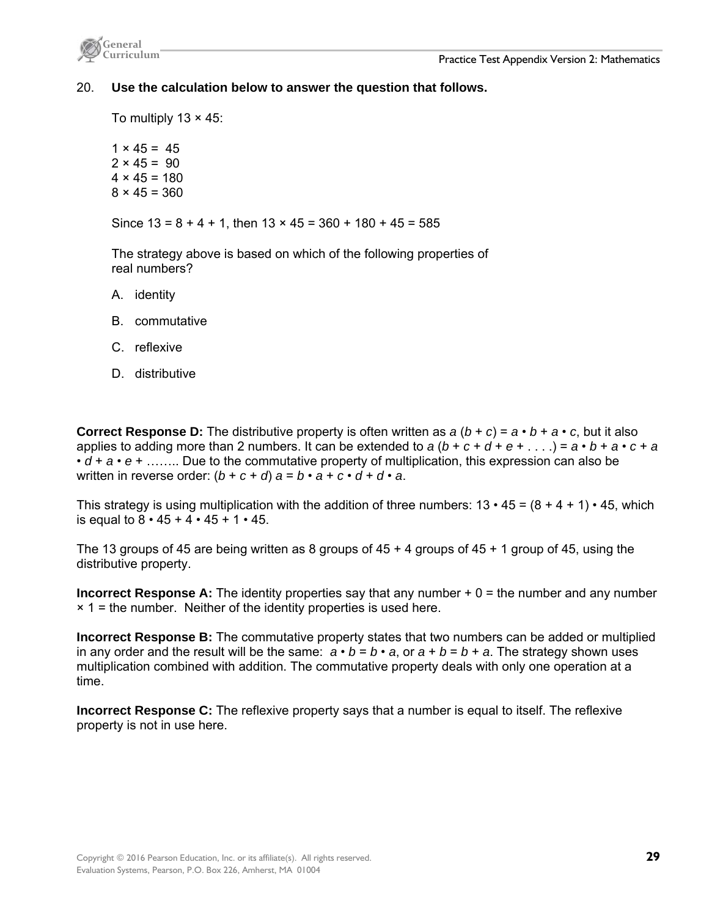

### 20. **Use the calculation below to answer the question that follows.**

To multiply  $13 \times 45$ :

 $1 \times 45 = 45$  $2 \times 45 = 90$  $4 \times 45 = 180$  $8 \times 45 = 360$ 

Since  $13 = 8 + 4 + 1$ , then  $13 \times 45 = 360 + 180 + 45 = 585$ 

The strategy above is based on which of the following properties of real numbers?

- A. identity
- B. commutative
- C. reflexive
- D. distributive

**Correct Response D:** The distributive property is often written as  $a (b + c) = a \cdot b + a \cdot c$ , but it also applies to adding more than 2 numbers. It can be extended to  $a(b+c+d+e+...)=a \cdot b + a \cdot c + a$ • *d* + *a* • *e* + …….. Due to the commutative property of multiplication, this expression can also be written in reverse order:  $(b + c + d)$   $a = b \cdot a + c \cdot d + d \cdot a$ .

This strategy is using multiplication with the addition of three numbers:  $13 \cdot 45 = (8 + 4 + 1) \cdot 45$ , which is equal to  $8 \cdot 45 + 4 \cdot 45 + 1 \cdot 45$ .

The 13 groups of 45 are being written as 8 groups of 45 + 4 groups of 45 + 1 group of 45, using the distributive property.

**Incorrect Response A:** The identity properties say that any number + 0 = the number and any number  $\times$  1 = the number. Neither of the identity properties is used here.

**Incorrect Response B:** The commutative property states that two numbers can be added or multiplied in any order and the result will be the same:  $a \cdot b = b \cdot a$ , or  $a + b = b + a$ . The strategy shown uses multiplication combined with addition. The commutative property deals with only one operation at a time.

**Incorrect Response C:** The reflexive property says that a number is equal to itself. The reflexive property is not in use here.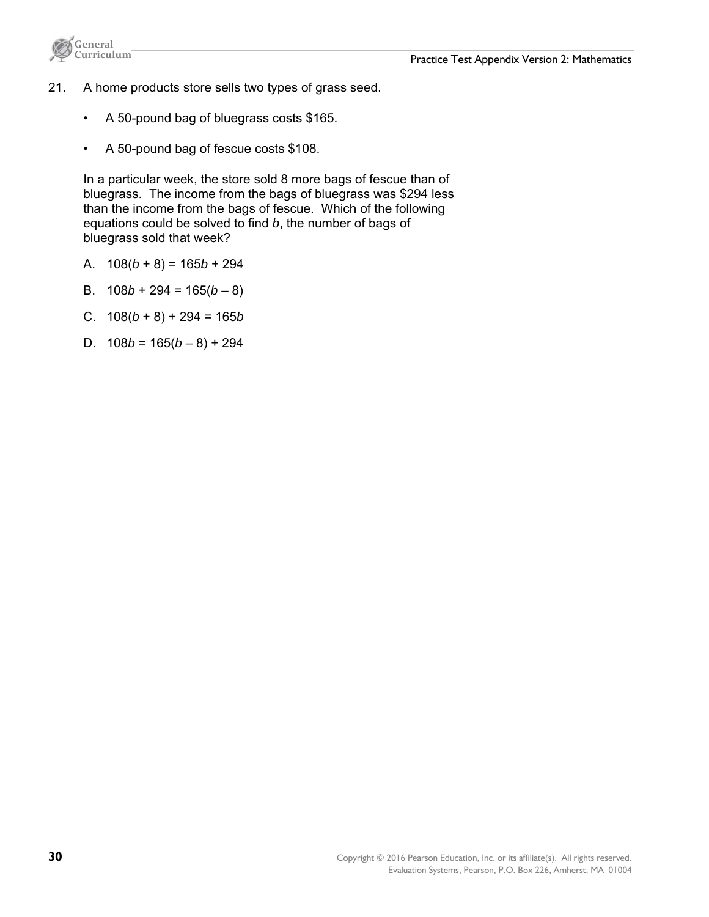



- 21. A home products store sells two types of grass seed.
	- A 50-pound bag of bluegrass costs \$165.
	- A 50-pound bag of fescue costs \$108.

In a particular week, the store sold 8 more bags of fescue than of bluegrass. The income from the bags of bluegrass was \$294 less than the income from the bags of fescue. Which of the following equations could be solved to find *b*, the number of bags of bluegrass sold that week?

- A.  $108(b+8) = 165b + 294$
- B.  $108b + 294 = 165(b 8)$
- C. 108(*b* + 8) + 294 = 165*b*
- D.  $108b = 165(b-8) + 294$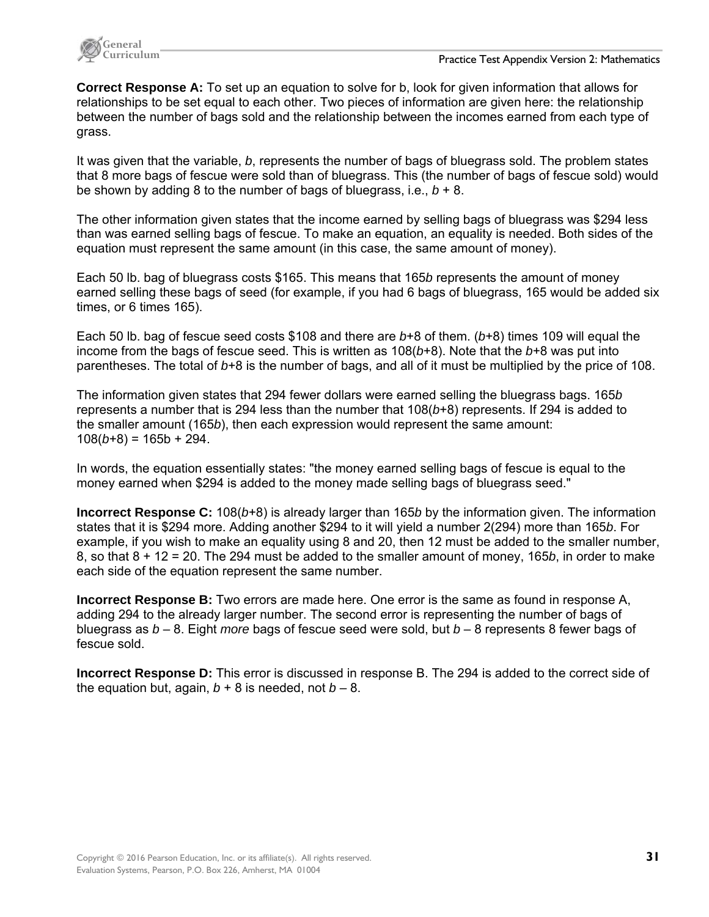

**Correct Response A:** To set up an equation to solve for b, look for given information that allows for relationships to be set equal to each other. Two pieces of information are given here: the relationship between the number of bags sold and the relationship between the incomes earned from each type of grass.

It was given that the variable, *b*, represents the number of bags of bluegrass sold. The problem states that 8 more bags of fescue were sold than of bluegrass. This (the number of bags of fescue sold) would be shown by adding 8 to the number of bags of bluegrass, i.e.,  $b + 8$ .

The other information given states that the income earned by selling bags of bluegrass was \$294 less than was earned selling bags of fescue. To make an equation, an equality is needed. Both sides of the equation must represent the same amount (in this case, the same amount of money).

Each 50 lb. bag of bluegrass costs \$165. This means that 165*b* represents the amount of money earned selling these bags of seed (for example, if you had 6 bags of bluegrass, 165 would be added six times, or 6 times 165).

Each 50 lb. bag of fescue seed costs \$108 and there are *b*+8 of them. (*b*+8) times 109 will equal the income from the bags of fescue seed. This is written as 108(*b*+8). Note that the *b*+8 was put into parentheses. The total of *b*+8 is the number of bags, and all of it must be multiplied by the price of 108.

The information given states that 294 fewer dollars were earned selling the bluegrass bags. 165*b* represents a number that is 294 less than the number that 108(*b*+8) represents. If 294 is added to the smaller amount (165*b*), then each expression would represent the same amount:  $108(b+8) = 165b + 294.$ 

In words, the equation essentially states: "the money earned selling bags of fescue is equal to the money earned when \$294 is added to the money made selling bags of bluegrass seed."

**Incorrect Response C:** 108(*b*+8) is already larger than 165*b* by the information given. The information states that it is \$294 more. Adding another \$294 to it will yield a number 2(294) more than 165*b*. For example, if you wish to make an equality using 8 and 20, then 12 must be added to the smaller number, 8, so that 8 + 12 = 20. The 294 must be added to the smaller amount of money, 165*b*, in order to make each side of the equation represent the same number.

**Incorrect Response B:** Two errors are made here. One error is the same as found in response A, adding 294 to the already larger number. The second error is representing the number of bags of bluegrass as *b* – 8. Eight *more* bags of fescue seed were sold, but *b* – 8 represents 8 fewer bags of fescue sold.

**Incorrect Response D:** This error is discussed in response B. The 294 is added to the correct side of the equation but, again,  $b + 8$  is needed, not  $b - 8$ .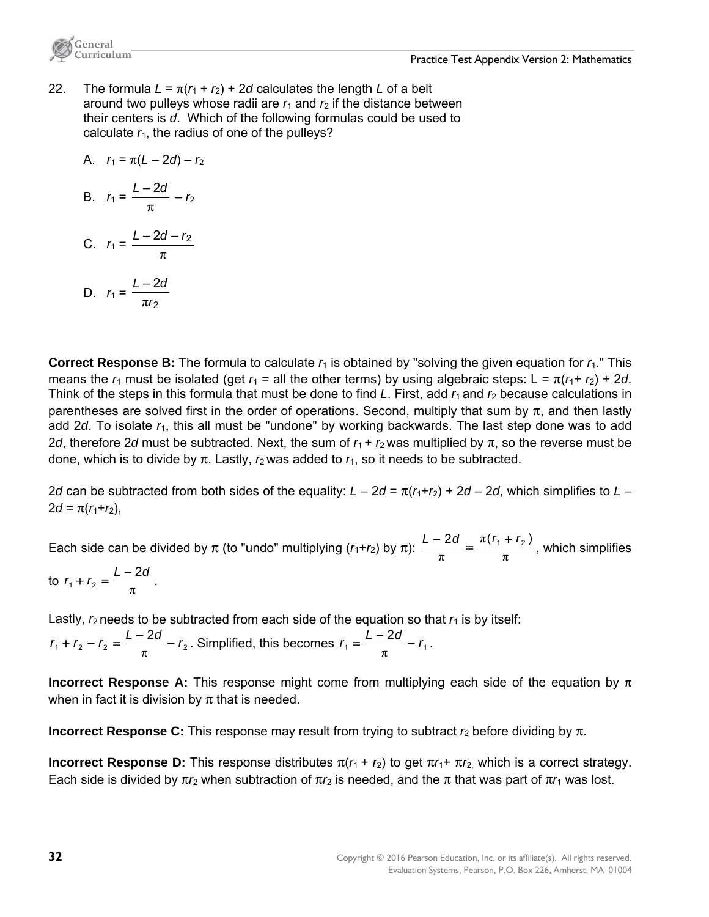

22. The formula  $L = \pi(r_1 + r_2) + 2d$  calculates the length L of a belt around two pulleys whose radii are  $r_1$  and  $r_2$  if the distance between their centers is *d*. Which of the following formulas could be used to calculate  $r_1$ , the radius of one of the pulleys?

A. 
$$
r_1 = \pi(L - 2d) - r_2
$$

**General** 

B. 
$$
r_1 = \frac{L-2d}{\pi} - r_2
$$

C. 
$$
r_1 = \frac{L - 2d - r_2}{\pi}
$$
  
D. 
$$
r_1 = \frac{L - 2d}{\pi}
$$

2

*r*

π

**Correct Response B:** The formula to calculate  $r_1$  is obtained by "solving the given equation for  $r_1$ ." This means the  $r_1$  must be isolated (get  $r_1$  = all the other terms) by using algebraic steps: L =  $\pi(r_1 + r_2) + 2d$ . Think of the steps in this formula that must be done to find *L*. First, add  $r_1$  and  $r_2$  because calculations in parentheses are solved first in the order of operations. Second, multiply that sum by  $\pi$ , and then lastly add 2*d*. To isolate *r*1, this all must be "undone" by working backwards. The last step done was to add 2*d*, therefore 2*d* must be subtracted. Next, the sum of  $r_1 + r_2$  was multiplied by  $\pi$ , so the reverse must be done, which is to divide by  $π$ . Lastly,  $r_2$  was added to  $r_1$ , so it needs to be subtracted.

2*d* can be subtracted from both sides of the equality:  $L - 2d = \pi (r_1 + r_2) + 2d - 2d$ , which simplifies to  $L 2d = \pi(r_1 + r_2)$ ,

Each side can be divided by  $\pi$  (to "undo" multiplying  $(r_1+r_2)$  by  $\pi$ ):  $\frac{1}{\pi} = \frac{R(r_1+r_2)}{\pi}$ π  $\frac{L-2d}{\pi} = \frac{\pi(r_1 + r_2)}{\pi}$ , which simplifies

to 
$$
r_1 + r_2 = \frac{L - 2d}{\pi}
$$
.

Lastly,  $r_2$  needs to be subtracted from each side of the equation so that  $r_1$  is by itself:  $r_1 + r_2 - r_2 = \frac{L - 2d}{a} - r_2$ +  $r_2 - r_2 = \frac{L - 2d}{\pi} - r_2$ . Simplified, this becomes  $r_1 = \frac{L - 2d}{\pi} - r_1$ .

**Incorrect Response A:** This response might come from multiplying each side of the equation by π when in fact it is division by  $\pi$  that is needed.

**Incorrect Response C:** This response may result from trying to subtract *r*2 before dividing by π.

**Incorrect Response D:** This response distributes  $\pi(r_1 + r_2)$  to get  $\pi r_1 + \pi r_2$  which is a correct strategy. Each side is divided by  $\pi r_2$  when subtraction of  $\pi r_2$  is needed, and the  $\pi$  that was part of  $\pi r_1$  was lost.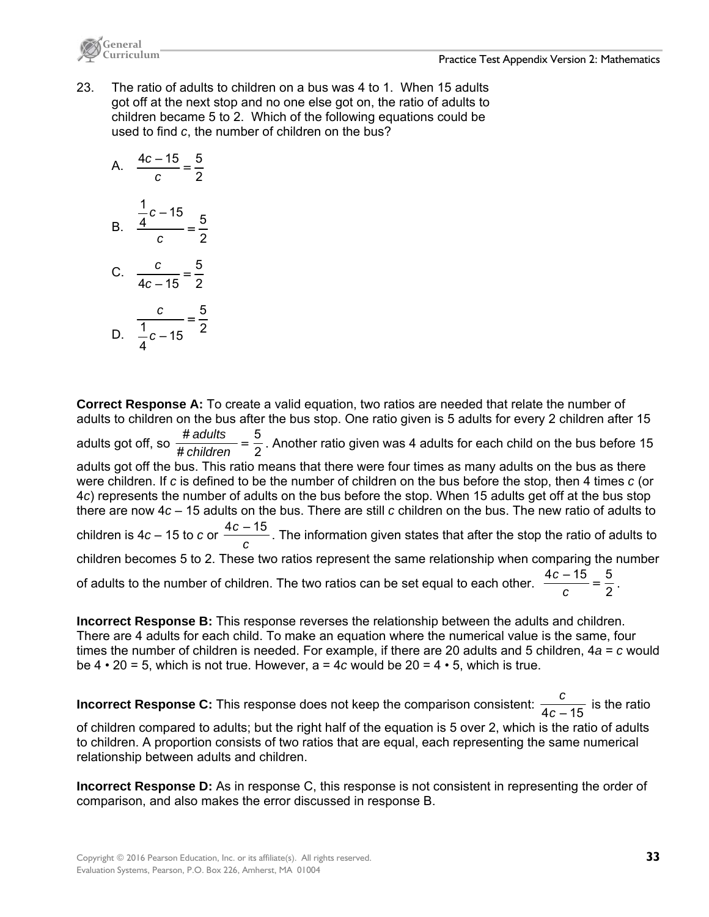



23. The ratio of adults to children on a bus was 4 to 1. When 15 adults got off at the next stop and no one else got on, the ratio of adults to children became 5 to 2. Which of the following equations could be used to find *c*, the number of children on the bus?

A. 
$$
\frac{4c - 15}{c} = \frac{5}{2}
$$
  
B. 
$$
\frac{\frac{1}{4}c - 15}{c} = \frac{5}{2}
$$
  
C. 
$$
\frac{c}{4c - 15} = \frac{5}{2}
$$
  
D. 
$$
\frac{c}{\frac{1}{4}c - 15} = \frac{5}{2}
$$

**Correct Response A:** To create a valid equation, two ratios are needed that relate the number of adults to children on the bus after the bus stop. One ratio given is 5 adults for every 2 children after 15 adults got off, so  $\frac{\textit{\# adults}}{\textit{\# children}} = \frac{5}{2}$  $\frac{\textit{# adults}}{\textit{the children}} = \frac{5}{2}$ . Another ratio given was 4 adults for each child on the bus before 15 adults got off the bus. This ratio means that there were four times as many adults on the bus as there were children. If *c* is defined to be the number of children on the bus before the stop, then 4 times *c* (or 4*c*) represents the number of adults on the bus before the stop. When 15 adults get off at the bus stop there are now 4*c* – 15 adults on the bus. There are still *c* children on the bus. The new ratio of adults to children is 4*c* – 15 to *c* or  $\frac{4c-15}{c}$  . The information given states that after the stop the ratio of adults to children becomes 5 to 2. These two ratios represent the same relationship when comparing the number of adults to the number of children. The two ratios can be set equal to each other.  $\frac{4c-15}{c} = \frac{5}{2}$ .

**Incorrect Response B:** This response reverses the relationship between the adults and children. There are 4 adults for each child. To make an equation where the numerical value is the same, four times the number of children is needed. For example, if there are 20 adults and 5 children, 4*a* = *c* would be  $4 \cdot 20 = 5$ , which is not true. However,  $a = 4c$  would be  $20 = 4 \cdot 5$ , which is true.

**Incorrect Response C:** This response does not keep the comparison consistent:  $\frac{c}{4c-15}$  is the ratio of children compared to adults; but the right half of the equation is 5 over 2, which is the ratio of adults to children. A proportion consists of two ratios that are equal, each representing the same numerical relationship between adults and children.

**Incorrect Response D:** As in response C, this response is not consistent in representing the order of comparison, and also makes the error discussed in response B.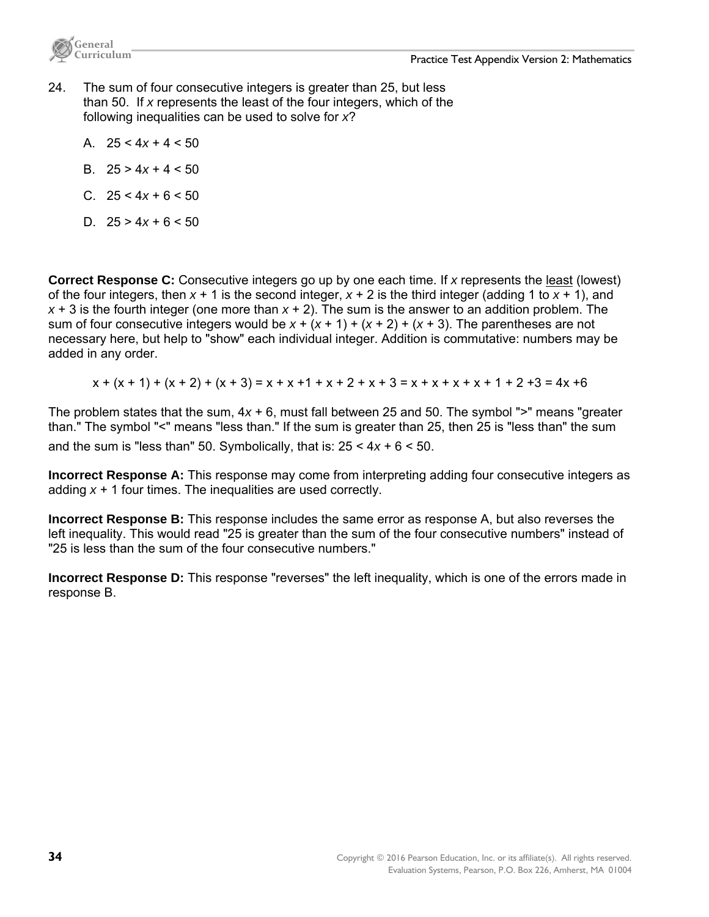



- 24. The sum of four consecutive integers is greater than 25, but less than 50. If *x* represents the least of the four integers, which of the following inequalities can be used to solve for *x*?
	- A. 25 < 4*x* + 4 < 50
	- B. 25 > 4*x* + 4 < 50
	- C. 25 < 4*x* + 6 < 50
	- D.  $25 > 4x + 6 < 50$

**Correct Response C:** Consecutive integers go up by one each time. If *x* represents the least (lowest) of the four integers, then  $x + 1$  is the second integer,  $x + 2$  is the third integer (adding 1 to  $x + 1$ ), and *x* + 3 is the fourth integer (one more than *x* + 2). The sum is the answer to an addition problem. The sum of four consecutive integers would be  $x + (x + 1) + (x + 2) + (x + 3)$ . The parentheses are not necessary here, but help to "show" each individual integer. Addition is commutative: numbers may be added in any order.

$$
x + (x + 1) + (x + 2) + (x + 3) = x + x + 1 + x + 2 + x + 3 = x + x + x + x + 1 + 2 + 3 = 4x + 6
$$

The problem states that the sum, 4*x* + 6, must fall between 25 and 50. The symbol ">" means "greater than." The symbol "<" means "less than." If the sum is greater than 25, then 25 is "less than" the sum and the sum is "less than" 50. Symbolically, that is:  $25 < 4x + 6 < 50$ .

**Incorrect Response A:** This response may come from interpreting adding four consecutive integers as adding *x* + 1 four times. The inequalities are used correctly.

**Incorrect Response B:** This response includes the same error as response A, but also reverses the left inequality. This would read "25 is greater than the sum of the four consecutive numbers" instead of "25 is less than the sum of the four consecutive numbers."

**Incorrect Response D:** This response "reverses" the left inequality, which is one of the errors made in response B.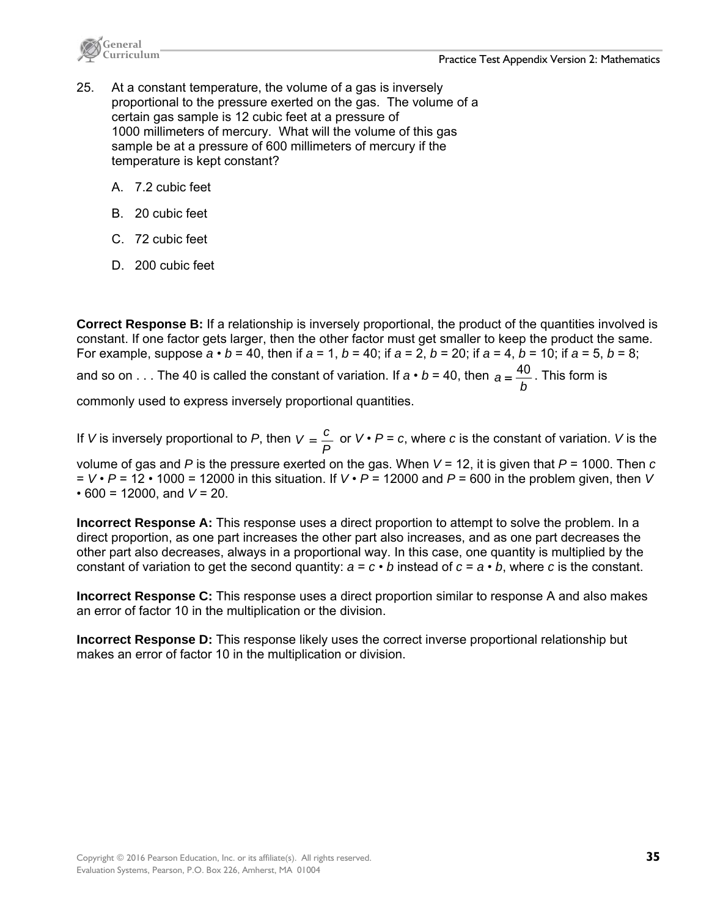

- 25. At a constant temperature, the volume of a gas is inversely proportional to the pressure exerted on the gas. The volume of a certain gas sample is 12 cubic feet at a pressure of 1000 millimeters of mercury. What will the volume of this gas sample be at a pressure of 600 millimeters of mercury if the temperature is kept constant?
	- A. 7.2 cubic feet
	- B. 20 cubic feet
	- C. 72 cubic feet
	- D. 200 cubic feet

**Correct Response B:** If a relationship is inversely proportional, the product of the quantities involved is constant. If one factor gets larger, then the other factor must get smaller to keep the product the same. For example, suppose  $a \cdot b = 40$ , then if  $a = 1$ ,  $b = 40$ ; if  $a = 2$ ,  $b = 20$ ; if  $a = 4$ ,  $b = 10$ ; if  $a = 5$ ,  $b = 8$ ; and so on . . . The 40 is called the constant of variation. If  $a \cdot b = 40$ , then *b*  $a = \frac{40}{4}$ . This form is

commonly used to express inversely proportional quantities.

If *V* is inversely proportional to *P*, then  $V = \frac{c}{P}$  or  $V \cdot P = c$ , where *c* is the constant of variation. *V* is the

volume of gas and *P* is the pressure exerted on the gas. When *V* = 12, it is given that *P* = 1000. Then *c* = *V* • *P* = 12 • 1000 = 12000 in this situation. If *V* • *P* = 12000 and *P* = 600 in the problem given, then *V*  $\cdot$  600 = 12000, and  $V = 20$ .

**Incorrect Response A:** This response uses a direct proportion to attempt to solve the problem. In a direct proportion, as one part increases the other part also increases, and as one part decreases the other part also decreases, always in a proportional way. In this case, one quantity is multiplied by the constant of variation to get the second quantity:  $a = c \cdot b$  instead of  $c = a \cdot b$ , where *c* is the constant.

**Incorrect Response C:** This response uses a direct proportion similar to response A and also makes an error of factor 10 in the multiplication or the division.

**Incorrect Response D:** This response likely uses the correct inverse proportional relationship but makes an error of factor 10 in the multiplication or division.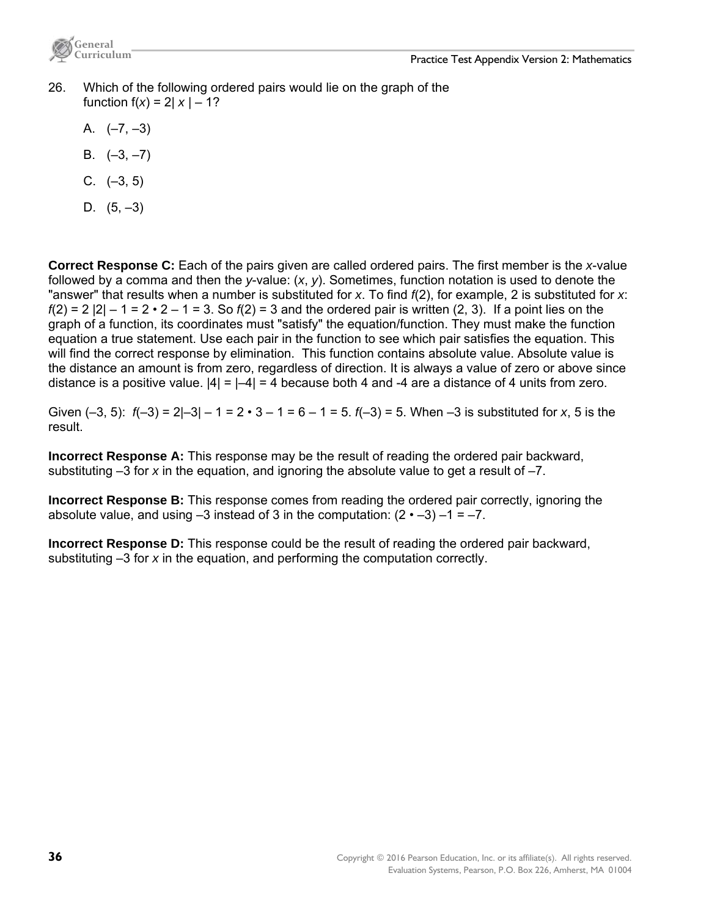

- 26. Which of the following ordered pairs would lie on the graph of the function  $f(x) = 2|x| - 1$ ?
	- A.  $(-7, -3)$
	- B.  $(-3, -7)$
	- $C.$   $(-3.5)$
	- D.  $(5, -3)$

**Correct Response C:** Each of the pairs given are called ordered pairs. The first member is the *x*-value followed by a comma and then the *y*-value: (*x*, *y*). Sometimes, function notation is used to denote the "answer" that results when a number is substituted for *x*. To find *f*(2), for example, 2 is substituted for *x*: *f*(2) = 2 |2| – 1 = 2 • 2 – 1 = 3. So *f*(2) = 3 and the ordered pair is written (2, 3). If a point lies on the graph of a function, its coordinates must "satisfy" the equation/function. They must make the function equation a true statement. Use each pair in the function to see which pair satisfies the equation. This will find the correct response by elimination. This function contains absolute value. Absolute value is the distance an amount is from zero, regardless of direction. It is always a value of zero or above since distance is a positive value.  $|4| = |-4| = 4$  because both 4 and -4 are a distance of 4 units from zero.

Given  $(-3, 5)$ :  $f(-3) = 2|-3|-1 = 2 \cdot 3 - 1 = 6 - 1 = 5$ .  $f(-3) = 5$ . When  $-3$  is substituted for x, 5 is the result.

**Incorrect Response A:** This response may be the result of reading the ordered pair backward, substituting –3 for *x* in the equation, and ignoring the absolute value to get a result of –7.

**Incorrect Response B:** This response comes from reading the ordered pair correctly, ignoring the absolute value, and using  $-3$  instead of 3 in the computation:  $(2 \cdot -3) -1 = -7$ .

**Incorrect Response D:** This response could be the result of reading the ordered pair backward, substituting –3 for *x* in the equation, and performing the computation correctly.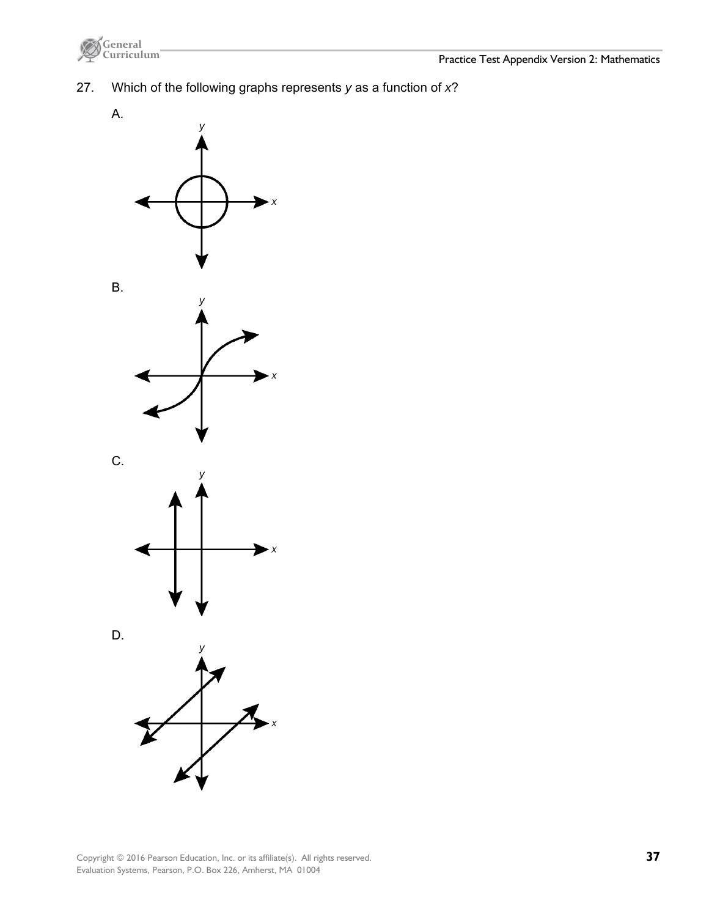

27. Which of the following graphs represents *y* as a function of *x*?

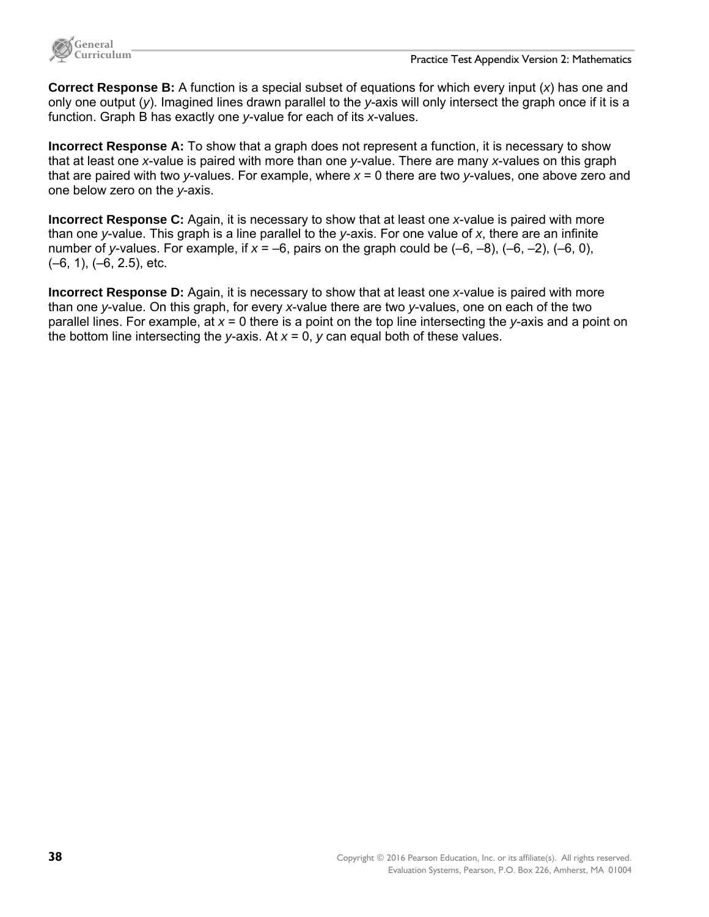

**Correct Response B:** A function is a special subset of equations for which every input (*x*) has one and only one output (*y*). Imagined lines drawn parallel to the *y*-axis will only intersect the graph once if it is a function. Graph B has exactly one *y*-value for each of its *x*-values.

**Incorrect Response A:** To show that a graph does not represent a function, it is necessary to show that at least one *x*-value is paired with more than one *y*-value. There are many *x*-values on this graph that are paired with two *y*-values. For example, where *x* = 0 there are two *y*-values, one above zero and one below zero on the *y*-axis.

**Incorrect Response C:** Again, it is necessary to show that at least one *x*-value is paired with more than one *y*-value. This graph is a line parallel to the *y*-axis. For one value of *x*, there are an infinite number of *y*-values. For example, if *x* = –6, pairs on the graph could be (–6, –8), (–6, –2), (–6, 0), (–6, 1), (–6, 2.5), etc.

**Incorrect Response D:** Again, it is necessary to show that at least one *x*-value is paired with more than one *y*-value. On this graph, for every *x*-value there are two *y*-values, one on each of the two parallel lines. For example, at *x* = 0 there is a point on the top line intersecting the *y*-axis and a point on the bottom line intersecting the *y*-axis. At *x* = 0, *y* can equal both of these values.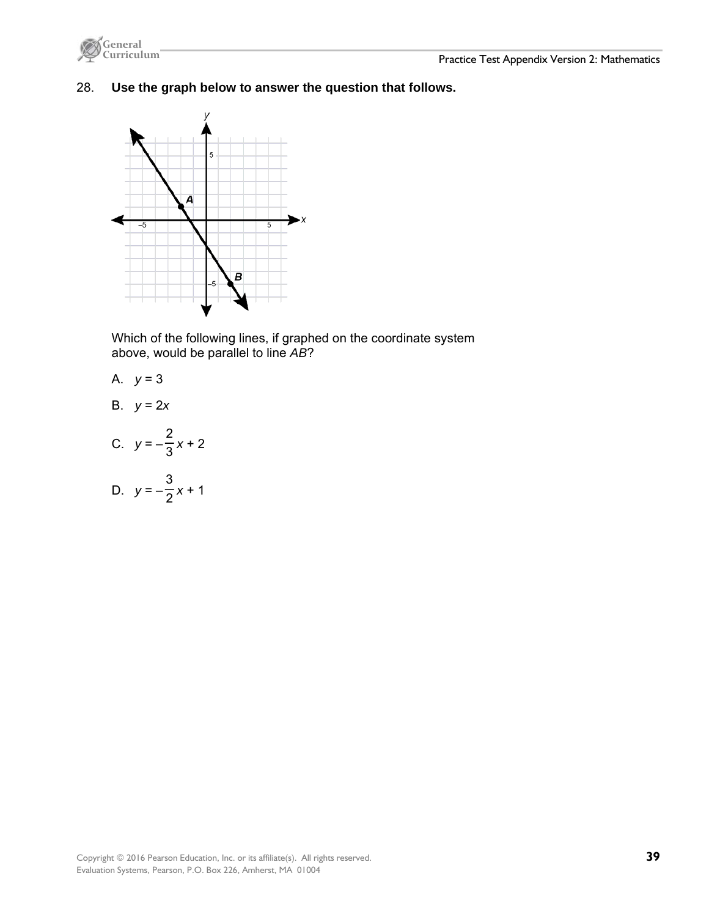



28. **Use the graph below to answer the question that follows.** 



Which of the following lines, if graphed on the coordinate system above, would be parallel to line *AB*?

A. 
$$
y = 3
$$

B. 
$$
y = 2x
$$

C. 
$$
y = -\frac{2}{3}x + 2
$$

D. 
$$
y = -\frac{3}{2}x + 1
$$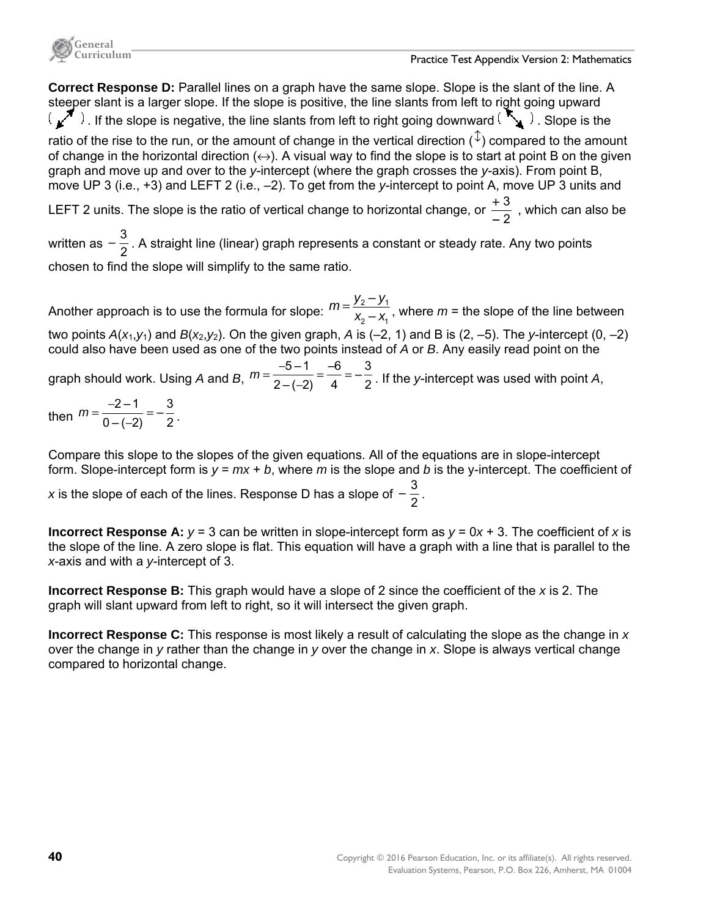**Correct Response D:** Parallel lines on a graph have the same slope. Slope is the slant of the line. A steeper slant is a larger slope. If the slope is positive, the line slants from left to right going upward  $\overline{(\mathcal{L}^*)}$ . If the slope is negative, the line slants from left to right going downward  $\overline{(\mathcal{L}^*)}$ . Slope is the ratio of the rise to the run, or the amount of change in the vertical direction ( $\hat{\psi}$ ) compared to the amount of change in the horizontal direction  $(\leftrightarrow)$ . A visual way to find the slope is to start at point B on the given graph and move up and over to the *y*-intercept (where the graph crosses the *y*-axis). From point B, move UP 3 (i.e., +3) and LEFT 2 (i.e., –2). To get from the *y*-intercept to point A, move UP 3 units and LEFT 2 units. The slope is the ratio of vertical change to horizontal change, or  $\frac{+\,3}{-\,2}$  $\frac{+3}{-2}$  , which can also be written as  $-\frac{3}{2}$  . A straight line (linear) graph represents a constant or steady rate. Any two points

chosen to find the slope will simplify to the same ratio.

Another approach is to use the formula for slope:  $m = \frac{y_2 - y_1}{x - x_1}$ 2  $\gamma$ – –  $m = \frac{y_2 - y_1}{x_2 - x_1}$ , where  $m$  = the slope of the line between two points  $A(x_1, y_1)$  and  $B(x_2, y_2)$ . On the given graph, A is (-2, 1) and B is (2, -5). The *y*-intercept (0, -2) could also have been used as one of the two points instead of *A* or *B*. Any easily read point on the graph should work. Using *A* and *B*,  $m = \frac{-5 - 1}{2 - (-2)} = \frac{-6}{4} = -\frac{3}{2}$ . If the *y*-intercept was used with point *A*, then  $m = \frac{-2-1}{0-(-2)} = -\frac{3}{2}$ .

Compare this slope to the slopes of the given equations. All of the equations are in slope-intercept form. Slope-intercept form is *y* = *mx* + *b*, where *m* is the slope and *b* is the y-intercept. The coefficient of

*x* is the slope of each of the lines. Response D has a slope of  $-\frac{3}{2}$ .

**Incorrect Response A:**  $y = 3$  can be written in slope-intercept form as  $y = 0x + 3$ . The coefficient of x is the slope of the line. A zero slope is flat. This equation will have a graph with a line that is parallel to the *x*-axis and with a *y*-intercept of 3.

**Incorrect Response B:** This graph would have a slope of 2 since the coefficient of the *x* is 2. The graph will slant upward from left to right, so it will intersect the given graph.

**Incorrect Response C:** This response is most likely a result of calculating the slope as the change in *x* over the change in *y* rather than the change in *y* over the change in *x*. Slope is always vertical change compared to horizontal change.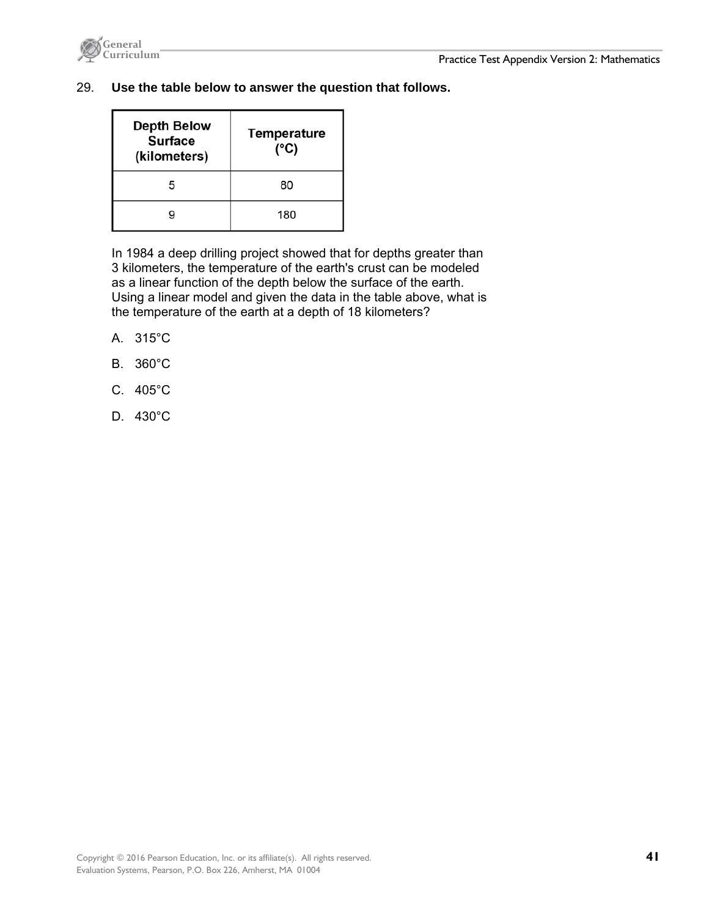

### 29. **Use the table below to answer the question that follows.**

| <b>Depth Below</b><br><b>Surface</b><br>(kilometers) | <b>Temperature</b><br>(°C) |
|------------------------------------------------------|----------------------------|
| 5                                                    | 80                         |
|                                                      | 180                        |

In 1984 a deep drilling project showed that for depths greater than 3 kilometers, the temperature of the earth's crust can be modeled as a linear function of the depth below the surface of the earth. Using a linear model and given the data in the table above, what is the temperature of the earth at a depth of 18 kilometers?

- A. 315°C
- B. 360°C
- C. 405°C
- D. 430°C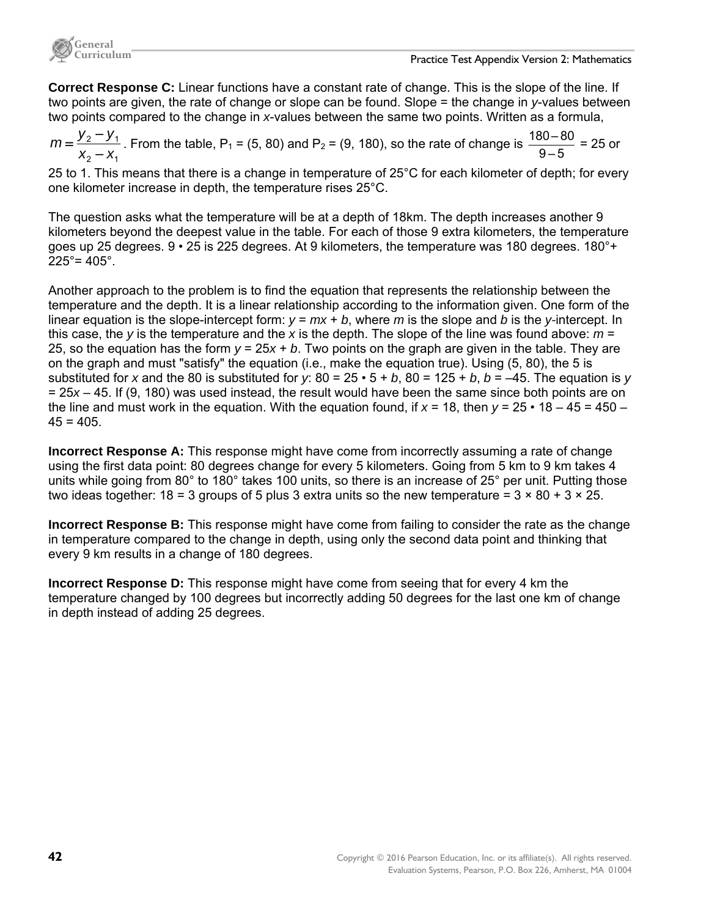

**Correct Response C:** Linear functions have a constant rate of change. This is the slope of the line. If two points are given, the rate of change or slope can be found. Slope = the change in *y*-values between two points compared to the change in *x*-values between the same two points. Written as a formula,

$$
m = \frac{y_2 - y_1}{x_2 - x_1}
$$
. From the table, P<sub>1</sub> = (5, 80) and P<sub>2</sub> = (9, 180), so the rate of change is  $\frac{180 - 80}{9 - 5}$  = 25 or

25 to 1. This means that there is a change in temperature of 25°C for each kilometer of depth; for every one kilometer increase in depth, the temperature rises 25°C.

The question asks what the temperature will be at a depth of 18km. The depth increases another 9 kilometers beyond the deepest value in the table. For each of those 9 extra kilometers, the temperature goes up 25 degrees. 9 • 25 is 225 degrees. At 9 kilometers, the temperature was 180 degrees. 180°+  $225^\circ = 405^\circ$ .

Another approach to the problem is to find the equation that represents the relationship between the temperature and the depth. It is a linear relationship according to the information given. One form of the linear equation is the slope-intercept form:  $y = mx + b$ , where *m* is the slope and *b* is the *y*-intercept. In this case, the *y* is the temperature and the *x* is the depth. The slope of the line was found above: *m* = 25, so the equation has the form *y* = 25*x* + *b*. Two points on the graph are given in the table. They are on the graph and must "satisfy" the equation (i.e., make the equation true). Using (5, 80), the 5 is substituted for *x* and the 80 is substituted for *y*:  $80 = 25 \cdot 5 + b$ ,  $80 = 125 + b$ ,  $b = -45$ . The equation is *y* = 25*x* – 45. If (9, 180) was used instead, the result would have been the same since both points are on the line and must work in the equation. With the equation found, if  $x = 18$ , then  $y = 25 \cdot 18 - 45 = 450 - 18$  $45 = 405$ .

**Incorrect Response A:** This response might have come from incorrectly assuming a rate of change using the first data point: 80 degrees change for every 5 kilometers. Going from 5 km to 9 km takes 4 units while going from 80° to 180° takes 100 units, so there is an increase of 25° per unit. Putting those two ideas together:  $18 = 3$  groups of 5 plus 3 extra units so the new temperature =  $3 \times 80 + 3 \times 25$ .

**Incorrect Response B:** This response might have come from failing to consider the rate as the change in temperature compared to the change in depth, using only the second data point and thinking that every 9 km results in a change of 180 degrees.

**Incorrect Response D:** This response might have come from seeing that for every 4 km the temperature changed by 100 degrees but incorrectly adding 50 degrees for the last one km of change in depth instead of adding 25 degrees.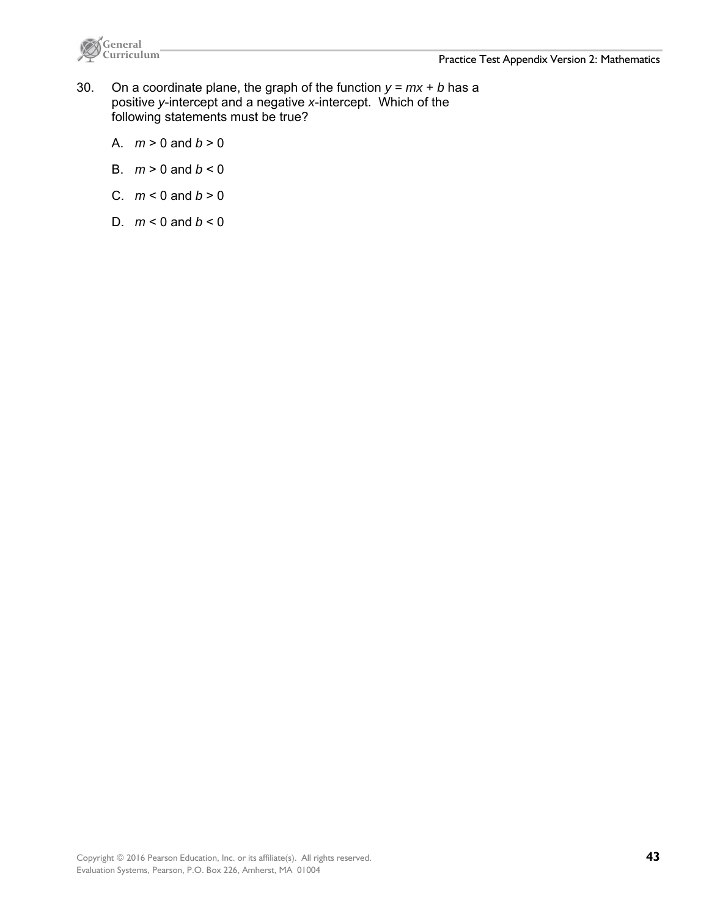

- 30. On a coordinate plane, the graph of the function  $y = mx + b$  has a positive *y*-intercept and a negative *x*-intercept. Which of the following statements must be true?
	- A.  $m > 0$  and  $b > 0$
	- B.  $m > 0$  and  $b < 0$
	- C.  $m < 0$  and  $b > 0$
	- D.  $m < 0$  and  $b < 0$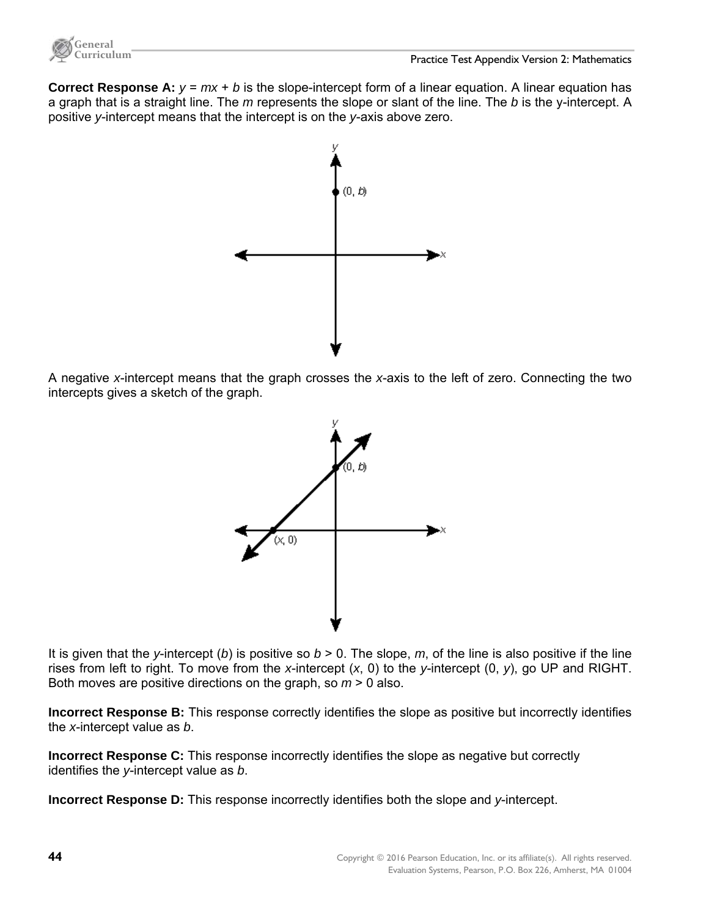

**Correct Response A:**  $y = mx + b$  is the slope-intercept form of a linear equation. A linear equation has a graph that is a straight line. The *m* represents the slope or slant of the line. The *b* is the y-intercept. A positive *y*-intercept means that the intercept is on the *y*-axis above zero.



A negative *x*-intercept means that the graph crosses the *x*-axis to the left of zero. Connecting the two intercepts gives a sketch of the graph.



It is given that the *y*-intercept (*b*) is positive so  $b > 0$ . The slope, *m*, of the line is also positive if the line rises from left to right. To move from the *x*-intercept (*x*, 0) to the *y*-intercept (0, *y*), go UP and RIGHT. Both moves are positive directions on the graph, so *m* > 0 also.

**Incorrect Response B:** This response correctly identifies the slope as positive but incorrectly identifies the *x*-intercept value as *b*.

**Incorrect Response C:** This response incorrectly identifies the slope as negative but correctly identifies the *y*-intercept value as *b*.

**Incorrect Response D:** This response incorrectly identifies both the slope and *y*-intercept.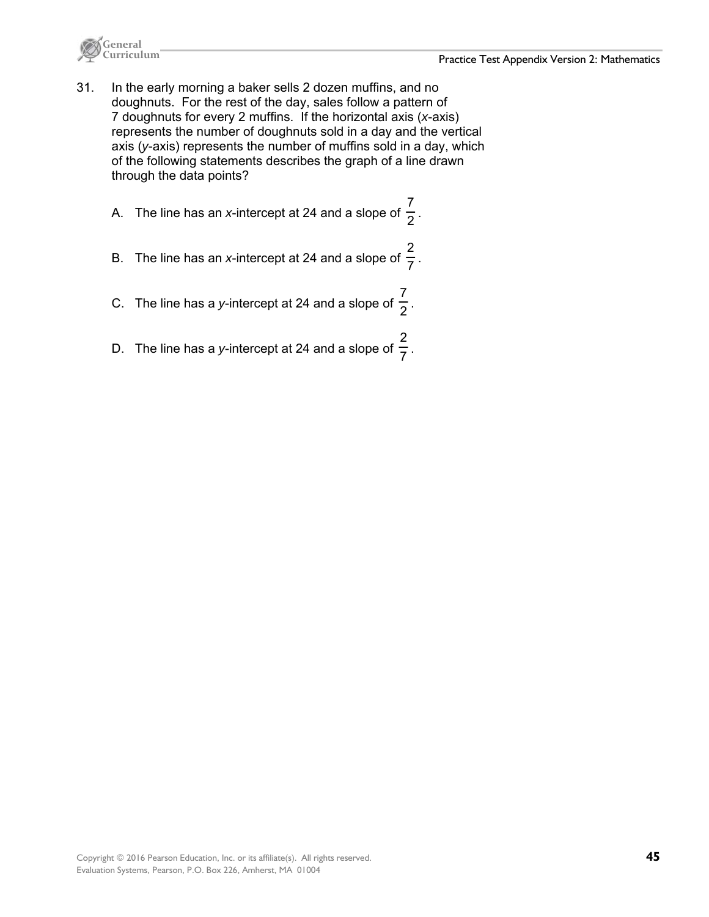

- 31. In the early morning a baker sells 2 dozen muffins, and no doughnuts. For the rest of the day, sales follow a pattern of 7 doughnuts for every 2 muffins. If the horizontal axis (*x*-axis) represents the number of doughnuts sold in a day and the vertical axis (*y*-axis) represents the number of muffins sold in a day, which of the following statements describes the graph of a line drawn through the data points?
	- A. The line has an *x*-intercept at 24 and a slope of  $\frac{7}{2}$ .
	- B. The line has an *x*-intercept at 24 and a slope of  $\frac{2}{7}$ .
	- C. The line has a *y*-intercept at 24 and a slope of  $\frac{7}{2}$ .
	- D. The line has a *y*-intercept at 24 and a slope of  $\frac{2}{7}$ .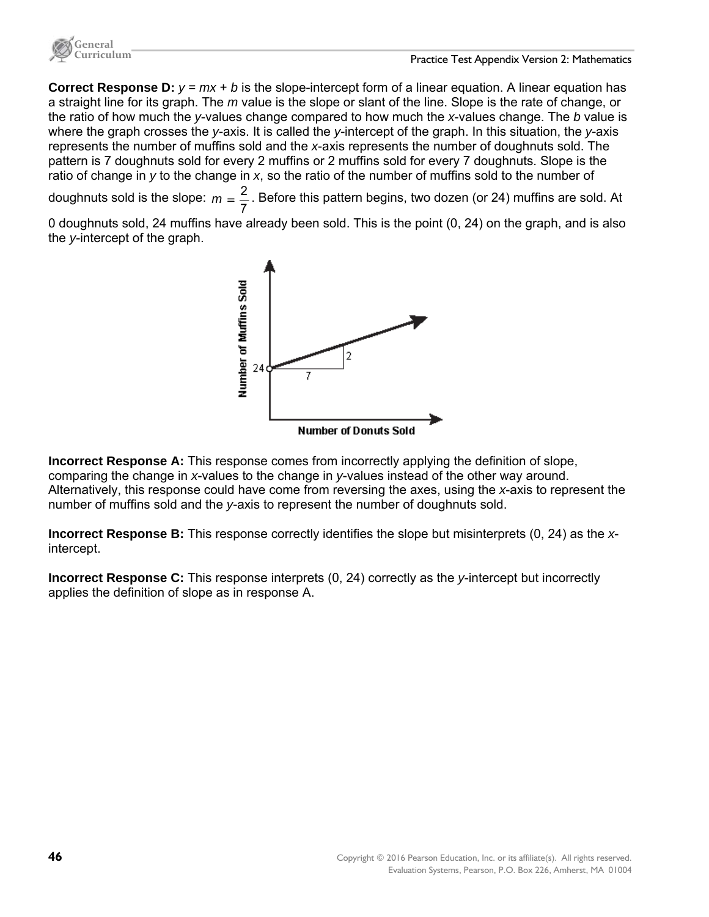

**Correct Response D:**  $y = mx + b$  is the slope-intercept form of a linear equation. A linear equation has a straight line for its graph. The *m* value is the slope or slant of the line. Slope is the rate of change, or the ratio of how much the *y*-values change compared to how much the *x*-values change. The *b* value is where the graph crosses the *y*-axis. It is called the *y*-intercept of the graph. In this situation, the *y*-axis represents the number of muffins sold and the *x*-axis represents the number of doughnuts sold. The pattern is 7 doughnuts sold for every 2 muffins or 2 muffins sold for every 7 doughnuts. Slope is the ratio of change in *y* to the change in *x*, so the ratio of the number of muffins sold to the number of

doughnuts sold is the slope:  $m = \frac{2}{7}$ . Before this pattern begins, two dozen (or 24) muffins are sold. At

0 doughnuts sold, 24 muffins have already been sold. This is the point (0, 24) on the graph, and is also the *y*-intercept of the graph.



**Incorrect Response A:** This response comes from incorrectly applying the definition of slope, comparing the change in *x*-values to the change in *y*-values instead of the other way around. Alternatively, this response could have come from reversing the axes, using the *x*-axis to represent the number of muffins sold and the *y*-axis to represent the number of doughnuts sold.

**Incorrect Response B:** This response correctly identifies the slope but misinterprets (0, 24) as the *x*intercept.

**Incorrect Response C:** This response interprets (0, 24) correctly as the *y*-intercept but incorrectly applies the definition of slope as in response A.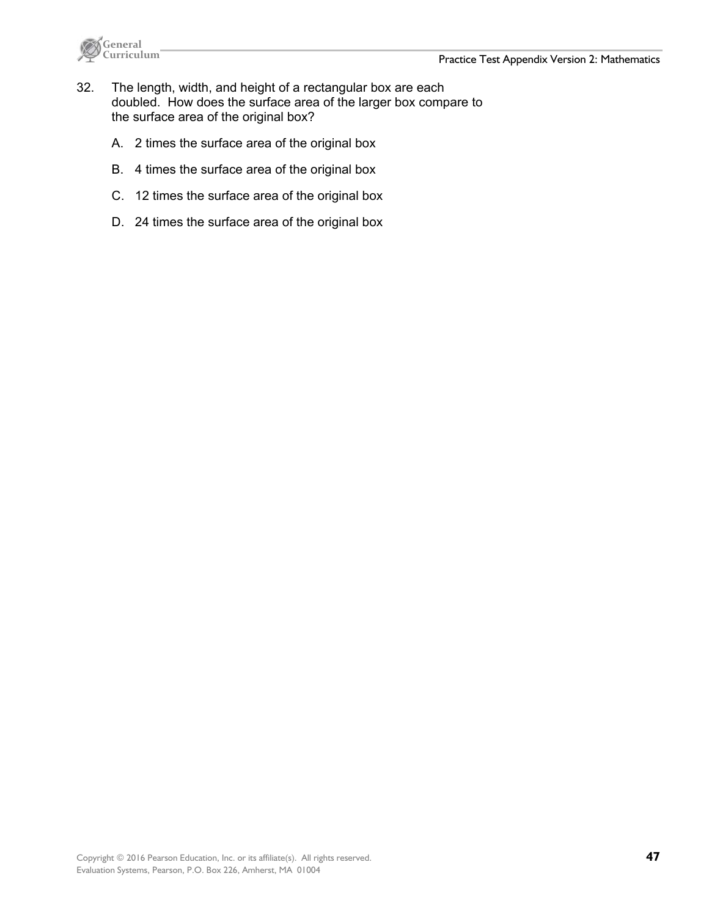

- 32. The length, width, and height of a rectangular box are each doubled. How does the surface area of the larger box compare to the surface area of the original box?
	- A. 2 times the surface area of the original box
	- B. 4 times the surface area of the original box
	- C. 12 times the surface area of the original box
	- D. 24 times the surface area of the original box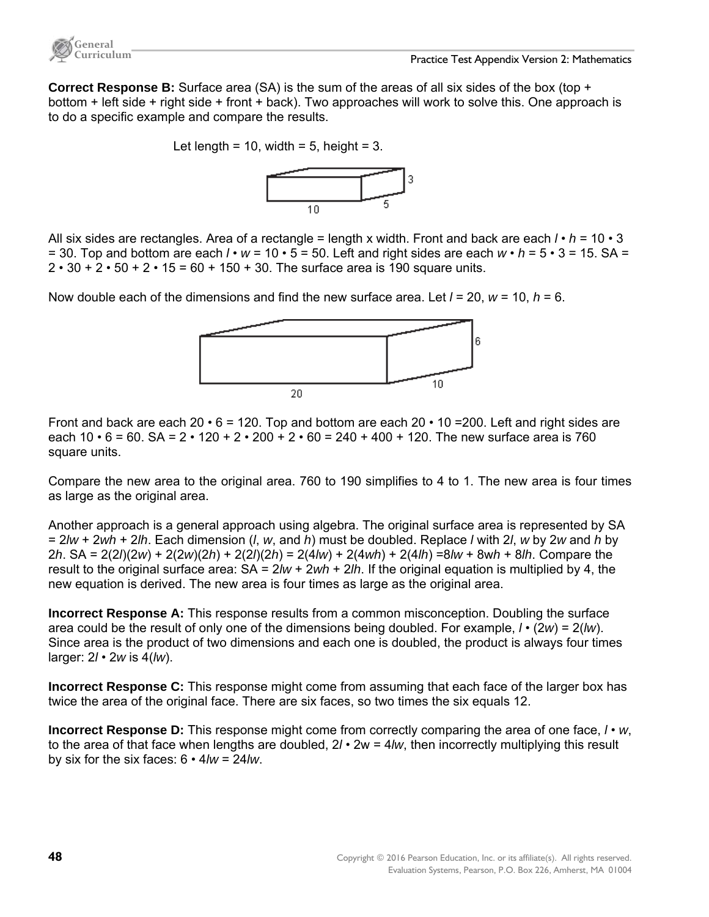

**Correct Response B:** Surface area (SA) is the sum of the areas of all six sides of the box (top + bottom + left side + right side + front + back). Two approaches will work to solve this. One approach is to do a specific example and compare the results.

Let length = 10, width = 5, height =  $3$ .



All six sides are rectangles. Area of a rectangle = length x width. Front and back are each *l* • *h* = 10 • 3  $=$  30. Top and bottom are each  $\ell$  •  $w$  = 10 • 5 = 50. Left and right sides are each  $w \cdot h$  = 5 • 3 = 15. SA =  $2 \cdot 30 + 2 \cdot 50 + 2 \cdot 15 = 60 + 150 + 30$ . The surface area is 190 square units.

Now double each of the dimensions and find the new surface area. Let *l* = 20, *w* = 10, *h* = 6.



Front and back are each  $20 \cdot 6 = 120$ . Top and bottom are each  $20 \cdot 10 = 200$ . Left and right sides are each  $10 \cdot 6 = 60$ . SA =  $2 \cdot 120 + 2 \cdot 200 + 2 \cdot 60 = 240 + 400 + 120$ . The new surface area is 760 square units.

Compare the new area to the original area. 760 to 190 simplifies to 4 to 1. The new area is four times as large as the original area.

Another approach is a general approach using algebra. The original surface area is represented by SA = 2*lw* + 2*wh* + 2*lh*. Each dimension (*l*, *w*, and *h*) must be doubled. Replace *l* with 2*l*, *w* by 2*w* and *h* by 2*h*. SA = 2(2*l*)(2*w*) + 2(2*w*)(2*h*) + 2(2*l*)(2*h*) = 2(4*lw*) + 2(4*wh*) + 2(4*lh*) =8*lw* + 8w*h* + 8*lh*. Compare the result to the original surface area: SA = 2*lw* + 2*wh* + 2*lh*. If the original equation is multiplied by 4, the new equation is derived. The new area is four times as large as the original area.

**Incorrect Response A:** This response results from a common misconception. Doubling the surface area could be the result of only one of the dimensions being doubled. For example, *l* • (2*w*) = 2(*lw*). Since area is the product of two dimensions and each one is doubled, the product is always four times larger: 2*l* • 2*w* is 4(*lw*).

**Incorrect Response C:** This response might come from assuming that each face of the larger box has twice the area of the original face. There are six faces, so two times the six equals 12.

**Incorrect Response D:** This response might come from correctly comparing the area of one face, *l* • *w*, to the area of that face when lengths are doubled, 2*l* • 2w = 4*lw*, then incorrectly multiplying this result by six for the six faces: 6 • 4*lw* = 24*lw*.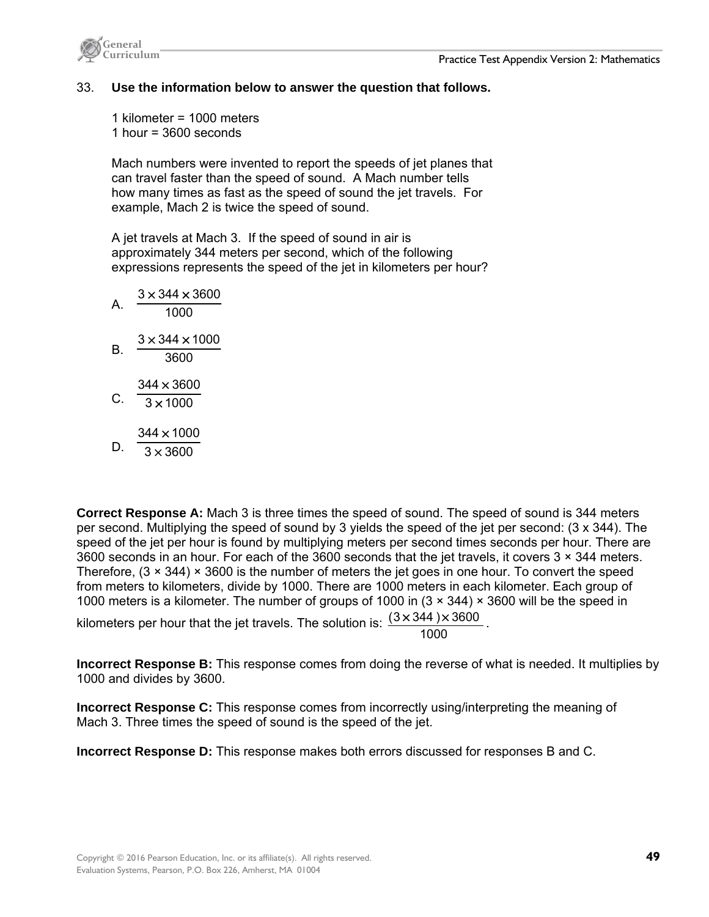



# 33. **Use the information below to answer the question that follows.**

1 kilometer = 1000 meters 1 hour =  $3600$  seconds

Mach numbers were invented to report the speeds of jet planes that can travel faster than the speed of sound. A Mach number tells how many times as fast as the speed of sound the jet travels. For example, Mach 2 is twice the speed of sound.

A jet travels at Mach 3. If the speed of sound in air is approximately 344 meters per second, which of the following expressions represents the speed of the jet in kilometers per hour?

 $A. \frac{1000}{1000}$  $3 \times 344 \times 3600$  $B. \frac{3600}{3600}$  $3 \times 344 \times 1000$ C.  $\frac{1}{3 \times 1000}$  $344 \times 3600$ D.  $3 \times 3600$  $344 \times 1000$ 

**Correct Response A:** Mach 3 is three times the speed of sound. The speed of sound is 344 meters per second. Multiplying the speed of sound by 3 yields the speed of the jet per second: (3 x 344). The speed of the jet per hour is found by multiplying meters per second times seconds per hour. There are 3600 seconds in an hour. For each of the 3600 seconds that the jet travels, it covers 3 × 344 meters. Therefore,  $(3 \times 344) \times 3600$  is the number of meters the jet goes in one hour. To convert the speed from meters to kilometers, divide by 1000. There are 1000 meters in each kilometer. Each group of 1000 meters is a kilometer. The number of groups of 1000 in (3 × 344) × 3600 will be the speed in

kilometers per hour that the jet travels. The solution is:  $\frac{(3 \times 344) \times 3600}{1000}$ .

**Incorrect Response B:** This response comes from doing the reverse of what is needed. It multiplies by 1000 and divides by 3600.

**Incorrect Response C:** This response comes from incorrectly using/interpreting the meaning of Mach 3. Three times the speed of sound is the speed of the jet.

**Incorrect Response D:** This response makes both errors discussed for responses B and C.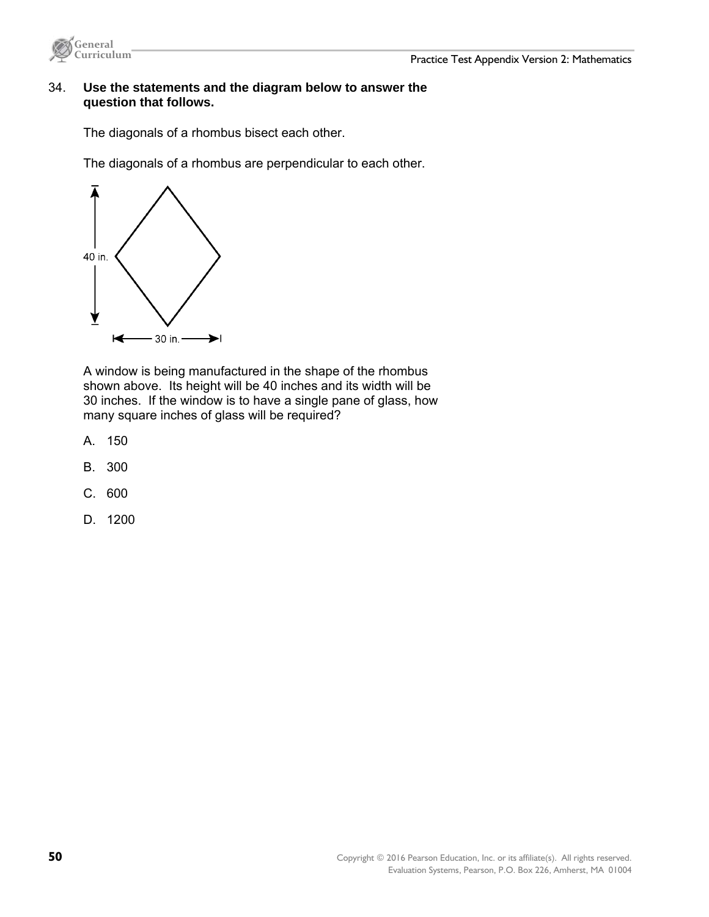



### 34. **Use the statements and the diagram below to answer the question that follows.**

The diagonals of a rhombus bisect each other.

The diagonals of a rhombus are perpendicular to each other.



A window is being manufactured in the shape of the rhombus shown above. Its height will be 40 inches and its width will be 30 inches. If the window is to have a single pane of glass, how many square inches of glass will be required?

- A. 150
- B. 300
- C. 600
- D. 1200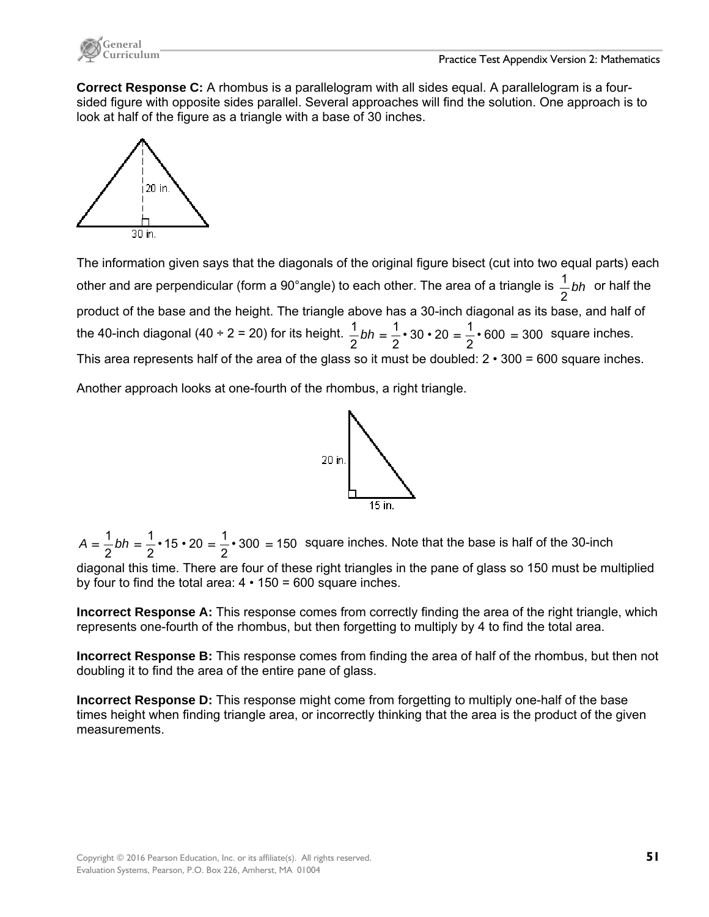

**Correct Response C:** A rhombus is a parallelogram with all sides equal. A parallelogram is a foursided figure with opposite sides parallel. Several approaches will find the solution. One approach is to look at half of the figure as a triangle with a base of 30 inches.



The information given says that the diagonals of the original figure bisect (cut into two equal parts) each other and are perpendicular (form a 90°angle) to each other. The area of a triangle is *bh* 2  $\frac{1}{b}$  bh or half the product of the base and the height. The triangle above has a 30-inch diagonal as its base, and half of the 40-inch diagonal (40 ÷ 2 = 20) for its height.  $\frac{1}{6}$  bh =  $\frac{1}{6}$  • 30 • 20 =  $\frac{1}{6}$  • 600 = 300 2 • 30 • 20 =  $\frac{1}{2}$ 2 1  $\frac{1}{2}bh = \frac{1}{2} \cdot 30 \cdot 20 = \frac{1}{2} \cdot 600 = 300$  square inches. This area represents half of the area of the glass so it must be doubled:  $2 \cdot 300 = 600$  square inches.

Another approach looks at one-fourth of the rhombus, a right triangle.



• 300 = 150 2 • 15 • 20 =  $\frac{1}{2}$ 2 1  $A = \frac{1}{2}bh = \frac{1}{2} \cdot 15 \cdot 20 = \frac{1}{2} \cdot 300 = 150$  square inches. Note that the base is half of the 30-inch

diagonal this time. There are four of these right triangles in the pane of glass so 150 must be multiplied by four to find the total area:  $4 \cdot 150 = 600$  square inches.

**Incorrect Response A:** This response comes from correctly finding the area of the right triangle, which represents one-fourth of the rhombus, but then forgetting to multiply by 4 to find the total area.

**Incorrect Response B:** This response comes from finding the area of half of the rhombus, but then not doubling it to find the area of the entire pane of glass.

**Incorrect Response D:** This response might come from forgetting to multiply one-half of the base times height when finding triangle area, or incorrectly thinking that the area is the product of the given measurements.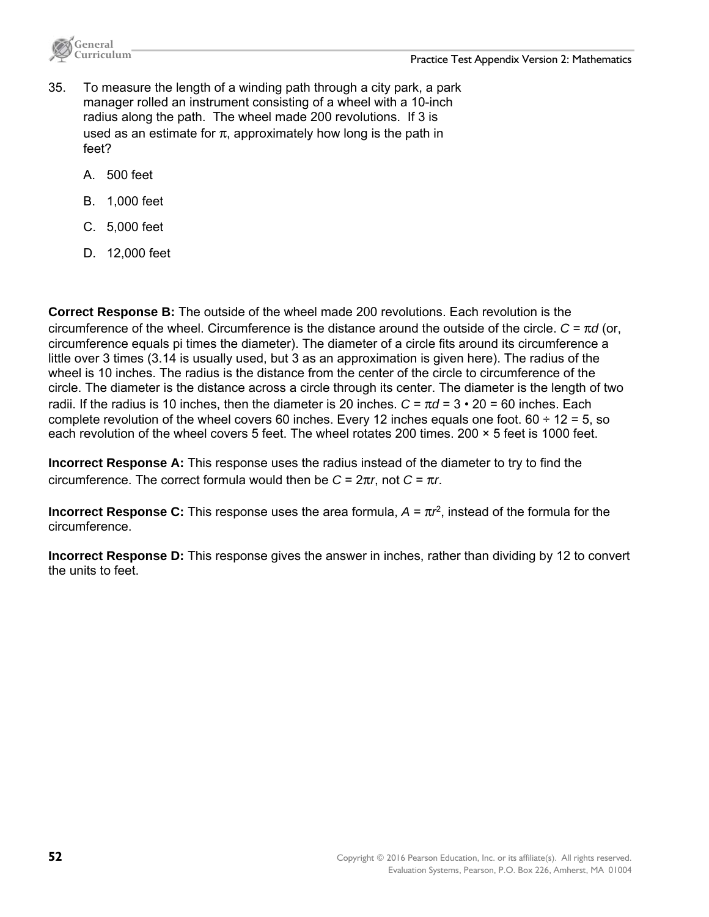

- 35. To measure the length of a winding path through a city park, a park manager rolled an instrument consisting of a wheel with a 10-inch radius along the path. The wheel made 200 revolutions. If 3 is used as an estimate for  $\pi$ , approximately how long is the path in feet?
	- A. 500 feet
	- B. 1,000 feet
	- C. 5,000 feet
	- D. 12,000 feet

**Correct Response B:** The outside of the wheel made 200 revolutions. Each revolution is the circumference of the wheel. Circumference is the distance around the outside of the circle. *C* = π*d* (or, circumference equals pi times the diameter). The diameter of a circle fits around its circumference a little over 3 times (3.14 is usually used, but 3 as an approximation is given here). The radius of the wheel is 10 inches. The radius is the distance from the center of the circle to circumference of the circle. The diameter is the distance across a circle through its center. The diameter is the length of two radii. If the radius is 10 inches, then the diameter is 20 inches.  $C = \pi d = 3 \cdot 20 = 60$  inches. Each complete revolution of the wheel covers 60 inches. Every 12 inches equals one foot.  $60 \div 12 = 5$ , so each revolution of the wheel covers 5 feet. The wheel rotates 200 times. 200 × 5 feet is 1000 feet.

**Incorrect Response A:** This response uses the radius instead of the diameter to try to find the circumference. The correct formula would then be *C* = 2π*r*, not *C* = π*r*.

**Incorrect Response C:** This response uses the area formula,  $A = \pi r^2$ , instead of the formula for the circumference.

**Incorrect Response D:** This response gives the answer in inches, rather than dividing by 12 to convert the units to feet.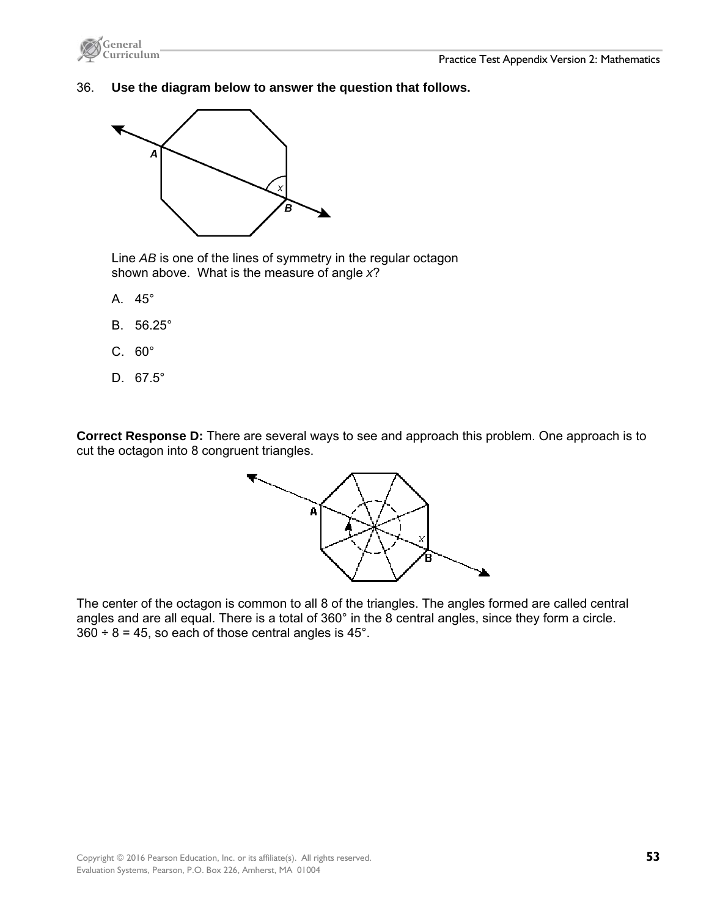



#### 36. **Use the diagram below to answer the question that follows.**



Line *AB* is one of the lines of symmetry in the regular octagon shown above. What is the measure of angle *x*?

- A. 45°
- B. 56.25°
- C. 60°
- D. 67.5°

**Correct Response D:** There are several ways to see and approach this problem. One approach is to cut the octagon into 8 congruent triangles.



The center of the octagon is common to all 8 of the triangles. The angles formed are called central angles and are all equal. There is a total of 360° in the 8 central angles, since they form a circle.  $360 \div 8 = 45$ , so each of those central angles is 45°.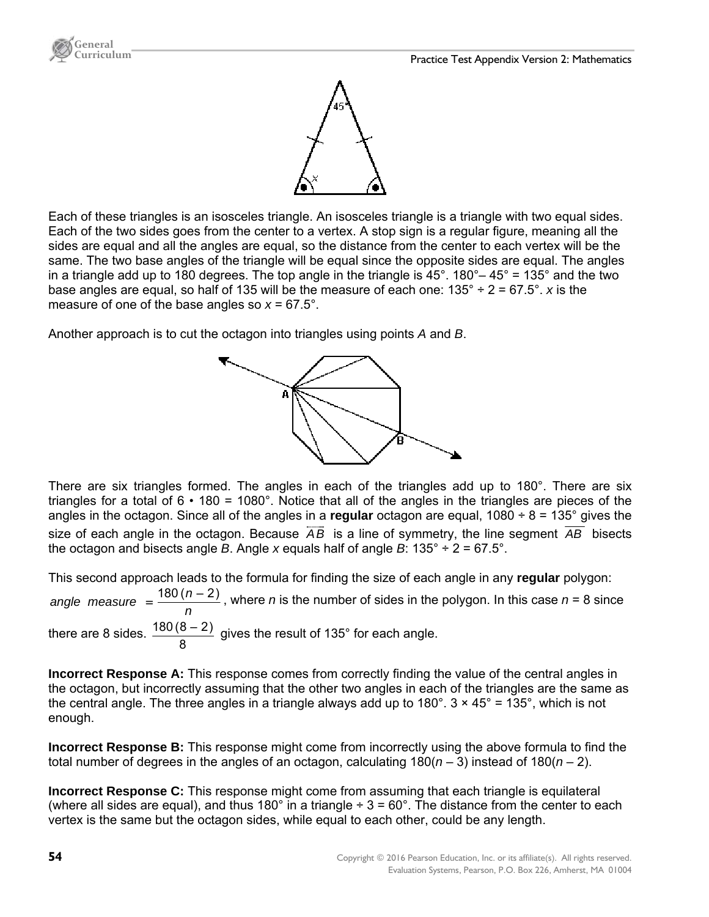



Each of these triangles is an isosceles triangle. An isosceles triangle is a triangle with two equal sides. Each of the two sides goes from the center to a vertex. A stop sign is a regular figure, meaning all the sides are equal and all the angles are equal, so the distance from the center to each vertex will be the same. The two base angles of the triangle will be equal since the opposite sides are equal. The angles in a triangle add up to 180 degrees. The top angle in the triangle is  $45^{\circ}$ . 180°–  $45^{\circ}$  = 135° and the two base angles are equal, so half of 135 will be the measure of each one: 135° ÷ 2 = 67.5°. *x* is the measure of one of the base angles so  $x = 67.5^{\circ}$ .

Another approach is to cut the octagon into triangles using points *A* and *B*.

8



There are six triangles formed. The angles in each of the triangles add up to 180°. There are six triangles for a total of  $6 \cdot 180 = 1080^\circ$ . Notice that all of the angles in the triangles are pieces of the angles in the octagon. Since all of the angles in a **regular** octagon are equal, 1080 ÷ 8 = 135° gives the size of each angle in the octagon. Because *AB* is a line of symmetry, the line segment *AB* bisects the octagon and bisects angle *B*. Angle *x* equals half of angle *B*:  $135^\circ \div 2 = 67.5^\circ$ .

This second approach leads to the formula for finding the size of each angle in any **regular** polygon:

*n* angle measure  $=$   $\frac{180(n-2)}{n}$ , where *n* is the number of sides in the polygon. In this case *n* = 8 since there are 8 sides.  $\frac{180(8-2)}{2}$  gives the result of 135° for each angle.

**Incorrect Response A:** This response comes from correctly finding the value of the central angles in the octagon, but incorrectly assuming that the other two angles in each of the triangles are the same as the central angle. The three angles in a triangle always add up to  $180^\circ$ .  $3 \times 45^\circ = 135^\circ$ , which is not enough.

**Incorrect Response B:** This response might come from incorrectly using the above formula to find the total number of degrees in the angles of an octagon, calculating 180(*n* – 3) instead of 180(*n* – 2).

**Incorrect Response C:** This response might come from assuming that each triangle is equilateral (where all sides are equal), and thus 180 $^{\circ}$  in a triangle  $\div$  3 = 60 $^{\circ}$ . The distance from the center to each vertex is the same but the octagon sides, while equal to each other, could be any length.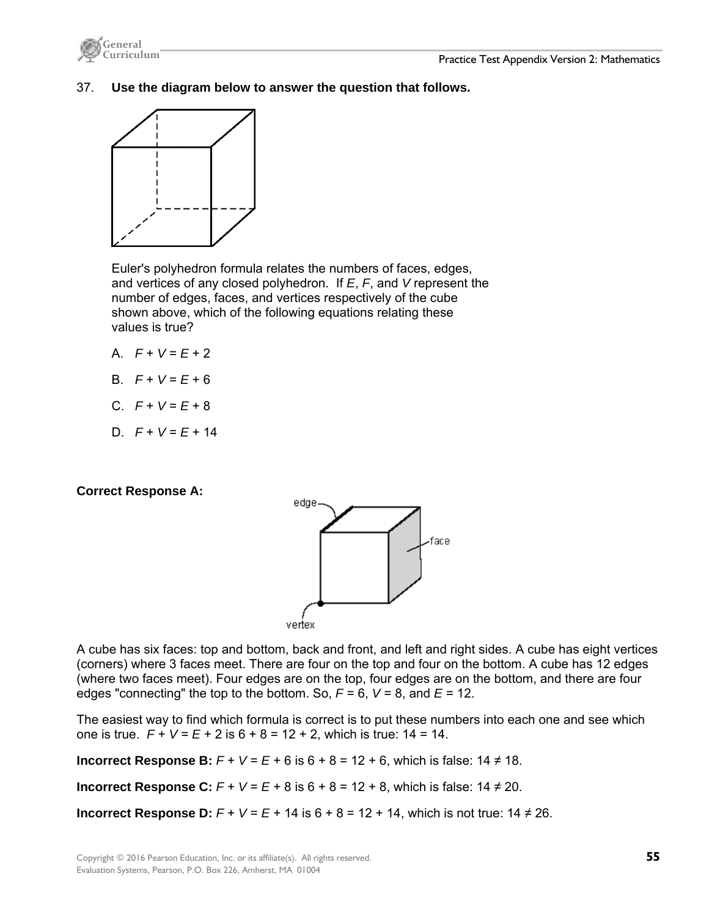

37. **Use the diagram below to answer the question that follows.** 



Euler's polyhedron formula relates the numbers of faces, edges, and vertices of any closed polyhedron. If *E*, *F*, and *V* represent the number of edges, faces, and vertices respectively of the cube shown above, which of the following equations relating these values is true?

- A.  $F + V = E + 2$
- $P + V = F + 6$
- C.  $F + V = E + 8$
- D. *F* + *V* = *E* + 14

# **Correct Response A:**



A cube has six faces: top and bottom, back and front, and left and right sides. A cube has eight vertices (corners) where 3 faces meet. There are four on the top and four on the bottom. A cube has 12 edges (where two faces meet). Four edges are on the top, four edges are on the bottom, and there are four edges "connecting" the top to the bottom. So,  $F = 6$ ,  $V = 8$ , and  $E = 12$ .

The easiest way to find which formula is correct is to put these numbers into each one and see which one is true. *F* + *V* = *E* + 2 is 6 + 8 = 12 + 2, which is true: 14 = 14.

**Incorrect Response B:**  $F + V = E + 6$  is  $6 + 8 = 12 + 6$ , which is false:  $14 \neq 18$ .

**Incorrect Response C:**  $F + V = E + 8$  is  $6 + 8 = 12 + 8$ , which is false:  $14 ≠ 20$ .

**Incorrect Response D:**  $F + V = E + 14$  is  $6 + 8 = 12 + 14$ , which is not true:  $14 \neq 26$ .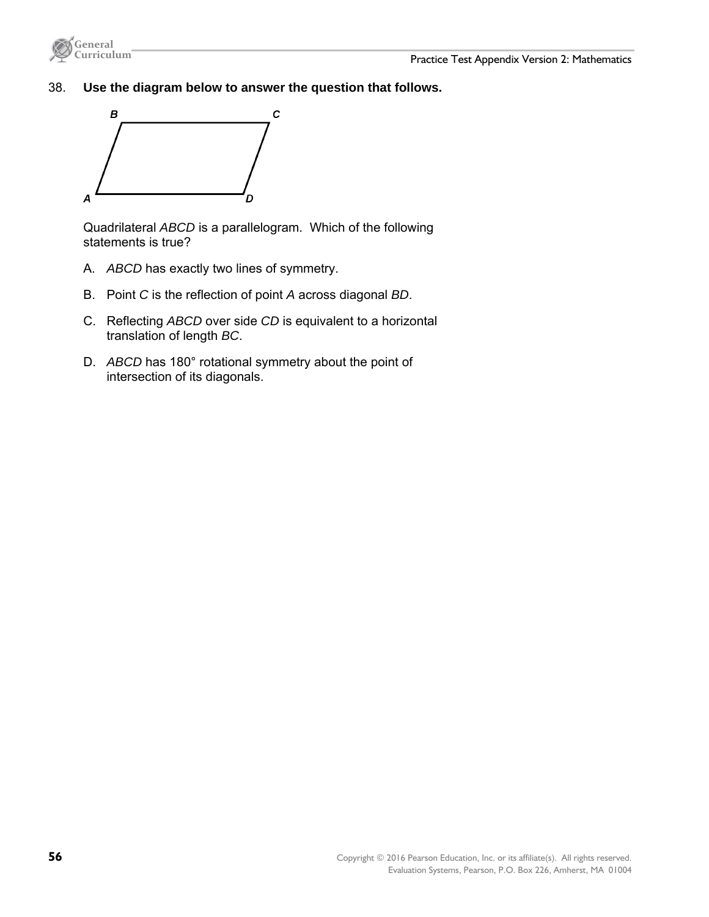



38. **Use the diagram below to answer the question that follows.** 



Quadrilateral *ABCD* is a parallelogram. Which of the following statements is true?

- A. *ABCD* has exactly two lines of symmetry.
- B. Point *C* is the reflection of point *A* across diagonal *BD*.
- C. Reflecting *ABCD* over side *CD* is equivalent to a horizontal translation of length *BC*.
- D. *ABCD* has 180° rotational symmetry about the point of intersection of its diagonals.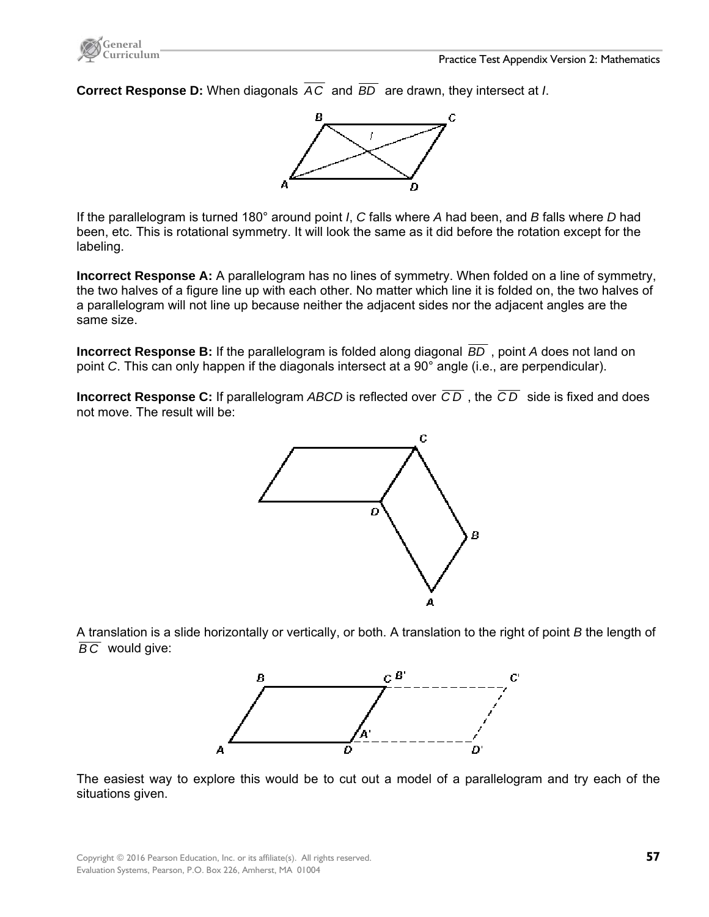**Correct Response D:** When diagonals *AC* and *BD* are drawn, they intersect at *I*.



If the parallelogram is turned 180° around point *I*, *C* falls where *A* had been, and *B* falls where *D* had been, etc. This is rotational symmetry. It will look the same as it did before the rotation except for the labeling.

**Incorrect Response A:** A parallelogram has no lines of symmetry. When folded on a line of symmetry, the two halves of a figure line up with each other. No matter which line it is folded on, the two halves of a parallelogram will not line up because neither the adjacent sides nor the adjacent angles are the same size.

**Incorrect Response B:** If the parallelogram is folded along diagonal *BD* , point *A* does not land on point *C*. This can only happen if the diagonals intersect at a 90° angle (i.e., are perpendicular).

**Incorrect Response C:** If parallelogram *ABCD* is reflected over *C D* , the *C D* side is fixed and does not move. The result will be:



A translation is a slide horizontally or vertically, or both. A translation to the right of point *B* the length of *B C* would give:



The easiest way to explore this would be to cut out a model of a parallelogram and try each of the situations given.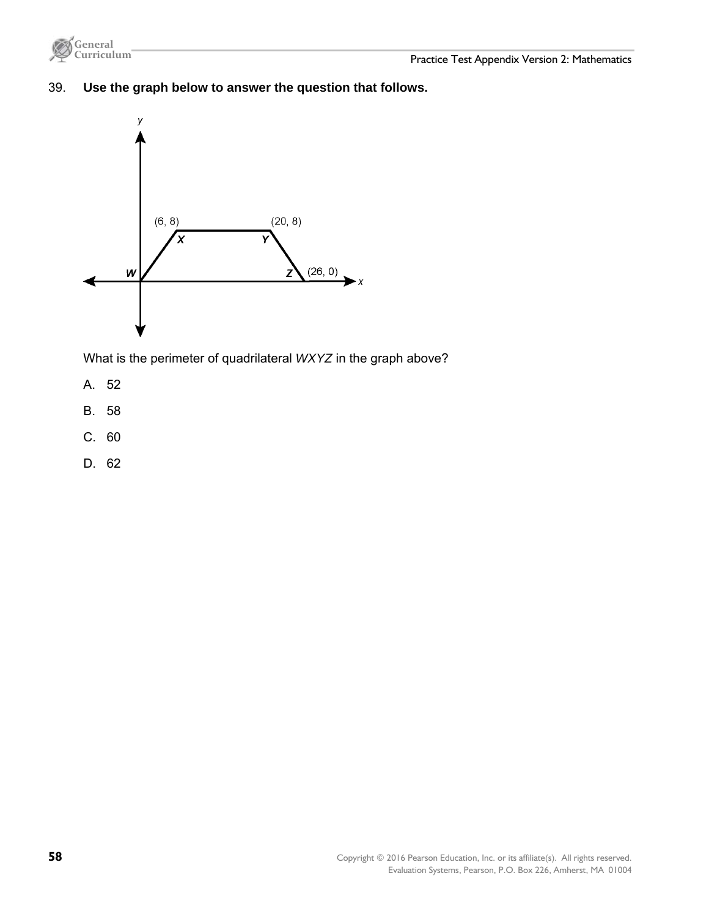

# 39. **Use the graph below to answer the question that follows.**



What is the perimeter of quadrilateral *WXYZ* in the graph above?

- A. 52
- B. 58
- C. 60
- D. 62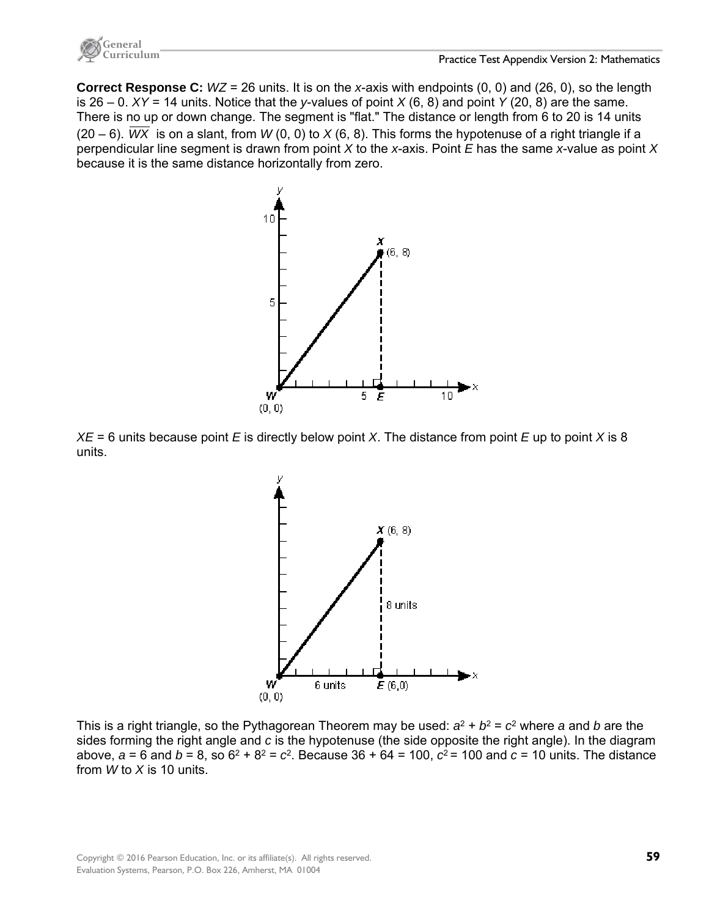

**Correct Response C:** *WZ* = 26 units. It is on the *x*-axis with endpoints (0, 0) and (26, 0), so the length is 26 – 0. *XY* = 14 units. Notice that the *y*-values of point *X* (6, 8) and point *Y* (20, 8) are the same. There is no up or down change. The segment is "flat." The distance or length from 6 to 20 is 14 units (20 – 6).  $\overline{WX}$  is on a slant, from  $W(0, 0)$  to  $X(6, 8)$ . This forms the hypotenuse of a right triangle if a perpendicular line segment is drawn from point *X* to the *x*-axis. Point *E* has the same *x*-value as point *X* because it is the same distance horizontally from zero.



*XE* = 6 units because point *E* is directly below point *X*. The distance from point *E* up to point *X* is 8 units.



This is a right triangle, so the Pythagorean Theorem may be used:  $a^2 + b^2 = c^2$  where *a* and *b* are the sides forming the right angle and *c* is the hypotenuse (the side opposite the right angle). In the diagram above,  $a = 6$  and  $b = 8$ , so  $6^2 + 8^2 = c^2$ . Because  $36 + 64 = 100$ ,  $c^2 = 100$  and  $c = 10$  units. The distance from *W* to *X* is 10 units.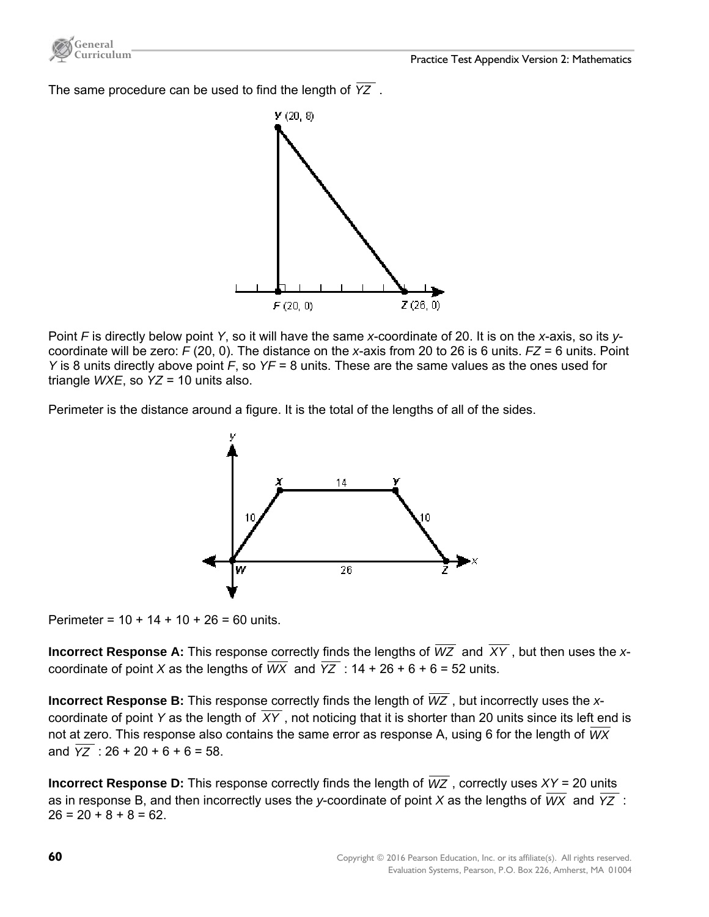

The same procedure can be used to find the length of *YZ* .



Point *F* is directly below point *Y*, so it will have the same *x*-coordinate of 20. It is on the *x*-axis, so its *y*coordinate will be zero: *F* (20, 0). The distance on the *x*-axis from 20 to 26 is 6 units. *FZ* = 6 units. Point *Y* is 8 units directly above point *F*, so *YF* = 8 units. These are the same values as the ones used for triangle *WXE*, so *YZ* = 10 units also.

Perimeter is the distance around a figure. It is the total of the lengths of all of the sides.



Perimeter =  $10 + 14 + 10 + 26 = 60$  units.

**Incorrect Response A:** This response correctly finds the lengths of *WZ* and *XY* , but then uses the *x*coordinate of point *X* as the lengths of  $\overline{WX}$  and  $\overline{YZ}$  : 14 + 26 + 6 + 6 = 52 units.

**Incorrect Response B:** This response correctly finds the length of *WZ* , but incorrectly uses the *x*coordinate of point *Y* as the length of *XY* , not noticing that it is shorter than 20 units since its left end is not at zero. This response also contains the same error as response A, using 6 for the length of *WX* and  $\overline{YZ}$  : 26 + 20 + 6 + 6 = 58.

**Incorrect Response D:** This response correctly finds the length of  $\overline{WZ}$ , correctly uses  $XY = 20$  units as in response B, and then incorrectly uses the *y*-coordinate of point *X* as the lengths of *WX* and *YZ* :  $26 = 20 + 8 + 8 = 62$ .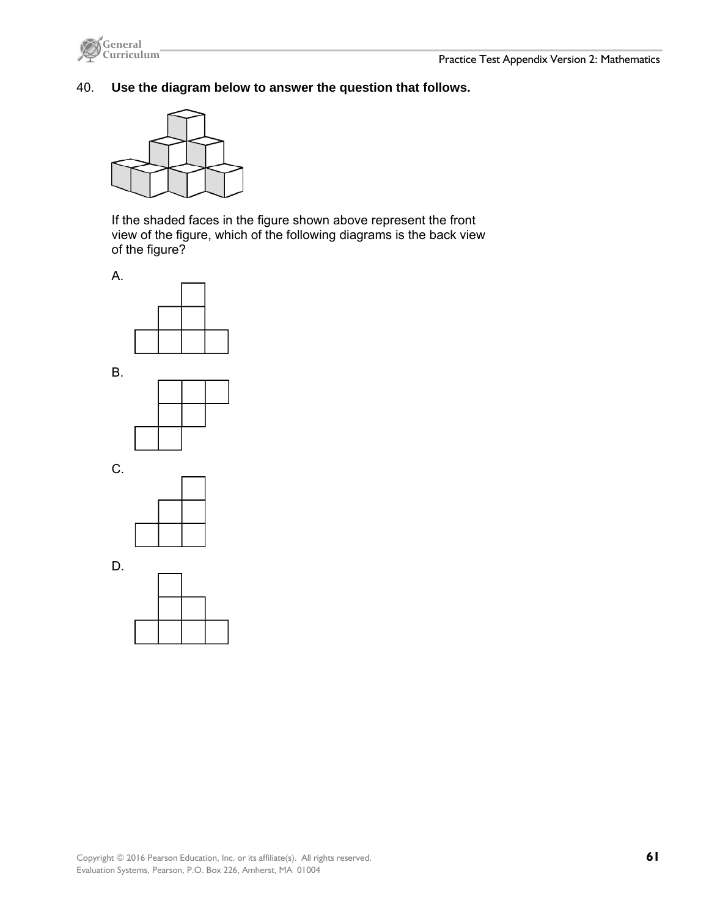

# 40. **Use the diagram below to answer the question that follows.**



If the shaded faces in the figure shown above represent the front view of the figure, which of the following diagrams is the back view of the figure?











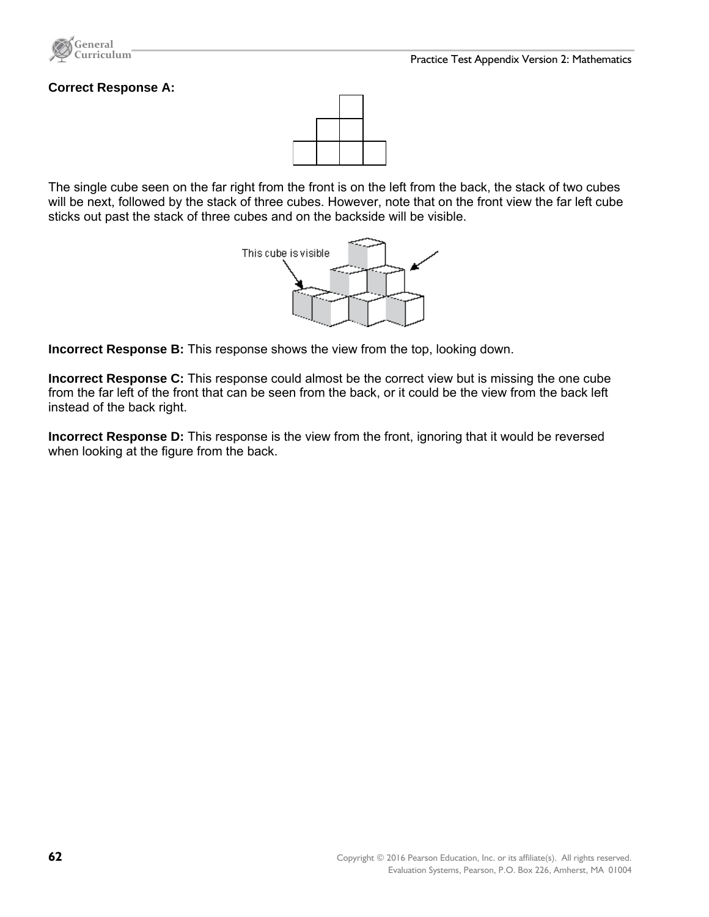

#### **Correct Response A:**



The single cube seen on the far right from the front is on the left from the back, the stack of two cubes will be next, followed by the stack of three cubes. However, note that on the front view the far left cube sticks out past the stack of three cubes and on the backside will be visible.



**Incorrect Response B:** This response shows the view from the top, looking down.

**Incorrect Response C:** This response could almost be the correct view but is missing the one cube from the far left of the front that can be seen from the back, or it could be the view from the back left instead of the back right.

**Incorrect Response D:** This response is the view from the front, ignoring that it would be reversed when looking at the figure from the back.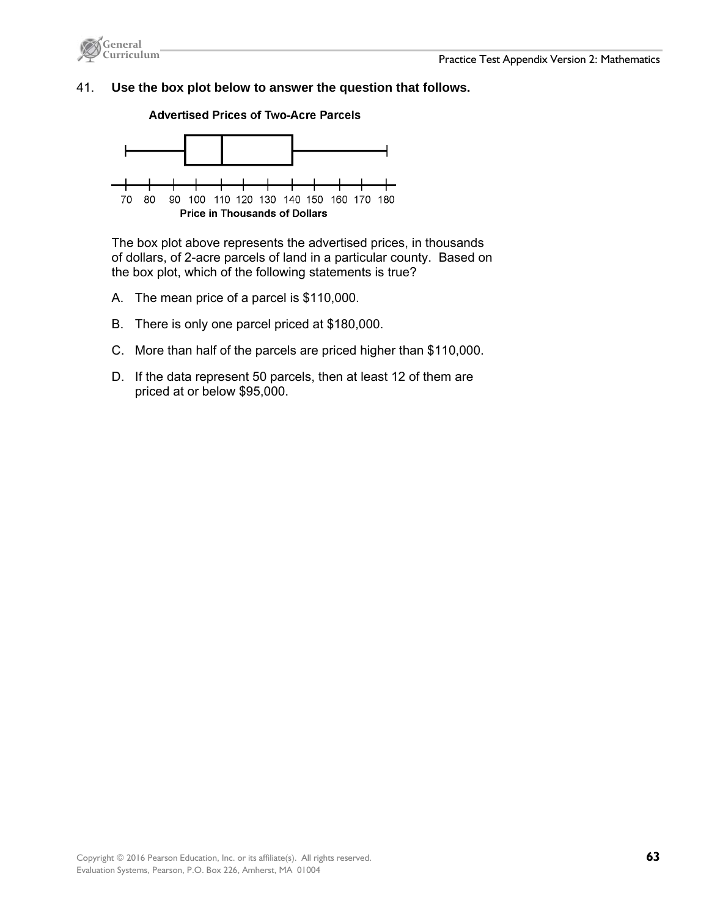

#### 41. **Use the box plot below to answer the question that follows.**





The box plot above represents the advertised prices, in thousands of dollars, of 2-acre parcels of land in a particular county. Based on the box plot, which of the following statements is true?

- A. The mean price of a parcel is \$110,000.
- B. There is only one parcel priced at \$180,000.
- C. More than half of the parcels are priced higher than \$110,000.
- D. If the data represent 50 parcels, then at least 12 of them are priced at or below \$95,000.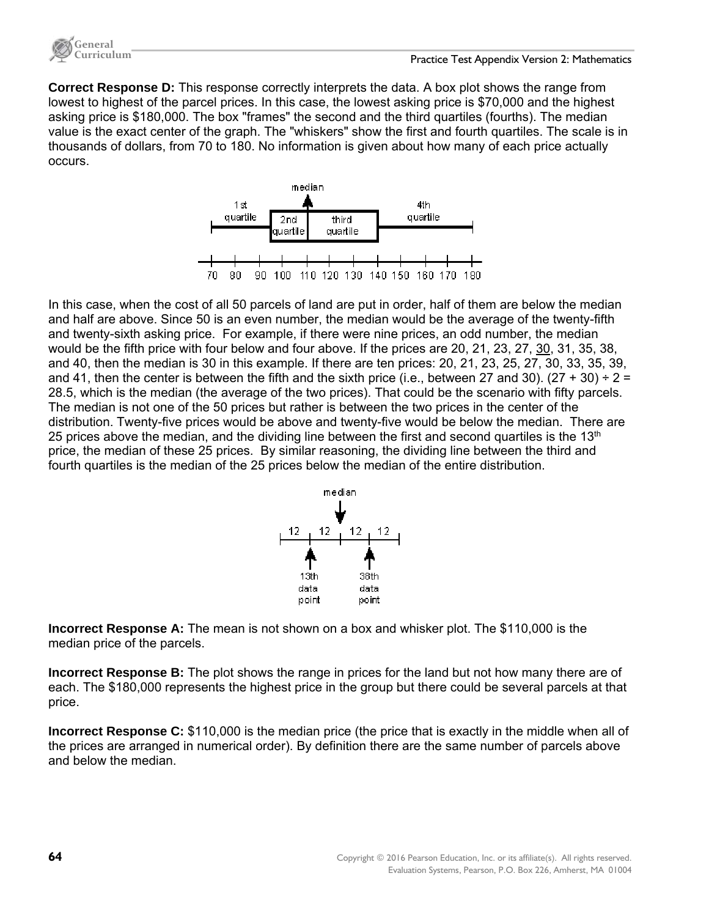

**Correct Response D:** This response correctly interprets the data. A box plot shows the range from lowest to highest of the parcel prices. In this case, the lowest asking price is \$70,000 and the highest asking price is \$180,000. The box "frames" the second and the third quartiles (fourths). The median value is the exact center of the graph. The "whiskers" show the first and fourth quartiles. The scale is in thousands of dollars, from 70 to 180. No information is given about how many of each price actually occurs.



In this case, when the cost of all 50 parcels of land are put in order, half of them are below the median and half are above. Since 50 is an even number, the median would be the average of the twenty-fifth and twenty-sixth asking price. For example, if there were nine prices, an odd number, the median would be the fifth price with four below and four above. If the prices are 20, 21, 23, 27, 30, 31, 35, 38, and 40, then the median is 30 in this example. If there are ten prices: 20, 21, 23, 25, 27, 30, 33, 35, 39, and 41, then the center is between the fifth and the sixth price (i.e., between 27 and 30). (27 + 30)  $\div$  2 = 28.5, which is the median (the average of the two prices). That could be the scenario with fifty parcels. The median is not one of the 50 prices but rather is between the two prices in the center of the distribution. Twenty-five prices would be above and twenty-five would be below the median. There are 25 prices above the median, and the dividing line between the first and second quartiles is the 13<sup>th</sup> price, the median of these 25 prices. By similar reasoning, the dividing line between the third and fourth quartiles is the median of the 25 prices below the median of the entire distribution.



**Incorrect Response A:** The mean is not shown on a box and whisker plot. The \$110,000 is the median price of the parcels.

**Incorrect Response B:** The plot shows the range in prices for the land but not how many there are of each. The \$180,000 represents the highest price in the group but there could be several parcels at that price.

**Incorrect Response C:** \$110,000 is the median price (the price that is exactly in the middle when all of the prices are arranged in numerical order). By definition there are the same number of parcels above and below the median.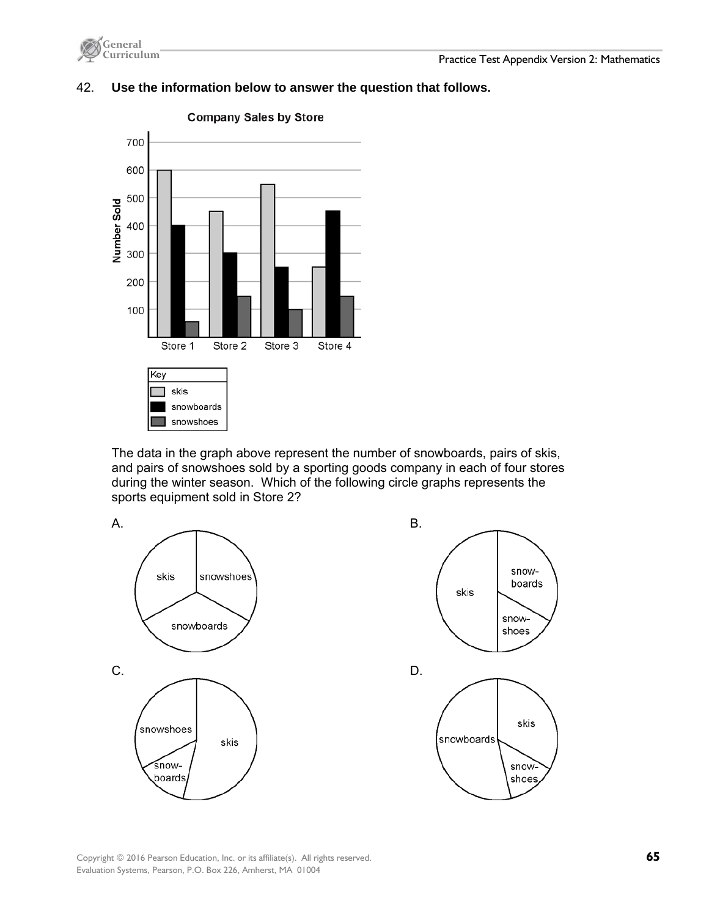

# **Company Sales by Store** 700 600 500 Number Sold 400 300 200 100 Store 2 Store 3 Store 1 Store 4 Key skis ┑ snowboards snowshoes

# 42. **Use the information below to answer the question that follows.**

The data in the graph above represent the number of snowboards, pairs of skis, and pairs of snowshoes sold by a sporting goods company in each of four stores during the winter season. Which of the following circle graphs represents the sports equipment sold in Store 2?



Copyright © 2016 Pearson Education, Inc. or its affiliate(s). All rights reserved. **65**  Evaluation Systems, Pearson, P.O. Box 226, Amherst, MA 01004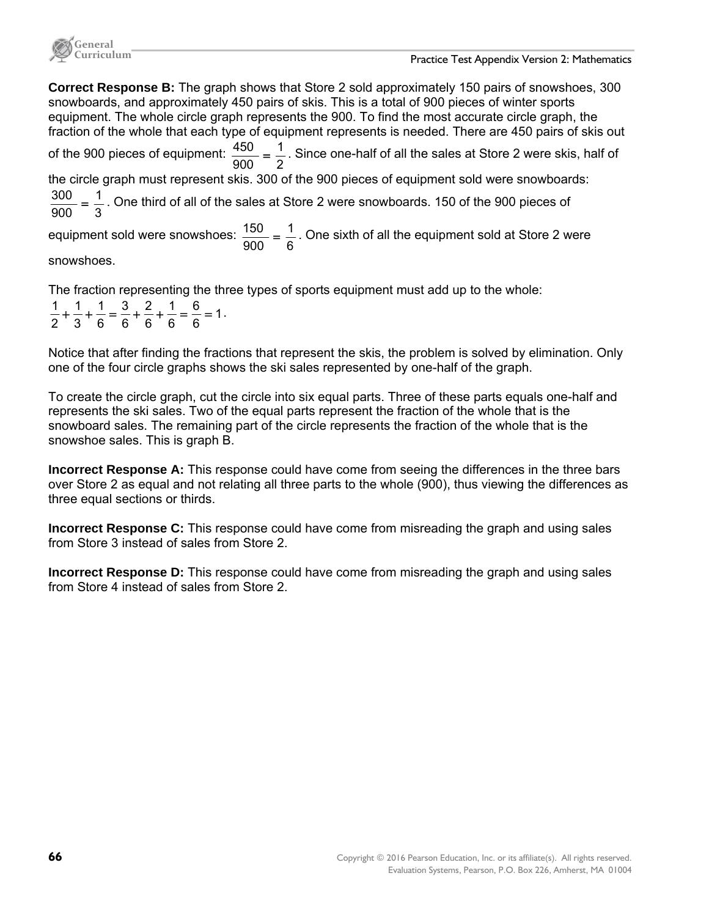

**Correct Response B:** The graph shows that Store 2 sold approximately 150 pairs of snowshoes, 300 snowboards, and approximately 450 pairs of skis. This is a total of 900 pieces of winter sports equipment. The whole circle graph represents the 900. To find the most accurate circle graph, the fraction of the whole that each type of equipment represents is needed. There are 450 pairs of skis out of the 900 pieces of equipment:  $\frac{450}{900} = \frac{1}{2}$  $\frac{450}{900}$  =  $\frac{1}{2}$ . Since one-half of all the sales at Store 2 were skis, half of the circle graph must represent skis. 300 of the 900 pieces of equipment sold were snowboards: 3 1  $\frac{300}{900}$  =  $\frac{1}{3}$ . One third of all of the sales at Store 2 were snowboards. 150 of the 900 pieces of equipment sold were snowshoes:  $\frac{150}{900} = \frac{1}{6}$  $\frac{150}{900}$  =  $\frac{1}{6}$ . One sixth of all the equipment sold at Store 2 were snowshoes.

The fraction representing the three types of sports equipment must add up to the whole: 1 6 6 6 1 6 2 6 3 6 1 3 1 2  $\frac{1}{2} + \frac{1}{2} + \frac{1}{3} = \frac{3}{3} + \frac{2}{3} + \frac{1}{3} = \frac{6}{3} = 1$ .

Notice that after finding the fractions that represent the skis, the problem is solved by elimination. Only one of the four circle graphs shows the ski sales represented by one-half of the graph.

To create the circle graph, cut the circle into six equal parts. Three of these parts equals one-half and represents the ski sales. Two of the equal parts represent the fraction of the whole that is the snowboard sales. The remaining part of the circle represents the fraction of the whole that is the snowshoe sales. This is graph B.

**Incorrect Response A:** This response could have come from seeing the differences in the three bars over Store 2 as equal and not relating all three parts to the whole (900), thus viewing the differences as three equal sections or thirds.

**Incorrect Response C:** This response could have come from misreading the graph and using sales from Store 3 instead of sales from Store 2.

**Incorrect Response D:** This response could have come from misreading the graph and using sales from Store 4 instead of sales from Store 2.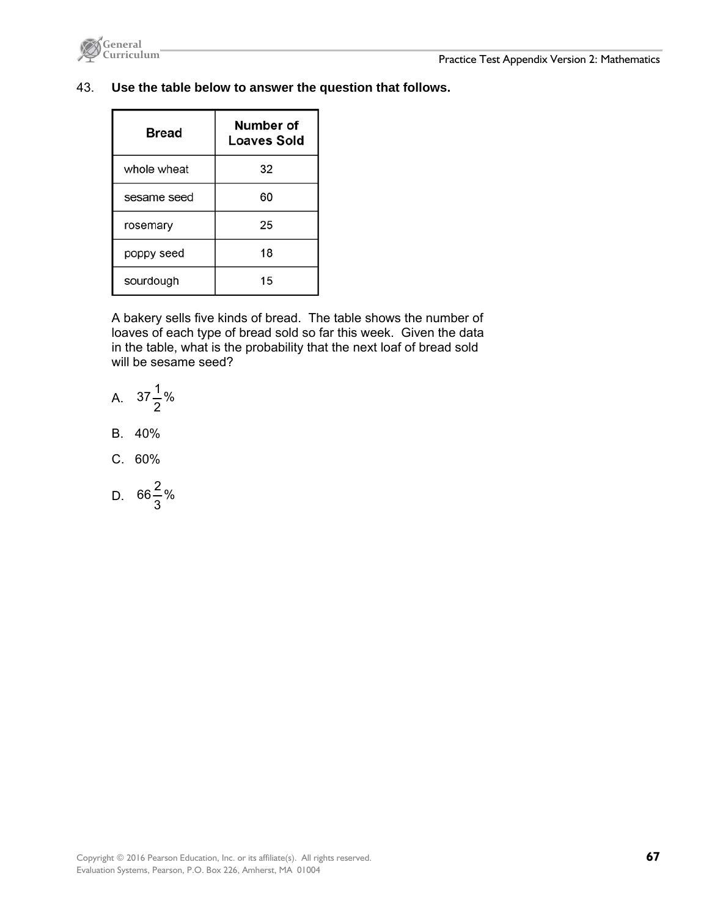

#### 43. **Use the table below to answer the question that follows.**

| Bread       | Number of<br><b>Loaves Sold</b> |
|-------------|---------------------------------|
| whole wheat | 32                              |
| sesame seed | 60                              |
| rosemary    | 25                              |
| poppy seed  | 18                              |
| sourdough   | 15                              |

A bakery sells five kinds of bread. The table shows the number of loaves of each type of bread sold so far this week. Given the data in the table, what is the probability that the next loaf of bread sold will be sesame seed?

A. 
$$
37\frac{1}{2}\%
$$

- B. 40%
- C. 60%
- D.  $66\frac{2}{3}$ %  $66\frac{2}{5}$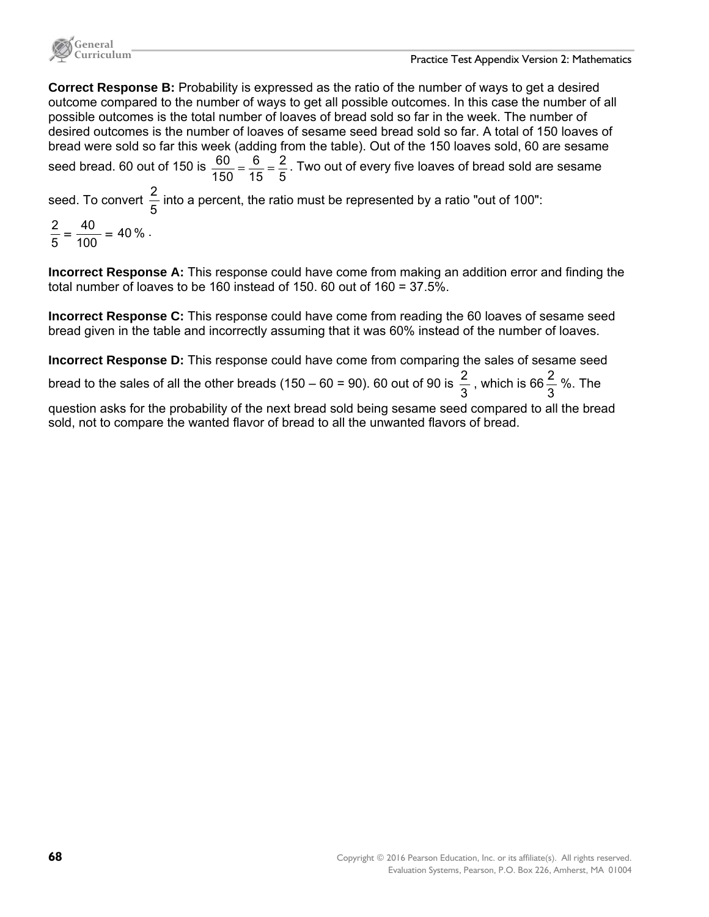

**Correct Response B:** Probability is expressed as the ratio of the number of ways to get a desired outcome compared to the number of ways to get all possible outcomes. In this case the number of all possible outcomes is the total number of loaves of bread sold so far in the week. The number of desired outcomes is the number of loaves of sesame seed bread sold so far. A total of 150 loaves of bread were sold so far this week (adding from the table). Out of the 150 loaves sold, 60 are sesame seed bread. 60 out of 150 is  $\frac{60}{150} = \frac{6}{15} = \frac{2}{5}$ . Two out of every five loaves of bread sold are sesame seed. To convert 5  $\frac{2}{5}$  into a percent, the ratio must be represented by a ratio "out of 100": 40 % 100 40  $\frac{2}{5} = \frac{40}{100} = 40\%$ .

**Incorrect Response A:** This response could have come from making an addition error and finding the total number of loaves to be 160 instead of 150. 60 out of 160 = 37.5%.

**Incorrect Response C:** This response could have come from reading the 60 loaves of sesame seed bread given in the table and incorrectly assuming that it was 60% instead of the number of loaves.

**Incorrect Response D:** This response could have come from comparing the sales of sesame seed bread to the sales of all the other breads (150 – 60 = 90). 60 out of 90 is  $\frac{2}{3}$  , which is 66 $\frac{2}{3}$  %. The

question asks for the probability of the next bread sold being sesame seed compared to all the bread sold, not to compare the wanted flavor of bread to all the unwanted flavors of bread.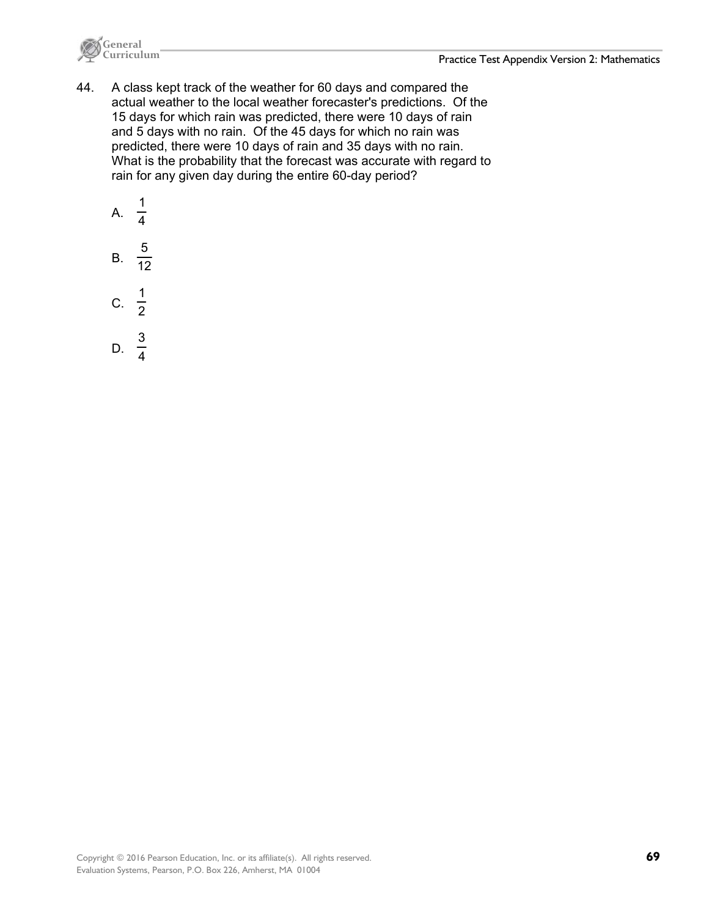

44. A class kept track of the weather for 60 days and compared the actual weather to the local weather forecaster's predictions. Of the 15 days for which rain was predicted, there were 10 days of rain and 5 days with no rain. Of the 45 days for which no rain was predicted, there were 10 days of rain and 35 days with no rain. What is the probability that the forecast was accurate with regard to rain for any given day during the entire 60-day period?

A. 
$$
\frac{1}{4}
$$
  
B.  $\frac{5}{12}$   
C.  $\frac{1}{2}$   
D.  $\frac{3}{4}$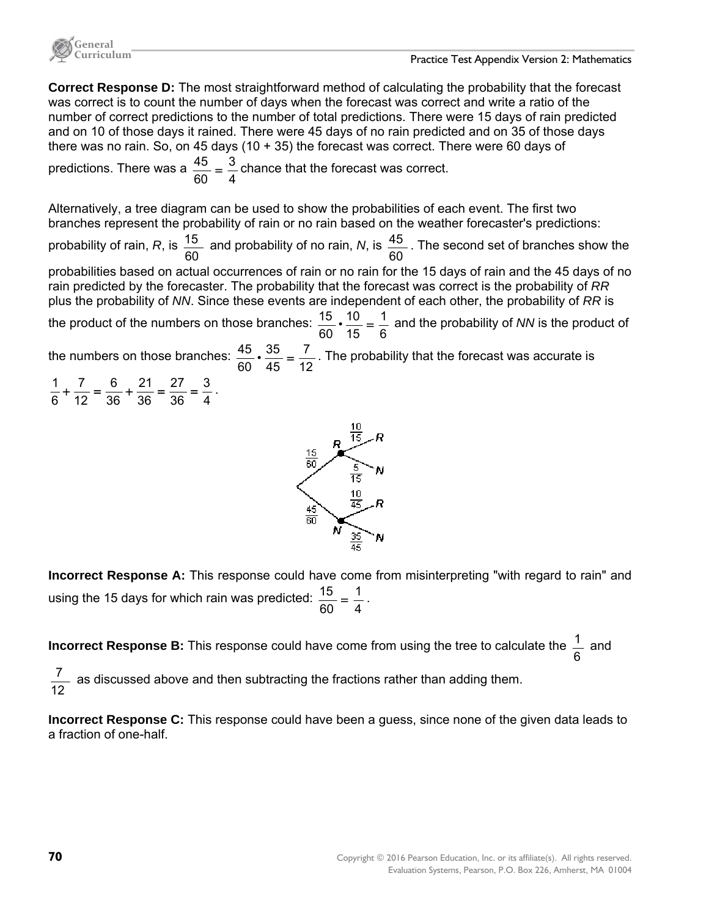

**Correct Response D:** The most straightforward method of calculating the probability that the forecast was correct is to count the number of days when the forecast was correct and write a ratio of the number of correct predictions to the number of total predictions. There were 15 days of rain predicted and on 10 of those days it rained. There were 45 days of no rain predicted and on 35 of those days there was no rain. So, on 45 days (10 + 35) the forecast was correct. There were 60 days of

predictions. There was a  $\frac{45}{60} = \frac{3}{4}$  $\frac{45}{60} = \frac{3}{4}$  chance that the forecast was correct.

Alternatively, a tree diagram can be used to show the probabilities of each event. The first two branches represent the probability of rain or no rain based on the weather forecaster's predictions:

probability of rain, *R*, is 60  $\frac{15}{12}$  and probability of no rain, N, is 60  $\frac{45}{10}$ . The second set of branches show the

probabilities based on actual occurrences of rain or no rain for the 15 days of rain and the 45 days of no rain predicted by the forecaster. The probability that the forecast was correct is the probability of *RR* plus the probability of *NN*. Since these events are independent of each other, the probability of *RR* is

the product of the numbers on those branches:  $\frac{15}{60} \cdot \frac{10}{15} = \frac{1}{6}$ 15  $\frac{15}{60} \cdot \frac{10}{15} = \frac{1}{6}$  and the probability of *NN* is the product of

the numbers on those branches: 12 7  $\frac{45}{60}$  ·  $\frac{35}{45}$  =  $\frac{7}{12}$ . The probability that the forecast was accurate is





**Incorrect Response A:** This response could have come from misinterpreting "with regard to rain" and using the 15 days for which rain was predicted:  $\frac{15}{60} = \frac{1}{4}$  $\frac{15}{60} = \frac{1}{4}$ .

**Incorrect Response B:** This response could have come from using the tree to calculate the  $\frac{1}{6}$  and

12  $\frac{7}{2}$  as discussed above and then subtracting the fractions rather than adding them.

**Incorrect Response C:** This response could have been a guess, since none of the given data leads to a fraction of one-half.